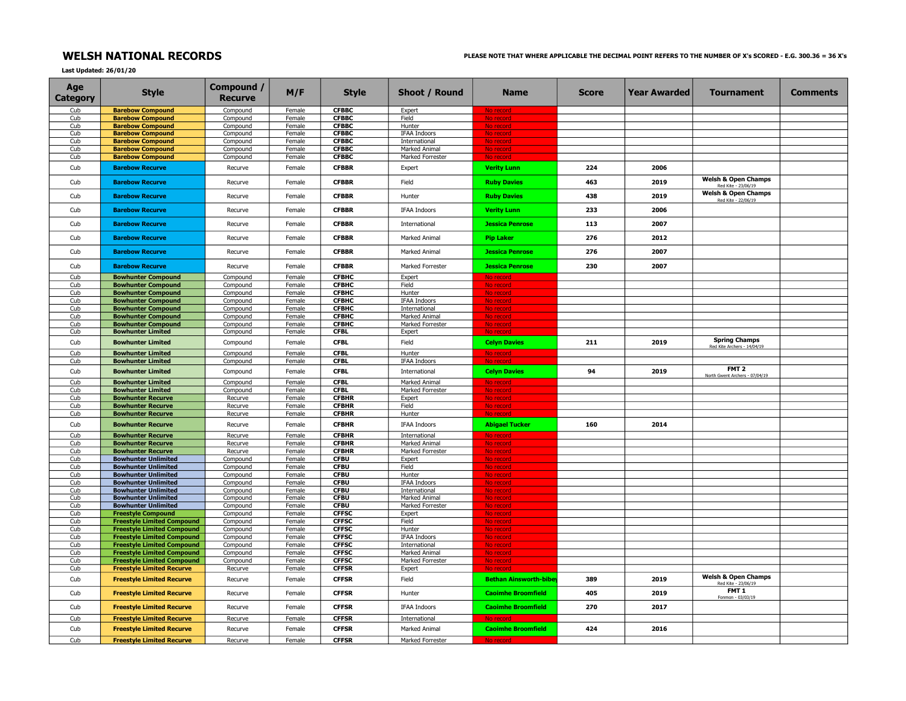## Last Updated: 26/01/20

| Age<br>Category | <b>Style</b>                                            | Compound /<br><b>Recurve</b> | M/F              | <b>Style</b>                 | Shoot / Round                     | <b>Name</b>                      | Score | Year Awarded | <b>Tournament</b>                                     | <b>Comments</b> |
|-----------------|---------------------------------------------------------|------------------------------|------------------|------------------------------|-----------------------------------|----------------------------------|-------|--------------|-------------------------------------------------------|-----------------|
| Cub             | <b>Barebow Compound</b>                                 | Compound                     | Female           | <b>CFBBC</b>                 | Expert                            | No record                        |       |              |                                                       |                 |
| Cub             | <b>Barebow Compound</b>                                 | Compound                     | Female           | <b>CFBBC</b>                 | Field                             | No record                        |       |              |                                                       |                 |
| Cub<br>Cub      | <b>Barebow Compound</b><br><b>Barebow Compound</b>      | Compound<br>Compound         | Female<br>Female | <b>CFBBC</b><br><b>CFBBC</b> | Hunter<br><b>IFAA Indoors</b>     | No record<br>No record           |       |              |                                                       |                 |
| Cub             | <b>Barebow Compound</b>                                 | Compound                     | Female           | <b>CFBBC</b>                 | International                     | No record                        |       |              |                                                       |                 |
| Cub             | <b>Barebow Compound</b>                                 | Compound                     | Female           | <b>CFBBC</b>                 | Marked Animal                     | No record                        |       |              |                                                       |                 |
| Cub             | <b>Barebow Compound</b>                                 | Compound                     | Female           | <b>CFBBC</b>                 | Marked Forrester                  | No recor                         |       |              |                                                       |                 |
| Cub             | <b>Barebow Recurve</b>                                  | Recurve                      | Female           | <b>CFBBR</b>                 | Expert                            | <b>Verity Lunn</b>               | 224   | 2006         |                                                       |                 |
| Cub             | <b>Barebow Recurve</b>                                  | Recurve                      | Female           | <b>CFBBR</b>                 | Field                             | <b>Ruby Davies</b>               | 463   | 2019         | Welsh & Open Champs<br>Red Kite - 23/06/19            |                 |
| Cub             | <b>Barebow Recurve</b>                                  | Recurve                      | Female           | <b>CFBBR</b>                 | Hunter                            | <b>Ruby Davies</b>               | 438   | 2019         | <b>Welsh &amp; Open Champs</b><br>Red Kite - 22/06/19 |                 |
| Cub             | <b>Barebow Recurve</b>                                  | Recurve                      | Female           | <b>CFBBR</b>                 | <b>IFAA Indoors</b>               | <b>Verity Lunn</b>               | 233   | 2006         |                                                       |                 |
| Cub             | <b>Barebow Recurve</b>                                  | Recurve                      | Female           | <b>CFBBR</b>                 | <b>International</b>              | <b>Jessica Penrose</b>           | 113   | 2007         |                                                       |                 |
| Cub             | <b>Barebow Recurve</b>                                  | Recurve                      | Female           | <b>CFBBR</b>                 | Marked Animal                     | <b>Pip Laker</b>                 | 276   | 2012         |                                                       |                 |
| Cub             | <b>Barebow Recurve</b>                                  | Recurve                      | Female           | <b>CFBBR</b>                 | Marked Animal                     | <b>Jessica Penrose</b>           | 276   | 2007         |                                                       |                 |
| Cub             | <b>Barebow Recurve</b>                                  | Recurve                      | Female           | <b>CFBBR</b>                 | Marked Forrester                  | <b>Jessica Penrose</b>           | 230   | 2007         |                                                       |                 |
| Cub             | <b>Bowhunter Compound</b>                               | Compound                     | Female           | <b>CFBHC</b>                 | Expert                            | No record                        |       |              |                                                       |                 |
| Cub<br>Cub      | <b>Bowhunter Compound</b><br><b>Bowhunter Compound</b>  | Compound<br>Compound         | Female<br>Female | <b>CFBHC</b><br><b>CFBHC</b> | Field<br>Hunter                   | No record<br>No record           |       |              |                                                       |                 |
| Cub             | <b>Bowhunter Compound</b>                               | Compound                     | Female           | <b>CFBHC</b>                 | <b>IFAA Indoors</b>               | No recor                         |       |              |                                                       |                 |
| Cub             | <b>Bowhunter Compound</b>                               | Compound                     | Female           | <b>CFBHC</b>                 | International                     | No record                        |       |              |                                                       |                 |
| Cub             | <b>Bowhunter Compound</b>                               | Compound                     | Female           | <b>CFBHC</b>                 | Marked Animal                     | No record                        |       |              |                                                       |                 |
| Cub             | <b>Bowhunter Compound</b>                               | Compound                     | Female           | <b>CFBHC</b>                 | Marked Forrester                  | No record                        |       |              |                                                       |                 |
| Cub             | <b>Bowhunter Limited</b>                                | Compound                     | Female           | <b>CFBL</b>                  | Expert                            | No recor                         |       |              |                                                       |                 |
| Cub             | <b>Bowhunter Limited</b>                                | Compound                     | Female           | <b>CFBL</b>                  | Field                             | <b>Celyn Davies</b>              | 211   | 2019         | <b>Spring Champs</b><br>Red Kite Archers - 14/04/19   |                 |
| Cub             | <b>Bowhunter Limited</b>                                | Compound                     | Female           | <b>CFBL</b>                  | Hunter                            | No record                        |       |              |                                                       |                 |
| Cub             | <b>Bowhunter Limited</b>                                | Compound                     | Female           | <b>CFBL</b>                  | <b>IFAA Indoors</b>               |                                  |       |              | FMT <sub>2</sub>                                      |                 |
| Cub<br>Cub      | <b>Bowhunter Limited</b><br><b>Bowhunter Limited</b>    | Compound<br>Compound         | Female<br>Female | <b>CFBL</b><br><b>CFBL</b>   | International<br>Marked Animal    | <b>Celyn Davies</b><br>No record | 94    | 2019         | North Gwent Archers - 07/04/19                        |                 |
| Cub             | <b>Bowhunter Limited</b>                                | Compound                     | Female           | <b>CFBL</b>                  | Marked Forrester                  | No recor                         |       |              |                                                       |                 |
| Cub             | <b>Bowhunter Recurve</b>                                | Recurve                      | Female           | <b>CFBHR</b>                 | Expert                            | No record                        |       |              |                                                       |                 |
| Cub             | <b>Bowhunter Recurve</b>                                | Recurve                      | Female           | <b>CFBHR</b>                 | Field                             | No record                        |       |              |                                                       |                 |
| Cub             | <b>Bowhunter Recurve</b>                                | Recurve                      | Female           | <b>CFBHR</b>                 | Hunter                            | No record                        |       |              |                                                       |                 |
| Cub             | <b>Bowhunter Recurve</b>                                | Recurve                      | Female           | <b>CFBHR</b>                 | <b>IFAA Indoors</b>               | <b>Abigael Tucker</b>            | 160   | 2014         |                                                       |                 |
| Cub<br>Cub      | <b>Bowhunter Recurve</b>                                | Recurve                      | Female           | <b>CFBHR</b><br><b>CFBHR</b> | International                     | No record                        |       |              |                                                       |                 |
| Cub             | <b>Bowhunter Recurve</b><br><b>Bowhunter Recurve</b>    | Recurve<br>Recurve           | Female<br>Female | <b>CFBHR</b>                 | Marked Animal<br>Marked Forrester | No record<br>No record           |       |              |                                                       |                 |
| Cub             | <b>Bowhunter Unlimited</b>                              | Compound                     | Female           | <b>CFBU</b>                  | Expert                            | No record                        |       |              |                                                       |                 |
| Cub             | <b>Bowhunter Unlimited</b>                              | Compound                     | Female           | <b>CFBU</b>                  | Field                             | No record                        |       |              |                                                       |                 |
| Cub             | <b>Bowhunter Unlimited</b>                              | Compound                     | Female           | <b>CFBU</b>                  | Hunter                            | No recor                         |       |              |                                                       |                 |
| Cub             | <b>Bowhunter Unlimited</b>                              | Compound                     | Female           | <b>CFBU</b>                  | <b>IFAA Indoors</b>               | No record                        |       |              |                                                       |                 |
| Cub             | <b>Bowhunter Unlimited</b>                              | Compound                     | Female           | <b>CFBU</b>                  | International                     | No record                        |       |              |                                                       |                 |
| Cub             | <b>Bowhunter Unlimited</b>                              | Compound                     | Female           | <b>CFBU</b>                  | Marked Animal                     | <u>No recor</u>                  |       |              |                                                       |                 |
| Cub<br>Cub      | <b>Bowhunter Unlimited</b><br><b>Freestyle Compound</b> | Compound                     | Female<br>Female | <b>CFBU</b><br><b>CFFSC</b>  | Marked Forrester                  | No record                        |       |              |                                                       |                 |
| Cub             | <b>Freestyle Limited Compound</b>                       | Compound<br>Compound         | Female           | <b>CFFSC</b>                 | Expert<br>Field                   | No record<br>No record           |       |              |                                                       |                 |
| Cub             | <b>Freestyle Limited Compound</b>                       | Compound                     | Female           | <b>CFFSC</b>                 | Hunter                            | No record                        |       |              |                                                       |                 |
| Cub             | <b>Freestyle Limited Compound</b>                       | Compound                     | Female           | <b>CFFSC</b>                 | <b>IFAA Indoors</b>               | No record                        |       |              |                                                       |                 |
| Cub             | <b>Freestyle Limited Compound</b>                       | Compound                     | Female           | <b>CFFSC</b>                 | International                     | No record                        |       |              |                                                       |                 |
| Cub             | <b>Freestyle Limited Compound</b>                       | Compound                     | Female           | <b>CFFSC</b>                 | Marked Animal                     | No record                        |       |              |                                                       |                 |
| Cub             | <b>Freestyle Limited Compound</b>                       | Compound                     | Female           | <b>CFFSC</b>                 | Marked Forrester                  | No record                        |       |              |                                                       |                 |
| Cub             | <b>Freestyle Limited Recurve</b>                        | Recurve                      | Female           | <b>CFFSR</b>                 | Expert                            | No record                        |       |              |                                                       |                 |
| Cub             | <b>Freestyle Limited Recurve</b>                        | Recurve                      | Female           | <b>CFFSR</b>                 | Field                             | <b>Bethan Ainsworth-bibe</b>     | 389   | 2019         | <b>Welsh &amp; Open Champs</b><br>Red Kite - 23/06/19 |                 |
| Cub             | <b>Freestyle Limited Recurve</b>                        | Recurve                      | Female           | <b>CFFSR</b>                 | Hunter                            | <b>Caoimhe Broomfield</b>        | 405   | 2019         | FMT <sub>1</sub><br>Fonmon - 03/03/19                 |                 |
| Cub             | <b>Freestyle Limited Recurve</b>                        | Recurve                      | Female           | <b>CFFSR</b>                 | <b>IFAA Indoors</b>               | <b>Caoimhe Broomfield</b>        | 270   | 2017         |                                                       |                 |
| Cub             | <b>Freestyle Limited Recurve</b>                        | Recurve                      | Female           | <b>CFFSR</b>                 | International                     |                                  |       |              |                                                       |                 |
| Cub             | <b>Freestyle Limited Recurve</b>                        | Recurve                      | Female           | <b>CFFSR</b>                 | Marked Animal                     | <b>Caoimhe Broomfield</b>        | 424   | 2016         |                                                       |                 |
| Cub             | <b>Freestyle Limited Recurve</b>                        | Recurve                      | Female           | <b>CFFSR</b>                 | Marked Forrester                  | No record                        |       |              |                                                       |                 |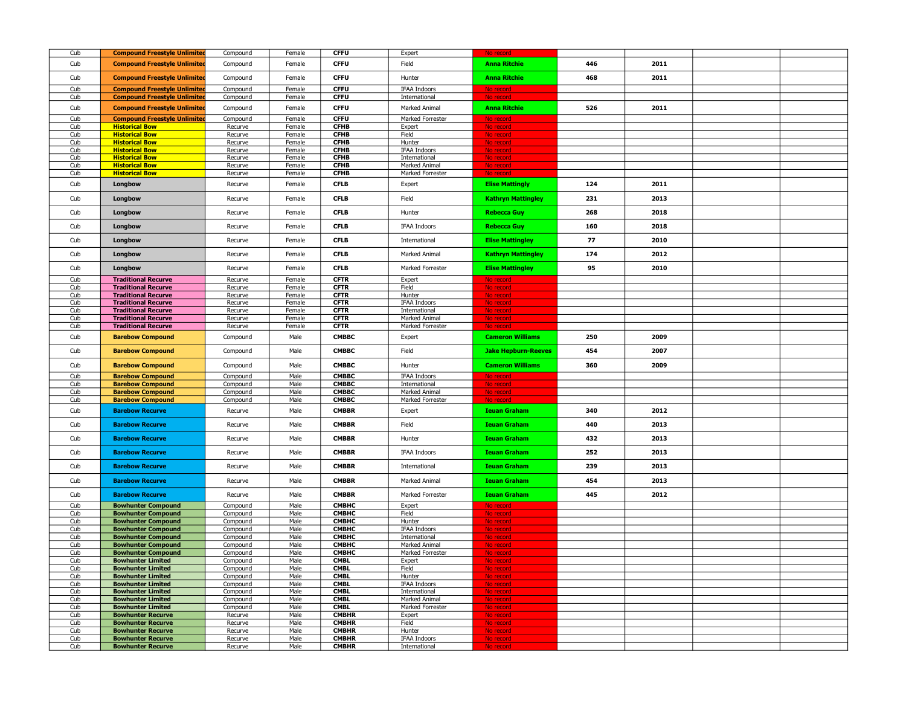| Cub        | <b>Compound Freestyle Unlimited</b>                      | Compound             | Female           | <b>CFFU</b>                  | Expert                         | No record                  |     |      |  |
|------------|----------------------------------------------------------|----------------------|------------------|------------------------------|--------------------------------|----------------------------|-----|------|--|
| Cub        | <b>Compound Freestyle Unlimited</b>                      | Compound             | Female           | <b>CFFU</b>                  | Field                          | <b>Anna Ritchie</b>        | 446 | 2011 |  |
| Cub        | <b>Compound Freestyle Unlimited</b>                      | Compound             | Female           | <b>CFFU</b>                  | Hunter                         | <b>Anna Ritchie</b>        | 468 | 2011 |  |
| Cub        | <b>Compound Freestyle Unlimited</b>                      | Compound             | Female           | <b>CFFU</b>                  | IFAA Indoors                   | No record                  |     |      |  |
| Cub        | <b>Compound Freestyle Unlimited</b>                      | Compound             | Female           | <b>CFFU</b>                  | International                  | No record                  |     |      |  |
| Cub        | <b>Compound Freestyle Unlimited</b>                      | Compound             | Female           | <b>CFFU</b>                  | Marked Animal                  | <b>Anna Ritchie</b>        | 526 | 2011 |  |
| Cub        | <b>Compound Freestyle Unlimited</b>                      | Compound             | Female           | <b>CFFU</b>                  | Marked Forrester               | No record                  |     |      |  |
| Cub        | <b>Historical Bow</b>                                    | Recurve              | Female           | <b>CFHB</b>                  | Expert                         | No record                  |     |      |  |
| Cub        | <b>Historical Bow</b>                                    | Recurve              | Female           | <b>CFHB</b>                  | Field                          | No record                  |     |      |  |
| Cub<br>Cub | <b>Historical Bow</b><br><b>Historical Bow</b>           | Recurve<br>Recurve   | Female<br>Female | <b>CFHB</b><br><b>CFHB</b>   | Hunter<br><b>IFAA Indoors</b>  | No record<br>No record     |     |      |  |
| Cub        | <b>Historical Bow</b>                                    | Recurve              | Female           | <b>CFHB</b>                  | International                  | No record                  |     |      |  |
| Cub        | <b>Historical Bow</b>                                    | Recurve              | Female           | <b>CFHB</b>                  | Marked Animal                  | No record                  |     |      |  |
| Cub        | <b>Historical Bow</b>                                    | Recurve              | Female           | <b>CFHB</b>                  | Marked Forrester               | No record                  |     |      |  |
| Cub        | Longbow                                                  | Recurve              | Female           | <b>CFLB</b>                  | Expert                         | <b>Elise Mattingly</b>     | 124 | 2011 |  |
| Cub        | Longbow                                                  | Recurve              | Female           | <b>CFLB</b>                  | Field                          | <b>Kathryn Mattingley</b>  | 231 | 2013 |  |
| Cub        | Longbow                                                  | Recurve              | Female           | <b>CFLB</b>                  | Hunter                         | <b>Rebecca Guy</b>         | 268 | 2018 |  |
| Cub        | Longbow                                                  | Recurve              | Female           | <b>CFLB</b>                  | IFAA Indoors                   | <b>Rebecca Guy</b>         | 160 | 2018 |  |
| Cub        | Longbow                                                  | Recurve              | Female           | <b>CFLB</b>                  | International                  | <b>Elise Mattingley</b>    | 77  | 2010 |  |
| Cub        | Longbow                                                  | Recurve              | Female           | <b>CFLB</b>                  | Marked Animal                  | <b>Kathryn Mattingley</b>  | 174 | 2012 |  |
| Cub        | Longbow                                                  | Recurve              | Female           | <b>CFLB</b>                  | Marked Forrester               | <b>Elise Mattingley</b>    | 95  | 2010 |  |
| Cub        | <b>Traditional Recurve</b>                               | Recurve              | Female           | <b>CFTR</b>                  | Expert                         | No record                  |     |      |  |
| Cub        | <b>Traditional Recurve</b>                               | Recurve              | Female           | <b>CFTR</b>                  | Field                          | No record                  |     |      |  |
| Cub<br>Cub | <b>Traditional Recurve</b><br><b>Traditional Recurve</b> | Recurve<br>Recurve   | Female<br>Female | <b>CFTR</b><br><b>CFTR</b>   | Hunter<br>IFAA Indoors         | No record<br>No record     |     |      |  |
| Cub        | <b>Traditional Recurve</b>                               | Recurve              | Female           | <b>CFTR</b>                  | International                  | No record                  |     |      |  |
| Cub        | <b>Traditional Recurve</b>                               | Recurve              | Female           | <b>CFTR</b>                  | Marked Animal                  | No record                  |     |      |  |
| Cub        | <b>Traditional Recurve</b>                               | Recurve              | Female           | <b>CFTR</b>                  | Marked Forrester               | No record                  |     |      |  |
| Cub        | <b>Barebow Compound</b>                                  | Compound             | Male             | <b>CMBBC</b>                 | Expert                         | <b>Cameron Williams</b>    | 250 | 2009 |  |
| Cub        | <b>Barebow Compound</b>                                  | Compound             | Male             | <b>CMBBC</b>                 | Field                          | <b>Jake Hepburn-Reeves</b> | 454 | 2007 |  |
| Cub        | <b>Barebow Compound</b>                                  | Compound             | Male             | <b>CMBBC</b>                 | Hunter                         | <b>Cameron Williams</b>    | 360 | 2009 |  |
| Cub<br>Cub | <b>Barebow Compound</b>                                  | Compound             | Male<br>Male     | <b>CMBBC</b><br><b>CMBBC</b> | <b>IFAA Indoors</b>            | No record<br>No record     |     |      |  |
| Cub        | <b>Barebow Compound</b><br><b>Barebow Compound</b>       | Compound<br>Compound | Male             | <b>CMBBC</b>                 | International<br>Marked Animal | No record                  |     |      |  |
| Cub        | <b>Barebow Compound</b>                                  | Compound             | Male             | <b>CMBBC</b>                 | Marked Forrester               | No record                  |     |      |  |
| Cub        | <b>Barebow Recurve</b>                                   | Recurve              | Male             | <b>CMBBR</b>                 | Expert                         | <b>Ieuan Graham</b>        | 340 | 2012 |  |
| Cub        | <b>Barebow Recurve</b>                                   | Recurve              | Male             | <b>CMBBR</b>                 | Field                          | <b>Ieuan Graham</b>        | 440 | 2013 |  |
| Cub        | <b>Barebow Recurve</b>                                   | Recurve              | Male             | <b>CMBBR</b>                 | Hunter                         | <b>Ieuan Graham</b>        | 432 | 2013 |  |
| Cub        | <b>Barebow Recurve</b>                                   | Recurve              | Male             | <b>CMBBR</b>                 | <b>IFAA Indoors</b>            | <b>Ieuan Graham</b>        | 252 | 2013 |  |
| Cub        | <b>Barebow Recurve</b>                                   | Recurve              | Male             | <b>CMBBR</b>                 | International                  | <b>Ieuan Graham</b>        | 239 | 2013 |  |
| Cub        | <b>Barebow Recurve</b>                                   | Recurve              | Male             | <b>CMBBR</b>                 | Marked Animal                  | <b>Ieuan Graham</b>        | 454 | 2013 |  |
| Cub        | <b>Barebow Recurve</b>                                   | Recurve              | Male             | <b>CMBBR</b>                 | Marked Forrester               | <b>Ieuan Graham</b>        | 445 | 2012 |  |
| Cub        | <b>Bowhunter Compound</b>                                | Compound             | Male             | <b>CMBHC</b>                 | Expert                         | No record                  |     |      |  |
| Cub<br>Cub | <b>Bowhunter Compound</b><br><b>Bowhunter Compound</b>   | Compound<br>Compound | Male<br>Male     | СМВНС<br>СМВНС               | Field<br>Hunter                | No record<br>No record     |     |      |  |
| Cub        | <b>Bowhunter Compound</b>                                | Compound             | Male             | СМВНС                        | IFAA Indoors                   | No record                  |     |      |  |
| Cub        | <b>Bowhunter Compound</b>                                | Compound             | Male             | СМВНС                        | International                  | No record                  |     |      |  |
| Cub        | <b>Bowhunter Compound</b>                                | Compound             | Male             | СМВНС                        | Marked Animal                  | No record                  |     |      |  |
| Cub        | <b>Bowhunter Compound</b>                                | Compound             | Male             | СМВНС                        | Marked Forrester               | No record                  |     |      |  |
| Cub<br>Cub | <b>Bowhunter Limited</b><br><b>Bowhunter Limited</b>     | Compound<br>Compound | Male<br>Male     | <b>CMBL</b><br><b>CMBL</b>   | Expert<br>Field                | No record                  |     |      |  |
| Cub        | <b>Bowhunter Limited</b>                                 | Compound             | Male             | <b>CMBL</b>                  | Hunter                         | No record                  |     |      |  |
| Cub        | <b>Bowhunter Limited</b>                                 | Compound             | Male             | <b>CMBL</b>                  | IFAA Indoors                   | No record                  |     |      |  |
| Cub        | <b>Bowhunter Limited</b>                                 | Compound             | Male             | <b>CMBL</b>                  | International                  | No record                  |     |      |  |
| Cub        | <b>Bowhunter Limited</b>                                 | Compound             | Male             | <b>CMBL</b>                  | Marked Animal                  | No record                  |     |      |  |
| Cub<br>Cub | <b>Bowhunter Limited</b><br><b>Bowhunter Recurve</b>     | Compound<br>Recurve  | Male<br>Male     | <b>CMBL</b><br><b>CMBHR</b>  | Marked Forrester<br>Expert     | No record<br>No record     |     |      |  |
| Cub        | <b>Bowhunter Recurve</b>                                 | Recurve              | Male             | <b>CMBHR</b>                 | Field                          | No record                  |     |      |  |
| Cub        | <b>Bowhunter Recurve</b>                                 | Recurve              | Male             | <b>CMBHR</b>                 | Hunter                         | No record                  |     |      |  |
| Cub        | <b>Bowhunter Recurve</b>                                 | Recurve              | Male             | <b>CMBHR</b>                 | IFAA Indoors                   | No record                  |     |      |  |
| Cub        | <b>Bowhunter Recurve</b>                                 | Recurve              | Male             | <b>CMBHR</b>                 | International                  | No record                  |     |      |  |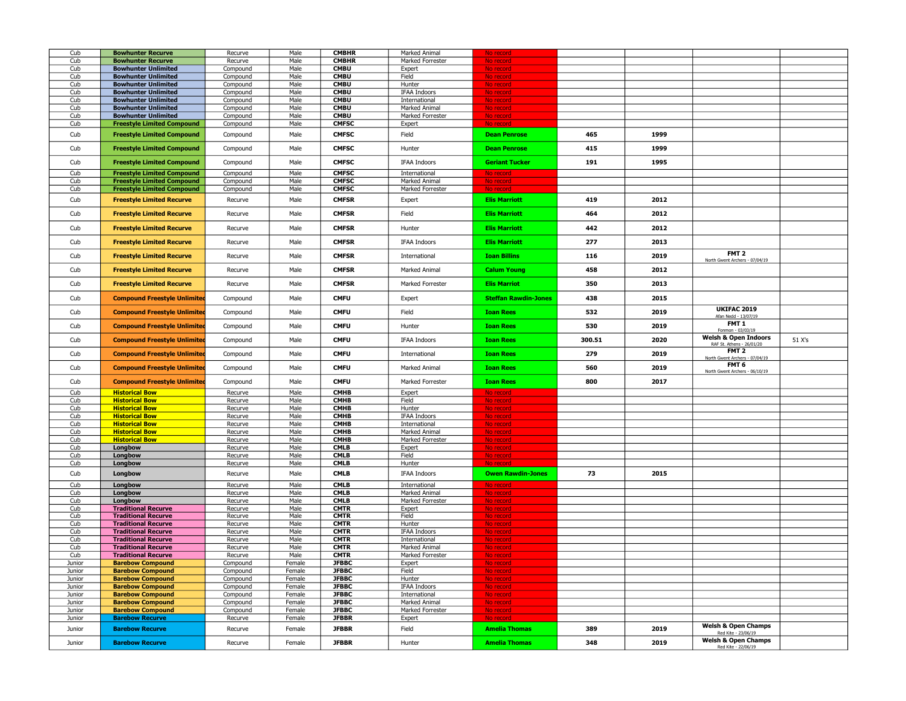| Cub    | <b>Bowhunter Recurve</b>            | Recurve  | Male   | <b>CMBHR</b> | Marked Animal       | No record                   |        |      |                                                       |        |
|--------|-------------------------------------|----------|--------|--------------|---------------------|-----------------------------|--------|------|-------------------------------------------------------|--------|
| Cub    | <b>Bowhunter Recurve</b>            | Recurve  | Male   | <b>CMBHR</b> | Marked Forrester    | No record                   |        |      |                                                       |        |
| Cub    | <b>Bowhunter Unlimited</b>          | Compound | Male   | <b>CMBU</b>  | Expert              | No record                   |        |      |                                                       |        |
| Cub    | <b>Bowhunter Unlimited</b>          | Compound | Male   | <b>CMBU</b>  | Field               | No record                   |        |      |                                                       |        |
| Cub    | <b>Bowhunter Unlimited</b>          | Compound | Male   | <b>CMBU</b>  | Hunter              | No record                   |        |      |                                                       |        |
|        |                                     |          |        |              |                     |                             |        |      |                                                       |        |
| Cub    | <b>Bowhunter Unlimited</b>          | Compound | Male   | <b>CMBU</b>  | IFAA Indoors        | No record                   |        |      |                                                       |        |
| Cub    | <b>Bowhunter Unlimited</b>          | Compound | Male   | <b>CMBU</b>  | International       | No record                   |        |      |                                                       |        |
| Cub    | <b>Bowhunter Unlimited</b>          | Compound | Male   | <b>CMBU</b>  | Marked Animal       | No record                   |        |      |                                                       |        |
| Cub    | <b>Bowhunter Unlimited</b>          | Compound | Male   | <b>CMBU</b>  | Marked Forrester    | No record                   |        |      |                                                       |        |
| Cub    | <b>Freestyle Limited Compound</b>   | Compound | Male   | <b>CMFSC</b> | Expert              | No record                   |        |      |                                                       |        |
|        |                                     |          |        |              |                     |                             |        |      |                                                       |        |
| Cub    | <b>Freestyle Limited Compound</b>   | Compound | Male   | <b>CMFSC</b> | Field               | <b>Dean Penrose</b>         | 465    | 1999 |                                                       |        |
|        |                                     |          |        |              |                     |                             |        |      |                                                       |        |
| Cub    | <b>Freestyle Limited Compound</b>   | Compound | Male   | <b>CMFSC</b> | Hunter              | <b>Dean Penrose</b>         | 415    | 1999 |                                                       |        |
|        |                                     |          |        |              |                     |                             |        |      |                                                       |        |
| Cub    | <b>Freestyle Limited Compound</b>   | Compound | Male   | <b>CMFSC</b> | <b>IFAA Indoors</b> | <b>Geriant Tucker</b>       | 191    | 1995 |                                                       |        |
|        |                                     |          | Male   | <b>CMFSC</b> |                     |                             |        |      |                                                       |        |
| Cub    | <b>Freestyle Limited Compound</b>   | Compound |        |              | International       | No record                   |        |      |                                                       |        |
| Cub    | <b>Freestyle Limited Compound</b>   | Compound | Male   | <b>CMFSC</b> | Marked Animal       | No record                   |        |      |                                                       |        |
| Cub    | <b>Freestyle Limited Compound</b>   | Compound | Male   | <b>CMFSC</b> | Marked Forrester    | No record                   |        |      |                                                       |        |
| Cub    | <b>Freestyle Limited Recurve</b>    | Recurve  | Male   | <b>CMFSR</b> | Expert              | <b>Elis Marriott</b>        | 419    | 2012 |                                                       |        |
|        |                                     |          |        |              |                     |                             |        |      |                                                       |        |
| Cub    | <b>Freestyle Limited Recurve</b>    | Recurve  | Male   | <b>CMFSR</b> | Field               | <b>Elis Marriott</b>        | 464    | 2012 |                                                       |        |
|        |                                     |          |        |              |                     |                             |        |      |                                                       |        |
| Cub    | <b>Freestyle Limited Recurve</b>    | Recurve  | Male   | <b>CMFSR</b> | Hunter              | <b>Elis Marriott</b>        | 442    | 2012 |                                                       |        |
|        |                                     |          |        |              |                     |                             |        |      |                                                       |        |
| Cub    | <b>Freestyle Limited Recurve</b>    | Recurve  | Male   | <b>CMFSR</b> | <b>IFAA Indoors</b> | <b>Elis Marriott</b>        | 277    | 2013 |                                                       |        |
|        |                                     |          |        |              |                     |                             |        |      |                                                       |        |
| Cub    | <b>Freestyle Limited Recurve</b>    | Recurve  | Male   | <b>CMFSR</b> | International       | <b>Ioan Billins</b>         | 116    | 2019 | FMT <sub>2</sub>                                      |        |
|        |                                     |          |        |              |                     |                             |        |      | North Gwent Archers - 07/04/19                        |        |
| Cub    | <b>Freestyle Limited Recurve</b>    | Recurve  | Male   | <b>CMFSR</b> | Marked Animal       | <b>Calum Young</b>          | 458    | 2012 |                                                       |        |
|        |                                     |          |        |              |                     |                             |        |      |                                                       |        |
| Cub    | <b>Freestyle Limited Recurve</b>    | Recurve  | Male   | <b>CMFSR</b> | Marked Forrester    | <b>Elis Marriot</b>         | 350    | 2013 |                                                       |        |
|        |                                     |          |        |              |                     |                             |        |      |                                                       |        |
| Cub    | <b>Compound Freestyle Unlimited</b> |          | Male   | <b>CMFU</b>  |                     | <b>Steffan Rawdin-Jones</b> | 438    | 2015 |                                                       |        |
|        |                                     | Compound |        |              | Expert              |                             |        |      |                                                       |        |
| Cub    | <b>Compound Freestyle Unlimited</b> |          |        | <b>CMFU</b>  | Field               | <b>Ioan Rees</b>            | 532    | 2019 | <b>UKIFAC 2019</b>                                    |        |
|        |                                     | Compound | Male   |              |                     |                             |        |      | Afan Nedd - 13/07/19                                  |        |
| Cub    | <b>Compound Freestyle Unlimited</b> |          |        | <b>CMFU</b>  |                     | <b>Ioan Rees</b>            | 530    | 2019 | FMT <sub>1</sub>                                      |        |
|        |                                     | Compound | Male   |              | Hunter              |                             |        |      | Fonmon - 03/03/19                                     |        |
|        |                                     |          |        |              |                     |                             |        |      | <b>Welsh &amp; Open Indoors</b>                       |        |
| Cub    | <b>Compound Freestyle Unlimited</b> | Compound | Male   | <b>CMFU</b>  | <b>IFAA Indoors</b> | <b>Ioan Rees</b>            | 300.51 | 2020 | RAF St. Athens - 26/01/20                             | 51 X's |
|        |                                     |          | Male   | <b>CMFU</b>  |                     | <b>Ioan Rees</b>            | 279    | 2019 | FMT 2                                                 |        |
| Cub    | <b>Compound Freestyle Unlimited</b> | Compound |        |              | International       |                             |        |      | North Gwent Archers - 07/04/19                        |        |
|        | <b>Compound Freestyle Unlimited</b> |          | Male   | <b>CMFU</b>  | Marked Animal       | <b>Toan Rees</b>            | 560    | 2019 | FMT 6                                                 |        |
| Cub    |                                     | Compound |        |              |                     |                             |        |      | North Gwent Archers - 06/10/19                        |        |
| Cub    | <b>Compound Freestyle Unlimited</b> |          | Male   | <b>CMFU</b>  | Marked Forrester    | <b>Ioan Rees</b>            | 800    | 2017 |                                                       |        |
|        |                                     | Compound |        |              |                     |                             |        |      |                                                       |        |
| Cub    | <b>Historical Bow</b>               | Recurve  | Male   | <b>CMHB</b>  | Expert              | No record                   |        |      |                                                       |        |
| Cub    | <b>Historical Bow</b>               | Recurve  | Male   | СМНВ         | Field               | No record                   |        |      |                                                       |        |
| Cub    | <b>Historical Bow</b>               | Recurve  | Male   | <b>CMHB</b>  | Hunter              | No record                   |        |      |                                                       |        |
| Cub    |                                     |          | Male   |              |                     |                             |        |      |                                                       |        |
|        | <b>Historical Bow</b>               | Recurve  |        | <b>CMHB</b>  | IFAA Indoors        | No record                   |        |      |                                                       |        |
| Cub    | <b>Historical Bow</b>               | Recurve  | Male   | СМНВ         | International       | No record                   |        |      |                                                       |        |
| Cub    | <b>Historical Bow</b>               | Recurve  | Male   | <b>CMHB</b>  | Marked Animal       | No record                   |        |      |                                                       |        |
| Cub    | <b>Historical Bow</b>               | Recurve  | Male   | <b>CMHB</b>  | Marked Forrester    | No record                   |        |      |                                                       |        |
| Cub    | Longbow                             | Recurve  | Male   | <b>CMLB</b>  | Expert              | No record                   |        |      |                                                       |        |
| Cub    | Longbow                             | Recurve  | Male   | <b>CMLB</b>  | Field               | No record                   |        |      |                                                       |        |
| Cub    | Longbow                             | Recurve  | Male   | <b>CMLB</b>  | Hunter              | No record                   |        |      |                                                       |        |
|        |                                     |          |        |              |                     |                             |        |      |                                                       |        |
| Cub    | Longbow                             | Recurve  | Male   | <b>CMLB</b>  | <b>IFAA Indoors</b> | <b>Owen Rawdin-Jones</b>    | 73     | 2015 |                                                       |        |
| Cub    | Longbow                             | Recurve  | Male   | <b>CMLB</b>  | International       | No record                   |        |      |                                                       |        |
| Cub    | Longbow                             | Recurve  | Male   | <b>CMLB</b>  | Marked Animal       | No record                   |        |      |                                                       |        |
| Cub    |                                     |          | Male   | <b>CMLB</b>  | Marked Forrester    |                             |        |      |                                                       |        |
|        | Longbow                             | Recurve  |        |              |                     | No record                   |        |      |                                                       |        |
| Cub    | <b>Traditional Recurve</b>          | Recurve  | Male   | <b>CMTR</b>  | Expert              | No record                   |        |      |                                                       |        |
| Cub    | <b>Traditional Recurve</b>          | Recurve  | Male   | <b>CMTR</b>  | Field               | No record                   |        |      |                                                       |        |
| Cub    | <b>Traditional Recurve</b>          | Recurve  | Male   | <b>CMTR</b>  | Hunter              | No record                   |        |      |                                                       |        |
| Cub    | <b>Traditional Recurve</b>          | Recurve  | Male   | <b>CMTR</b>  | <b>IFAA Indoors</b> | No record                   |        |      |                                                       |        |
| Cub    | <b>Traditional Recurve</b>          | Recurve  | Male   | <b>CMTR</b>  | International       | No record                   |        |      |                                                       |        |
| Cub    | <b>Traditional Recurve</b>          | Recurve  | Male   | CMTR         | Marked Animal       | No record                   |        |      |                                                       |        |
| Cub    | <b>Traditional Recurve</b>          | Recurve  | Male   | <b>CMTR</b>  | Marked Forrester    | No record                   |        |      |                                                       |        |
| Junior | <b>Barebow Compound</b>             | Compound | Female | <b>JFBBC</b> | Expert              |                             |        |      |                                                       |        |
| Junior |                                     |          |        | <b>JFBBC</b> | Field               | No record                   |        |      |                                                       |        |
|        | <b>Barebow Compound</b>             | Compound | Female |              |                     |                             |        |      |                                                       |        |
| Junior | <b>Barebow Compound</b>             | Compound | Female | <b>JFBBC</b> | Hunter              | No record                   |        |      |                                                       |        |
| Junior | <b>Barebow Compound</b>             | Compound | Female | <b>JFBBC</b> | <b>IFAA Indoors</b> | No record                   |        |      |                                                       |        |
| Junior | <b>Barebow Compound</b>             | Compound | Female | <b>JFBBC</b> | International       | No record                   |        |      |                                                       |        |
| Junior | <b>Barebow Compound</b>             | Compound | Female | <b>JFBBC</b> | Marked Animal       | No record                   |        |      |                                                       |        |
| Junior | <b>Barebow Compound</b>             | Compound | Female | <b>JFBBC</b> | Marked Forrester    | No record                   |        |      |                                                       |        |
| Junior | <b>Barebow Recurve</b>              | Recurve  | Female | <b>JFBBR</b> | Expert              | No record                   |        |      |                                                       |        |
|        |                                     |          |        |              |                     |                             |        |      |                                                       |        |
|        |                                     |          |        |              |                     |                             |        |      |                                                       |        |
| Junior | <b>Barebow Recurve</b>              | Recurve  | Female | <b>JFBBR</b> | Field               | <b>Amelia Thomas</b>        | 389    | 2019 | <b>Welsh &amp; Open Champs</b><br>Red Kite - 23/06/19 |        |
| Junior | <b>Barebow Recurve</b>              | Recurve  | Female | <b>JFBBR</b> | Hunter              | <b>Amelia Thomas</b>        | 348    | 2019 | <b>Welsh &amp; Open Champs</b>                        |        |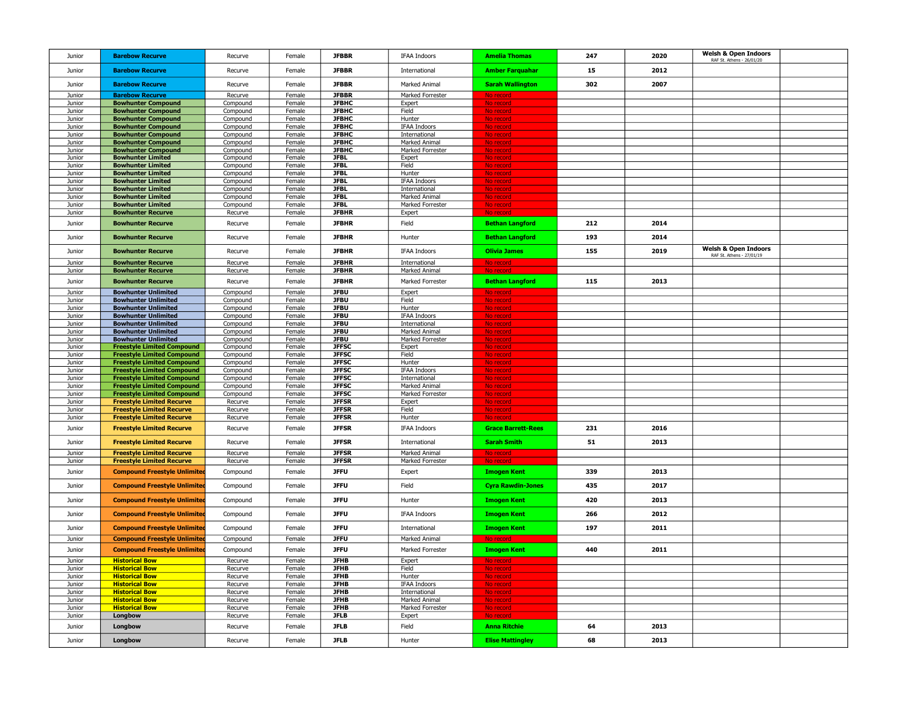| Junior | <b>Barebow Recurve</b>              | Recurve  | Female           | <b>JFBBR</b> | <b>IFAA Indoors</b>            | <b>Amelia Thomas</b>      | 247 | 2020 | <b>Welsh &amp; Open Indoors</b><br>RAF St. Athens - 26/01/20 |  |
|--------|-------------------------------------|----------|------------------|--------------|--------------------------------|---------------------------|-----|------|--------------------------------------------------------------|--|
| Junior | <b>Barebow Recurve</b>              | Recurve  | Female           | <b>JFBBR</b> | International                  | <b>Amber Farquahar</b>    | 15  | 2012 |                                                              |  |
| Junior | <b>Barebow Recurve</b>              | Recurve  | Female           | <b>JFBBR</b> | Marked Animal                  | <b>Sarah Wallington</b>   | 302 | 2007 |                                                              |  |
| Junior | <b>Barebow Recurve</b>              | Recurve  | Female           | <b>JFBBR</b> | Marked Forrester               | No record                 |     |      |                                                              |  |
| Junior | <b>Bowhunter Compound</b>           | Compound | Female           | <b>JFBHC</b> | Expert                         | No record                 |     |      |                                                              |  |
| Junior | <b>Bowhunter Compound</b>           | Compound | Female           | <b>JFBHC</b> | Field                          | No record                 |     |      |                                                              |  |
| Junior | <b>Bowhunter Compound</b>           | Compound | Female           | <b>JFBHC</b> | Hunter                         | No record                 |     |      |                                                              |  |
| Junior | <b>Bowhunter Compound</b>           | Compound | Female           | <b>JFBHC</b> | <b>IFAA Indoors</b>            | No record                 |     |      |                                                              |  |
| Junior | <b>Bowhunter Compound</b>           | Compound | Female           | <b>JFBHC</b> | International                  | No record                 |     |      |                                                              |  |
| Junior | <b>Bowhunter Compound</b>           | Compound | Female           | <b>JFBHC</b> | Marked Animal                  | No record                 |     |      |                                                              |  |
| Junior | <b>Bowhunter Compound</b>           | Compound | Female           | <b>JFBHC</b> | Marked Forrester               | No record                 |     |      |                                                              |  |
| Junior | <b>Bowhunter Limited</b>            | Compound | Female           | <b>JFBL</b>  | Expert                         | No recon                  |     |      |                                                              |  |
|        |                                     |          |                  | <b>JFBL</b>  | Field                          |                           |     |      |                                                              |  |
| Junior | <b>Bowhunter Limited</b>            | Compound | Female           |              |                                | No record                 |     |      |                                                              |  |
| Junior | <b>Bowhunter Limited</b>            | Compound | Female           | <b>JFBL</b>  | Hunter                         | No record                 |     |      |                                                              |  |
| Junior | <b>Bowhunter Limited</b>            | Compound | Female           | <b>JFBL</b>  | <b>IFAA Indoors</b>            | No record                 |     |      |                                                              |  |
| Junior | <b>Bowhunter Limited</b>            | Compound | Female           | <b>JFBL</b>  | International                  | No record                 |     |      |                                                              |  |
| Junior | <b>Bowhunter Limited</b>            | Compound | Female           | <b>JFBL</b>  | Marked Animal                  | No record                 |     |      |                                                              |  |
| Junior | <b>Bowhunter Limited</b>            | Compound | Female           | <b>JFBL</b>  | Marked Forrester               | No record                 |     |      |                                                              |  |
| Junior | <b>Bowhunter Recurve</b>            | Recurve  | Female           | <b>JFBHR</b> | Expert                         | No record                 |     |      |                                                              |  |
| Junior | <b>Bowhunter Recurve</b>            | Recurve  | Female           | <b>JFBHR</b> | Field                          | <b>Bethan Langford</b>    | 212 | 2014 |                                                              |  |
|        |                                     |          |                  |              |                                |                           |     |      |                                                              |  |
| Junior | <b>Bowhunter Recurve</b>            | Recurve  | Female           | <b>JFBHR</b> | Hunter                         | <b>Bethan Langford</b>    | 193 | 2014 |                                                              |  |
| Junior | <b>Bowhunter Recurve</b>            | Recurve  | Female           | <b>JFBHR</b> | IFAA Indoors                   | <b>Olivia James</b>       | 155 | 2019 | <b>Welsh &amp; Open Indoors</b>                              |  |
|        |                                     |          |                  |              |                                |                           |     |      | RAF St. Athens - 27/01/19                                    |  |
| Junior | <b>Bowhunter Recurve</b>            | Recurve  | Female           | <b>JFBHR</b> | International                  | No record                 |     |      |                                                              |  |
| Junior | <b>Bowhunter Recurve</b>            | Recurve  | Female           | <b>JFBHR</b> | Marked Animal                  | No record                 |     |      |                                                              |  |
| Junior | <b>Bowhunter Recurve</b>            | Recurve  | Female           | <b>JFBHR</b> | Marked Forrester               | <b>Bethan Langford</b>    | 115 | 2013 |                                                              |  |
| Junior | <b>Bowhunter Unlimited</b>          | Compound | Female           | <b>JFBU</b>  | Expert                         | No record                 |     |      |                                                              |  |
| Junior | <b>Bowhunter Unlimited</b>          | Compound | Female           | <b>JFBU</b>  | Field                          | No record                 |     |      |                                                              |  |
| Junior | <b>Bowhunter Unlimited</b>          | Compound | Female           | <b>JFBU</b>  | <b>Hunter</b>                  | No record                 |     |      |                                                              |  |
| Junior | <b>Bowhunter Unlimited</b>          | Compound | Female           | <b>JFBU</b>  | <b>IFAA Indoors</b>            | No record                 |     |      |                                                              |  |
| Junior | <b>Bowhunter Unlimited</b>          | Compound | Female           | <b>JFBU</b>  | International                  | No record                 |     |      |                                                              |  |
| Junior | <b>Bowhunter Unlimited</b>          | Compound | Female           | <b>JFBU</b>  | Marked Animal                  | No record                 |     |      |                                                              |  |
| Junior | <b>Bowhunter Unlimited</b>          | Compound | Female           | <b>JFBU</b>  | Marked Forrester               | No record                 |     |      |                                                              |  |
| Junior | <b>Freestyle Limited Compound</b>   | Compound | Female           | <b>JFFSC</b> | Expert                         | No record                 |     |      |                                                              |  |
| Junior | <b>Freestyle Limited Compound</b>   | Compound | Female           | <b>JFFSC</b> | Field                          | No record                 |     |      |                                                              |  |
| Junior | <b>Freestyle Limited Compound</b>   | Compound | Female           | <b>JFFSC</b> | Hunter                         | No record                 |     |      |                                                              |  |
| Junior | <b>Freestyle Limited Compound</b>   | Compound | Female           | <b>JFFSC</b> | <b>IFAA Indoors</b>            | No record                 |     |      |                                                              |  |
| Junior | <b>Freestyle Limited Compound</b>   | Compound | Female           | <b>JFFSC</b> | International                  | No record                 |     |      |                                                              |  |
| Junior | <b>Freestyle Limited Compound</b>   | Compound | Female           | <b>JFFSC</b> | Marked Animal                  | No record                 |     |      |                                                              |  |
| Junior | <b>Freestyle Limited Compound</b>   | Compound | Female           | <b>JFFSC</b> | Marked Forrester               | No record                 |     |      |                                                              |  |
| Junior | <b>Freestyle Limited Recurve</b>    | Recurve  | Female           | <b>JFFSR</b> | Expert                         | No recon                  |     |      |                                                              |  |
| Junior | <b>Freestyle Limited Recurve</b>    | Recurve  | Female           | <b>JFFSR</b> | Field                          | No record                 |     |      |                                                              |  |
| Junior | <b>Freestyle Limited Recurve</b>    | Recurve  | Female           | <b>JFFSR</b> | Hunter                         | No record                 |     |      |                                                              |  |
|        |                                     |          |                  |              |                                |                           |     |      |                                                              |  |
| Junior | <b>Freestyle Limited Recurve</b>    | Recurve  | Female           | <b>JFFSR</b> | IFAA Indoors                   | <b>Grace Barrett-Rees</b> | 231 | 2016 |                                                              |  |
| Junior | <b>Freestyle Limited Recurve</b>    | Recurve  | Female           | <b>JFFSR</b> | International                  | <b>Sarah Smith</b>        | 51  | 2013 |                                                              |  |
| Junior | <b>Freestyle Limited Recurve</b>    | Recurve  | Female           | <b>JFFSR</b> | Marked Animal                  | No record                 |     |      |                                                              |  |
| Junior | <b>Freestyle Limited Recurve</b>    | Recurve  | Female           | <b>JFFSR</b> | Marked Forrester               | No record                 |     |      |                                                              |  |
| Junior | <b>Compound Freestyle Unlimited</b> | Compound | Female           | <b>JFFU</b>  | Expert                         | <b>Imogen Kent</b>        | 339 | 2013 |                                                              |  |
| Junior | <b>Compound Freestyle Unlimited</b> | Compound | Female           | <b>JFFU</b>  | Field                          | <b>Cyra Rawdin-Jones</b>  | 435 | 2017 |                                                              |  |
| Junior | <b>Compound Freestyle Unlimited</b> | Compound | Female           | <b>JFFU</b>  | Hunter                         | <b>Imogen Kent</b>        | 420 | 2013 |                                                              |  |
|        |                                     |          |                  |              |                                |                           |     |      |                                                              |  |
| Junior | <b>Compound Freestyle Unlimited</b> | Compound | Female           | <b>JFFU</b>  | <b>IFAA Indoors</b>            | <b>Imogen Kent</b>        | 266 | 2012 |                                                              |  |
| Junior | <b>Compound Freestyle Unlimited</b> | Compound | Female           | <b>JFFU</b>  | International                  | <b>Imogen Kent</b>        | 197 | 2011 |                                                              |  |
| Junior | <b>Compound Freestyle Unlimited</b> | Compound | Female           | <b>JFFU</b>  | Marked Animal                  | No recor                  |     |      |                                                              |  |
| Junior | <b>Compound Freestyle Unlimited</b> | Compound | Female           | <b>JFFU</b>  | Marked Forrester               | <b>Imogen Kent</b>        | 440 | 2011 |                                                              |  |
| Junior | <b>Historical Bow</b>               | Recurve  | Female           | <b>JFHB</b>  | Expert                         |                           |     |      |                                                              |  |
| Junior | <b>Historical Bow</b>               | Recurve  | Female           | <b>JFHB</b>  | Field                          | No record                 |     |      |                                                              |  |
| Junior | <b>Historical Bow</b>               | Recurve  | Female           | <b>JFHB</b>  | Hunter                         | No record                 |     |      |                                                              |  |
| Junior | <b>Historical Bow</b>               | Recurve  | Female           | <b>JFHB</b>  | IFAA Indoors                   |                           |     |      |                                                              |  |
|        |                                     |          |                  | <b>JFHB</b>  |                                | No record                 |     |      |                                                              |  |
| Junior | <b>Historical Bow</b>               | Recurve  | Female<br>Female | <b>JFHB</b>  | International<br>Marked Animal | No record                 |     |      |                                                              |  |
| Junior | <b>Historical Bow</b>               | Recurve  |                  | <b>JFHB</b>  |                                | No record                 |     |      |                                                              |  |
| Junior | <b>Historical Bow</b>               | Recurve  | Female           |              | Marked Forrester               | No record                 |     |      |                                                              |  |
| Junior | Longbow                             | Recurve  | Female           | <b>JFLB</b>  | Expert                         | No record                 |     |      |                                                              |  |
| Junior | Longbow                             | Recurve  | Female           | <b>JFLB</b>  | Field                          | <b>Anna Ritchie</b>       | 64  | 2013 |                                                              |  |
| Junior | Longbow                             | Recurve  | Female           | <b>JFLB</b>  | Hunter                         | <b>Elise Mattingley</b>   | 68  | 2013 |                                                              |  |
|        |                                     |          |                  |              |                                |                           |     |      |                                                              |  |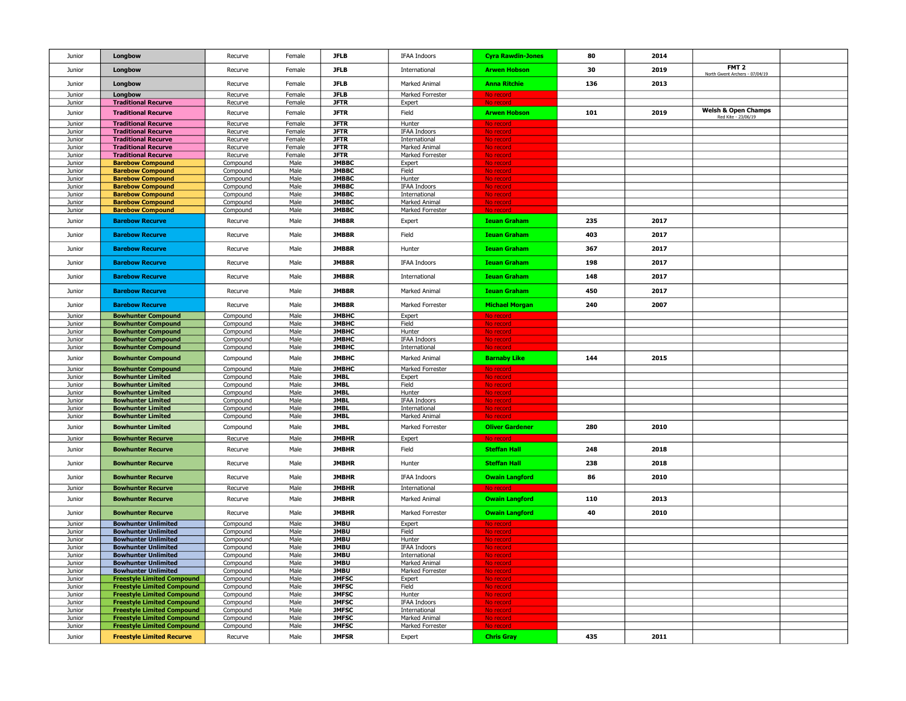| Junior           | Longbow                                                                | Recurve              | Female         | <b>JFLB</b>                  | IFAA Indoors                         | <b>Cyra Rawdin-Jones</b> | 80  | 2014 |                                                       |  |
|------------------|------------------------------------------------------------------------|----------------------|----------------|------------------------------|--------------------------------------|--------------------------|-----|------|-------------------------------------------------------|--|
| Junior           | Longbow                                                                | Recurve              | Female         | <b>JFLB</b>                  | International                        | <b>Arwen Hobson</b>      | 30  | 2019 | FMT <sub>2</sub><br>North Gwent Archers - 07/04/19    |  |
| Junior           | Longbow                                                                | Recurve              | Female         | <b>JFLB</b>                  | Marked Animal                        | <b>Anna Ritchie</b>      | 136 | 2013 |                                                       |  |
| Junior           | Longbow                                                                | Recurve              | Female         | <b>JFLB</b>                  | Marked Forrester                     | No record                |     |      |                                                       |  |
| Junior           | <b>Traditional Recurve</b>                                             | Recurve              | Female         | <b>JFTR</b>                  | Expert                               | No reco                  |     |      |                                                       |  |
| Junior           | <b>Traditional Recurve</b>                                             | Recurve              | Female         | <b>JFTR</b>                  | Field                                | <b>Arwen Hobson</b>      | 101 | 2019 | <b>Welsh &amp; Open Champs</b><br>Red Kite - 23/06/19 |  |
| Junior           | <b>Traditional Recurve</b>                                             | Recurve              | Female         | <b>JFTR</b>                  | Hunter                               | No reco                  |     |      |                                                       |  |
| Junior           | <b>Traditional Recurve</b>                                             | Recurve              | Female         | <b>JFTR</b>                  | <b>IFAA Indoors</b>                  | No reco                  |     |      |                                                       |  |
| Junior           | <b>Traditional Recurve</b>                                             | Recurve              | Female         | <b>JFTR</b>                  | International                        | No recor                 |     |      |                                                       |  |
| Junior           | <b>Traditional Recurve</b><br><b>Traditional Recurve</b>               | Recurve              | Female         | <b>JFTR</b><br><b>JFTR</b>   | Marked Animal<br>Marked Forrester    | No record<br>No recor    |     |      |                                                       |  |
| Junior<br>Junior | <b>Barebow Compound</b>                                                | Recurve<br>Compound  | Female<br>Male | <b>JMBBC</b>                 | Expert                               | No record                |     |      |                                                       |  |
| Junior           | <b>Barebow Compound</b>                                                | Compound             | Male           | <b>JMBBC</b>                 | Field                                | No record                |     |      |                                                       |  |
| Junior           | <b>Barebow Compound</b>                                                | Compound             | Male           | <b>JMBBC</b>                 | Hunter                               | No record                |     |      |                                                       |  |
| Junior           | <b>Barebow Compound</b>                                                | Compound             | Male           | <b>JMBBC</b>                 | <b>IFAA Indoors</b>                  | No record                |     |      |                                                       |  |
| Junior           | <b>Barebow Compound</b>                                                | Compound             | Male           | <b>JMBBC</b>                 | International                        | No record                |     |      |                                                       |  |
| Junior<br>Junior | <b>Barebow Compound</b><br><b>Barebow Compound</b>                     | Compound<br>Compound | Male<br>Male   | <b>JMBBC</b><br><b>JMBBC</b> | Marked Animal<br>Marked Forrester    | No record<br>No reco     |     |      |                                                       |  |
|                  |                                                                        |                      |                |                              |                                      |                          |     |      |                                                       |  |
| Junior           | <b>Barebow Recurve</b>                                                 | Recurve              | Male           | <b>JMBBR</b>                 | Expert                               | <b>Ieuan Graham</b>      | 235 | 2017 |                                                       |  |
| Junior           | <b>Barebow Recurve</b>                                                 | Recurve              | Male           | <b>JMBBR</b>                 | Field                                | <b>Ieuan Graham</b>      | 403 | 2017 |                                                       |  |
| Junior           | <b>Barebow Recurve</b>                                                 | Recurve              | Male           | <b>JMBBR</b>                 | Hunter                               | <b>Ieuan Graham</b>      | 367 | 2017 |                                                       |  |
| Junior           | <b>Barebow Recurve</b>                                                 | Recurve              | Male           | <b>JMBBR</b>                 | <b>IFAA Indoors</b>                  | <b>Ieuan Graham</b>      | 198 | 2017 |                                                       |  |
| Junior           | <b>Barebow Recurve</b>                                                 | Recurve              | Male           | <b>JMBBR</b>                 | International                        | <b>Ieuan Graham</b>      | 148 | 2017 |                                                       |  |
| Junior           | <b>Barebow Recurve</b>                                                 | Recurve              | Male           | <b>JMBBR</b>                 | Marked Animal                        | <b>Ieuan Graham</b>      | 450 | 2017 |                                                       |  |
| Junior           | <b>Barebow Recurve</b>                                                 | Recurve              | Male           | <b>JMBBR</b>                 | Marked Forrester                     | <b>Michael Morgan</b>    | 240 | 2007 |                                                       |  |
| Junior           | <b>Bowhunter Compound</b>                                              | Compound             | Male           | <b>JMBHC</b>                 | Expert                               | No record                |     |      |                                                       |  |
| Junior           | <b>Bowhunter Compound</b>                                              | Compound             | Male           | <b>JMBHC</b>                 | Field                                | No record                |     |      |                                                       |  |
| Junior           | <b>Bowhunter Compound</b>                                              | Compound             | Male           | <b>JMBHC</b>                 | Hunter                               | No record                |     |      |                                                       |  |
| Junior<br>Junior | <b>Bowhunter Compound</b><br><b>Bowhunter Compound</b>                 | Compound<br>Compound | Male<br>Male   | <b>JMBHC</b><br><b>JMBHC</b> | <b>IFAA Indoors</b><br>International | No record<br>No reco     |     |      |                                                       |  |
| Junior           | <b>Bowhunter Compound</b>                                              | Compound             | Male           | <b>JMBHC</b>                 | Marked Animal                        | <b>Barnaby Like</b>      | 144 | 2015 |                                                       |  |
| Junior           | <b>Bowhunter Compound</b>                                              | Compound             | Male           | <b>JMBHC</b>                 | Marked Forrester                     | No reco                  |     |      |                                                       |  |
| Junior           | <b>Bowhunter Limited</b>                                               | Compound             | Male           | <b>JMBL</b>                  | Expert                               | No record                |     |      |                                                       |  |
| Junior           | <b>Bowhunter Limited</b>                                               | Compound             | Male           | <b>JMBL</b>                  | Field                                | No record                |     |      |                                                       |  |
| Junior           | <b>Bowhunter Limited</b>                                               | Compound             | Male           | <b>JMBL</b>                  | Hunter                               | No record                |     |      |                                                       |  |
| Junior<br>Junior | <b>Bowhunter Limited</b><br><b>Bowhunter Limited</b>                   | Compound             | Male<br>Male   | <b>JMBL</b><br><b>JMBL</b>   | <b>IFAA Indoors</b><br>International | No record<br>No record   |     |      |                                                       |  |
| Junior           | <b>Bowhunter Limited</b>                                               | Compound<br>Compound | Male           | <b>JMBL</b>                  | Marked Animal                        | No record                |     |      |                                                       |  |
| Junior           | <b>Bowhunter Limited</b>                                               | Compound             | Male           | <b>JMBL</b>                  | Marked Forrester                     | <b>Oliver Gardener</b>   | 280 | 2010 |                                                       |  |
| Junior           | <b>Bowhunter Recurve</b>                                               | Recurve              | Male           | <b>JMBHR</b>                 | Expert                               | No recor                 |     |      |                                                       |  |
| Junior           | <b>Bowhunter Recurve</b>                                               | Recurve              | Male           | <b>JMBHR</b>                 | Field                                | <b>Steffan Hall</b>      | 248 | 2018 |                                                       |  |
|                  |                                                                        |                      |                |                              |                                      |                          |     |      |                                                       |  |
| Junior           | <b>Bowhunter Recurve</b>                                               | Recurve              | Male           | <b>JMBHR</b>                 | Hunter                               | <b>Steffan Hall</b>      | 238 | 2018 |                                                       |  |
| Junior           | <b>Bowhunter Recurve</b>                                               | Recurve              | Male<br>Male   | <b>JMBHR</b><br><b>JMBHR</b> | <b>IFAA Indoors</b>                  | <b>Owain Langford</b>    | 86  | 2010 |                                                       |  |
| Junior           | <b>Bowhunter Recurve</b>                                               | Recurve              |                |                              | International                        |                          |     |      |                                                       |  |
| Junior           | <b>Bowhunter Recurve</b>                                               | Recurve              | Male           | <b>JMBHR</b>                 | Marked Animal                        | <b>Owain Langford</b>    | 110 | 2013 |                                                       |  |
| Junior           | <b>Bowhunter Recurve</b>                                               | Recurve              | Male           | <b>JMBHR</b>                 | Marked Forrester                     | <b>Owain Langford</b>    | 40  | 2010 |                                                       |  |
| Junior           | <b>Bowhunter Unlimited</b>                                             | Compound             | Male           | <b>JMBU</b><br><b>JMBU</b>   | Expert                               | No record                |     |      |                                                       |  |
| Junior<br>Junior | <b>Bowhunter Unlimited</b><br><b>Bowhunter Unlimited</b>               | Compound<br>Compound | Male<br>Male   | <b>JMBU</b>                  | Field<br>Hunter                      | No recor<br>No record    |     |      |                                                       |  |
| Junior           | <b>Bowhunter Unlimited</b>                                             | Compound             | Male           | <b>JMBU</b>                  | <b>IFAA Indoors</b>                  | No record                |     |      |                                                       |  |
| Junior           | <b>Bowhunter Unlimited</b>                                             | Compound             | Male           | <b>JMBU</b>                  | International                        | No record                |     |      |                                                       |  |
| Junior           | <b>Bowhunter Unlimited</b>                                             | Compound             | Male           | <b>JMBU</b>                  | Marked Animal                        | No record                |     |      |                                                       |  |
| Junior           | <b>Bowhunter Unlimited</b>                                             | Compound             | Male           | <b>JMBU</b>                  | Marked Forrester                     | No record                |     |      |                                                       |  |
| Junior<br>Junior | <b>Freestyle Limited Compound</b><br><b>Freestyle Limited Compound</b> | Compound<br>Compound | Male<br>Male   | <b>JMFSC</b><br><b>JMFSC</b> | Expert<br>Field                      | No record<br>No record   |     |      |                                                       |  |
| Junior           | <b>Freestyle Limited Compound</b>                                      | Compound             | Male           | <b>JMFSC</b>                 | Hunter                               | No record                |     |      |                                                       |  |
| Junior           | <b>Freestyle Limited Compound</b>                                      | Compound             | Male           | <b>JMFSC</b>                 | <b>IFAA Indoors</b>                  | No record                |     |      |                                                       |  |
| Junior           | <b>Freestyle Limited Compound</b>                                      | Compound             | Male           | <b>JMFSC</b>                 | International                        | No record                |     |      |                                                       |  |
| Junior           | <b>Freestyle Limited Compound</b>                                      | Compound             | Male           | <b>JMFSC</b>                 | Marked Animal                        | No record                |     |      |                                                       |  |
| Junior           | <b>Freestyle Limited Compound</b>                                      | Compound             | Male           | <b>JMFSC</b>                 | Marked Forrester                     | No record                |     |      |                                                       |  |
| Junior           | <b>Freestyle Limited Recurve</b>                                       | Recurve              | Male           | <b>JMFSR</b>                 | Expert                               | <b>Chris Gray</b>        | 435 | 2011 |                                                       |  |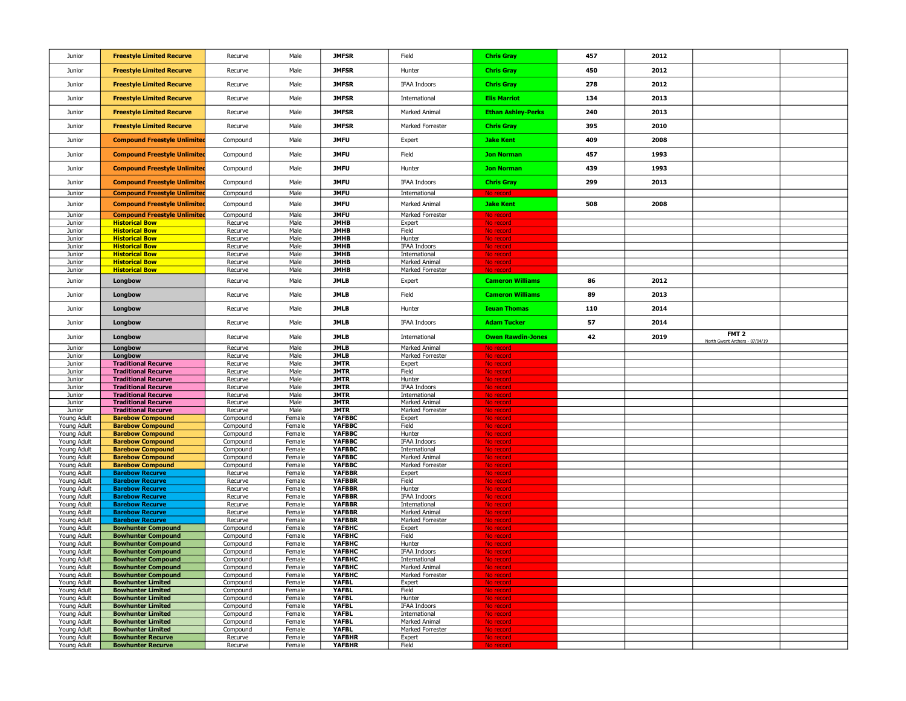| Junior                     | <b>Freestyle Limited Recurve</b>                         | Recurve              | Male             | <b>JMFSR</b>                   | Field                          | <b>Chris Gray</b>         | 457 | 2012 |                                                    |  |
|----------------------------|----------------------------------------------------------|----------------------|------------------|--------------------------------|--------------------------------|---------------------------|-----|------|----------------------------------------------------|--|
| Junior                     | <b>Freestyle Limited Recurve</b>                         | Recurve              | Male             | <b>JMFSR</b>                   | Hunter                         | <b>Chris Gray</b>         | 450 | 2012 |                                                    |  |
| Junior                     | <b>Freestyle Limited Recurve</b>                         | Recurve              | Male             | <b>JMFSR</b>                   | IFAA Indoors                   | <b>Chris Gray</b>         | 278 | 2012 |                                                    |  |
| Junior                     | <b>Freestyle Limited Recurve</b>                         | Recurve              | Male             | <b>JMFSR</b>                   | International                  | <b>Elis Marriot</b>       | 134 | 2013 |                                                    |  |
| Junior                     | <b>Freestyle Limited Recurve</b>                         | Recurve              | Male             | <b>JMFSR</b>                   | Marked Animal                  | <b>Ethan Ashley-Perks</b> | 240 | 2013 |                                                    |  |
| Junior                     | <b>Freestyle Limited Recurve</b>                         | Recurve              | Male             | <b>JMFSR</b>                   | Marked Forrester               | <b>Chris Gray</b>         | 395 | 2010 |                                                    |  |
| Junior                     | <b>Compound Freestyle Unlimited</b>                      | Compound             | Male             | <b>JMFU</b>                    | Expert                         | <b>Jake Kent</b>          | 409 | 2008 |                                                    |  |
| Junior                     | <b>Compound Freestyle Unlimited</b>                      | Compound             | Male             | <b>JMFU</b>                    | Field                          | <b>Jon Norman</b>         | 457 | 1993 |                                                    |  |
| Junior                     | <b>Compound Freestyle Unlimited</b>                      | Compound             | Male             | <b>JMFU</b>                    | Hunter                         | <b>Jon Norman</b>         | 439 | 1993 |                                                    |  |
| Junior                     | <b>Compound Freestyle Unlimited</b>                      | Compound             | Male             | <b>JMFU</b>                    | IFAA Indoors                   | <b>Chris Gray</b>         | 299 | 2013 |                                                    |  |
| Junior                     | <b>Compound Freestyle Unlimited</b>                      | Compound             | Male             | <b>JMFU</b>                    | International                  | No record                 |     |      |                                                    |  |
| Junior                     | <b>Compound Freestyle Unlimited</b>                      | Compound             | Male             | <b>JMFU</b>                    | Marked Animal                  | <b>Jake Kent</b>          | 508 | 2008 |                                                    |  |
| Junior                     | <b>Compound Freestyle Unlimited</b>                      | Compound             | Male             | <b>JMFU</b>                    | Marked Forrester               | No record                 |     |      |                                                    |  |
| Junior                     | <b>Historical Bow</b>                                    | Recurve              | Male             | <b>JMHB</b>                    | Expert                         | No record                 |     |      |                                                    |  |
| Junior<br>Junior           | <b>Historical Bow</b><br><b>Historical Bow</b>           | Recurve<br>Recurve   | Male<br>Male     | <b>JMHB</b><br><b>JMHB</b>     | Field<br>Hunter                | No record<br>No record    |     |      |                                                    |  |
| Junior                     | <b>Historical Bow</b>                                    | Recurve              | Male             | <b>JMHB</b>                    | <b>IFAA Indoors</b>            | No record                 |     |      |                                                    |  |
| Junior                     | <b>Historical Bow</b>                                    | Recurve              | Male             | <b>JMHB</b>                    | International                  | No record                 |     |      |                                                    |  |
| Junior                     | <b>Historical Bow</b>                                    | Recurve              | Male             | <b>JMHB</b>                    | Marked Animal                  | No record                 |     |      |                                                    |  |
| Junior                     | <b>Historical Bow</b>                                    | Recurve              | Male             | <b>JMHB</b>                    | Marked Forrester               | No record                 |     |      |                                                    |  |
| Junior                     | Longbow                                                  | Recurve              | Male             | <b>JMLB</b>                    | Expert                         | <b>Cameron Williams</b>   | 86  | 2012 |                                                    |  |
| Junior                     | Longbow                                                  | Recurve              | Male             | <b>JMLB</b>                    | Field                          | <b>Cameron Williams</b>   | 89  | 2013 |                                                    |  |
| Junior                     | Longbow                                                  | Recurve              | Male             | <b>JMLB</b>                    | Hunter                         | <b>Ieuan Thomas</b>       | 110 | 2014 |                                                    |  |
| Junior                     | Longbow                                                  | Recurve              | Male             | <b>JMLB</b>                    | <b>IFAA Indoors</b>            | <b>Adam Tucker</b>        | 57  | 2014 |                                                    |  |
| Junior                     | Longbow                                                  | Recurve              | Male             | <b>JMLB</b>                    | International                  | <b>Owen Rawdin-Jones</b>  | 42  | 2019 | FMT <sub>2</sub><br>North Gwent Archers - 07/04/19 |  |
| Junior                     | Longbow                                                  |                      |                  | <b>JMLB</b>                    |                                |                           |     |      |                                                    |  |
|                            |                                                          | Recurve              | Male             |                                | Marked Animal                  | No record                 |     |      |                                                    |  |
| Junior                     | Longbow                                                  | Recurve              | Male             | <b>JMLB</b>                    | Marked Forrester               | No record                 |     |      |                                                    |  |
| Junior                     | <b>Traditional Recurve</b>                               | Recurve              | Male             | <b>JMTR</b>                    | Expert                         | No record                 |     |      |                                                    |  |
| Junior<br>Junior           | <b>Traditional Recurve</b><br><b>Traditional Recurve</b> | Recurve<br>Recurve   | Male<br>Male     | <b>JMTR</b><br><b>JMTR</b>     | Field<br>Hunter                | No record<br>No record    |     |      |                                                    |  |
| Junior                     | <b>Traditional Recurve</b>                               | Recurve              | Male             | <b>JMTR</b>                    | <b>IFAA Indoors</b>            | No record                 |     |      |                                                    |  |
| Junior                     | <b>Traditional Recurve</b>                               | Recurve              | Male             | <b>JMTR</b>                    | International                  | No record                 |     |      |                                                    |  |
| Junior                     | <b>Traditional Recurve</b>                               | Recurve              | Male             | <b>JMTR</b>                    | Marked Animal                  | No record                 |     |      |                                                    |  |
| Junior                     | <b>Traditional Recurve</b>                               | Recurve              | Male             | <b>JMTR</b>                    | Marked Forrester               | No record                 |     |      |                                                    |  |
| Young Adult                | <b>Barebow Compound</b>                                  | Compound             | Female           | <b>YAFBBC</b><br>YAFBBC        | Expert<br>Field                | No record                 |     |      |                                                    |  |
| Young Adult<br>Young Adult | <b>Barebow Compound</b><br><b>Barebow Compound</b>       | Compound<br>Compound | Female<br>Female | YAFBBC                         | Hunter                         | No record<br>No record    |     |      |                                                    |  |
| Young Adult                | <b>Barebow Compound</b>                                  | Compound             | Female           | YAFBBC                         | <b>IFAA Indoors</b>            | No record                 |     |      |                                                    |  |
| Young Adult                | <b>Barebow Compound</b>                                  | Compound             | Female           | YAFBBC                         | International                  | No record                 |     |      |                                                    |  |
| Young Adult                | <b>Barebow Compound</b>                                  | Compound             | Female           | YAFBBC                         | Marked Animal                  | No record                 |     |      |                                                    |  |
| Young Adult                | <b>Barebow Compound</b>                                  | Compound             | Female           | YAFBBC                         | Marked Forrester               | No record                 |     |      |                                                    |  |
| Young Adult<br>Young Adult | <b>Barebow Recurve</b><br><b>Barebow Recurve</b>         | Recurve<br>Recurve   | Female<br>Female | <b>YAFBBR</b><br><b>YAFBBR</b> | Expert<br>Field                | No record<br>No record    |     |      |                                                    |  |
| Young Adult                | <b>Barebow Recurve</b>                                   | Recurve              | Female           | <b>YAFBBR</b>                  | Hunter                         | No record                 |     |      |                                                    |  |
| Young Adult                | <b>Barebow Recurve</b>                                   | Recurve              | Female           | <b>YAFBBR</b>                  | <b>IFAA Indoors</b>            | No record                 |     |      |                                                    |  |
| Young Adult                | <b>Barebow Recurve</b>                                   | Recurve              | Female           | <b>YAFBBR</b>                  | International                  | No record                 |     |      |                                                    |  |
| Young Adult                | <b>Barebow Recurve</b>                                   | Recurve              | Female           | <b>YAFBBR</b>                  | Marked Animal                  | No record                 |     |      |                                                    |  |
| Young Adult<br>Young Adult | <b>Barebow Recurve</b><br><b>Bowhunter Compound</b>      | Recurve<br>Compound  | Female<br>Female | <b>YAFBBR</b><br>YAFBHC        | Marked Forrester<br>Expert     | No record<br>No record    |     |      |                                                    |  |
| Young Adult                | <b>Bowhunter Compound</b>                                | Compound             | Female           | YAFBHC                         | Field                          | No record                 |     |      |                                                    |  |
| Young Adult                | <b>Bowhunter Compound</b>                                | Compound             | Female           | YAFBHC                         | Hunter                         | No record                 |     |      |                                                    |  |
| Young Adult                | <b>Bowhunter Compound</b>                                | Compound             | Female           | YAFBHC                         | <b>IFAA Indoors</b>            | No record                 |     |      |                                                    |  |
| Young Adult                | <b>Bowhunter Compound</b>                                | Compound             | Female           | ҮАҒВНС                         | International                  |                           |     |      |                                                    |  |
| Young Adult                | <b>Bowhunter Compound</b>                                | Compound             | Female           | YAFBHC                         | Marked Animal                  | No record                 |     |      |                                                    |  |
| Young Adult<br>Young Adult | <b>Bowhunter Compound</b><br><b>Bowhunter Limited</b>    | Compound<br>Compound | Female<br>Female | YAFBHC<br><b>YAFBL</b>         | Marked Forrester<br>Expert     | No record<br>No record    |     |      |                                                    |  |
| Young Adult                | <b>Bowhunter Limited</b>                                 | Compound             | Female           | <b>YAFBL</b>                   | Field                          | No record                 |     |      |                                                    |  |
| Young Adult                | <b>Bowhunter Limited</b>                                 | Compound             | Female           | <b>YAFBL</b>                   | Hunter                         | No record                 |     |      |                                                    |  |
| Young Adult                | <b>Bowhunter Limited</b>                                 | Compound             | Female           | YAFBL                          | <b>IFAA Indoors</b>            | No record                 |     |      |                                                    |  |
| Young Adult                | <b>Bowhunter Limited</b>                                 | Compound             | Female           | <b>YAFBL</b><br>YAFBL          | International<br>Marked Animal | No record                 |     |      |                                                    |  |
| Young Adult<br>Young Adult | <b>Bowhunter Limited</b><br><b>Bowhunter Limited</b>     | Compound<br>Compound | Female<br>Female | <b>YAFBL</b>                   | Marked Forrester               | No record<br>No record    |     |      |                                                    |  |
| Young Adult<br>Young Adult | <b>Bowhunter Recurve</b><br><b>Bowhunter Recurve</b>     | Recurve<br>Recurve   | Female<br>Female | <b>YAFBHR</b><br><b>YAFBHR</b> | Expert<br>Field                | No record<br>No record    |     |      |                                                    |  |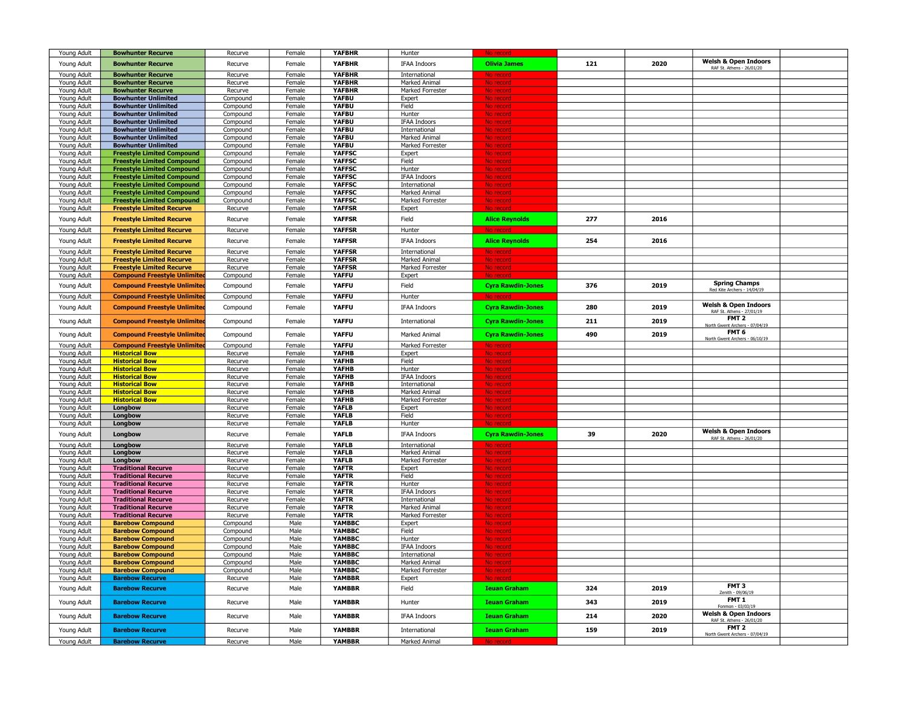| Young Adult                | <b>Bowhunter Recurve</b>                                               | Recurve              | Female           | <b>YAFBHR</b>                | Hunter                               |                          |     |      |                                                     |  |
|----------------------------|------------------------------------------------------------------------|----------------------|------------------|------------------------------|--------------------------------------|--------------------------|-----|------|-----------------------------------------------------|--|
| Young Adult                | <b>Bowhunter Recurve</b>                                               | Recurve              | Female           | <b>YAFBHR</b>                | <b>IFAA Indoors</b>                  | <b>Olivia James</b>      | 121 | 2020 | Welsh & Open Indoors                                |  |
| Young Adult                | <b>Bowhunter Recurve</b>                                               | Recurve              | Female           | <b>YAFBHR</b>                | International                        |                          |     |      | RAF St. Athens - 26/01/20                           |  |
| Young Adult                | <b>Bowhunter Recurve</b>                                               | Recurve              | Female           | <b>YAFBHR</b>                | Marked Animal                        | No recor<br>No record    |     |      |                                                     |  |
| Young Adult                | <b>Bowhunter Recurve</b>                                               | Recurve              | Female           | <b>YAFBHR</b>                | Marked Forrester                     | No record                |     |      |                                                     |  |
| Young Adult                | <b>Bowhunter Unlimited</b>                                             | Compound             | Female           | <b>YAFBU</b>                 | Expert                               | No record                |     |      |                                                     |  |
| Young Adult                | <b>Bowhunter Unlimited</b>                                             | Compound             | Female           | <b>YAFBU</b>                 | Field                                | No record                |     |      |                                                     |  |
| Young Adult                | <b>Bowhunter Unlimited</b>                                             | Compound             | Female           | <b>YAFBU</b>                 | Hunter                               | No record                |     |      |                                                     |  |
| Young Adult                | <b>Bowhunter Unlimited</b>                                             | Compound             | Female           | YAFBU                        | <b>IFAA Indoors</b>                  | No record                |     |      |                                                     |  |
| Young Adult                | <b>Bowhunter Unlimited</b>                                             | Compound             | Female           | <b>YAFBU</b>                 | International                        | No record                |     |      |                                                     |  |
| Young Adult                | <b>Bowhunter Unlimited</b>                                             | Compound             | Female           | YAFBU                        | Marked Animal                        | No record                |     |      |                                                     |  |
| Young Adult                | <b>Bowhunter Unlimited</b>                                             | Compound             | Female           | YAFBU                        | Marked Forrester                     | No record                |     |      |                                                     |  |
| Young Adult<br>Young Adult | <b>Freestyle Limited Compound</b><br><b>Freestyle Limited Compound</b> | Compound<br>Compound | Female<br>Female | YAFFSC<br><b>YAFFSC</b>      | Expert<br>Field                      | No record<br>No record   |     |      |                                                     |  |
| Young Adult                | <b>Freestyle Limited Compound</b>                                      | Compound             | Female           | YAFFSC                       | Hunter                               | No record                |     |      |                                                     |  |
| Young Adult                | <b>Freestyle Limited Compound</b>                                      | Compound             | Female           | <b>YAFFSC</b>                | <b>IFAA Indoors</b>                  | No record                |     |      |                                                     |  |
| Young Adult                | <b>Freestyle Limited Compound</b>                                      | Compound             | Female           | <b>YAFFSC</b>                | International                        | No record                |     |      |                                                     |  |
| Young Adult                | <b>Freestyle Limited Compound</b>                                      | Compound             | Female           | <b>YAFFSC</b>                | Marked Animal                        | No record                |     |      |                                                     |  |
| Young Adult                | <b>Freestyle Limited Compound</b>                                      | Compound             | Female           | <b>YAFFSC</b>                | Marked Forrester                     | <u>No record</u>         |     |      |                                                     |  |
| Young Adult                | <b>Freestyle Limited Recurve</b>                                       | Recurve              | Female           | <b>YAFFSR</b>                | Expert                               | No record                |     |      |                                                     |  |
| Young Adult                | <b>Freestyle Limited Recurve</b>                                       | Recurve              | Female           | <b>YAFFSR</b>                | Field                                | <b>Alice Reynolds</b>    | 277 | 2016 |                                                     |  |
| Young Adult                | <b>Freestyle Limited Recurve</b>                                       | Recurve              | Female           | <b>YAFFSR</b>                | Hunter                               | No reco                  |     |      |                                                     |  |
|                            |                                                                        |                      |                  |                              |                                      |                          |     |      |                                                     |  |
| Young Adult                | <b>Freestyle Limited Recurve</b>                                       | Recurve              | Female           | <b>YAFFSR</b>                | <b>IFAA Indoors</b>                  | <b>Alice Reynolds</b>    | 254 | 2016 |                                                     |  |
| Young Adult                | <b>Freestyle Limited Recurve</b>                                       | Recurve              | Female           | <b>YAFFSR</b>                | International                        | <u>No record</u>         |     |      |                                                     |  |
| Young Adult                | <b>Freestyle Limited Recurve</b>                                       | Recurve              | Female           | <b>YAFFSR</b>                | Marked Animal                        | No recol                 |     |      |                                                     |  |
| Young Adult                | <b>Freestyle Limited Recurve</b>                                       | Recurve              | Female           | <b>YAFFSR</b>                | <b>Marked Forrester</b>              | No record                |     |      |                                                     |  |
| Young Adult                | <b>Compound Freestyle Unlimited</b>                                    | Compound             | Female           | <b>YAFFU</b>                 | Expert                               | No recoi                 |     |      |                                                     |  |
| Young Adult                | <b>Compound Freestyle Unlimited</b>                                    | Compound             | Female           | <b>YAFFU</b>                 | Field                                | <b>Cyra Rawdin-Jones</b> | 376 | 2019 | <b>Spring Champs</b><br>Red Kite Archers - 14/04/19 |  |
| Young Adult                | <b>Compound Freestyle Unlimited</b>                                    | Compound             | Female           | <b>YAFFU</b>                 | Hunter                               | No recor                 |     |      |                                                     |  |
| Young Adult                | <b>Compound Freestyle Unlimited</b>                                    | Compound             | Female           | <b>YAFFU</b>                 | IFAA Indoors                         | <b>Cyra Rawdin-Jones</b> | 280 | 2019 | Welsh & Open Indoors                                |  |
|                            |                                                                        |                      |                  |                              |                                      |                          |     |      | RAF St. Athens - 27/01/19                           |  |
| Young Adult                | <b>Compound Freestyle Unlimited</b>                                    | Compound             | Female           | <b>YAFFU</b>                 | International                        | <b>Cyra Rawdin-Jones</b> | 211 | 2019 | FMT <sub>2</sub><br>North Gwent Archers - 07/04/19  |  |
| Young Adult                | <b>Compound Freestyle Unlimited</b>                                    | Compound             | Female           | <b>YAFFU</b>                 | Marked Animal                        | <b>Cyra Rawdin-Jones</b> | 490 | 2019 | FMT 6                                               |  |
|                            |                                                                        |                      |                  |                              |                                      |                          |     |      | North Gwent Archers - 06/10/19                      |  |
| Young Adult                | <b>Compound Freestyle Unlimited</b><br><b>Historical Bow</b>           | Compound             | Female           | <b>YAFFU</b><br><b>YAFHB</b> | Marked Forrester                     | <u>No recor</u>          |     |      |                                                     |  |
| Young Adult<br>Young Adult | <b>Historical Bow</b>                                                  | Recurve<br>Recurve   | Female<br>Female | <b>YAFHB</b>                 | Expert<br>Field                      | No record<br>No record   |     |      |                                                     |  |
| Young Adult                | <b>Historical Bow</b>                                                  | Recurve              | Female           | <b>YAFHB</b>                 | Hunter                               | No record                |     |      |                                                     |  |
| Young Adult                | <b>Historical Bow</b>                                                  | Recurve              | Female           | YAFHB                        | <b>IFAA Indoors</b>                  | No record                |     |      |                                                     |  |
| Young Adult                | <b>Historical Bow</b>                                                  | Recurve              | Female           | <b>YAFHB</b>                 | International                        | No record                |     |      |                                                     |  |
| Young Adult                | <b>Historical Bow</b>                                                  | Recurve              | Female           | <b>YAFHB</b>                 | Marked Animal                        | No record                |     |      |                                                     |  |
| Young Adult                | <b>Historical Bow</b>                                                  | Recurve              | Female           | YAFHB                        | Marked Forrester                     | No record                |     |      |                                                     |  |
| Young Adult                | Longbow                                                                | Recurve              | Female           | YAFLB                        | Expert                               | No record                |     |      |                                                     |  |
| Young Adult                | Longbow                                                                | Recurve<br>Recurve   | Female<br>Female | YAFLB<br>YAFL B              | Field<br>Hunter                      | No record<br>No record   |     |      |                                                     |  |
| Young Adult                | Longbow                                                                |                      |                  |                              |                                      |                          |     |      | <b>Welsh &amp; Open Indoors</b>                     |  |
| Young Adult                | Longbow                                                                | Recurve              | Female           | YAFLB                        | <b>IFAA Indoors</b>                  | <b>Cyra Rawdin-Jones</b> | 39  | 2020 | RAF St. Athens - 26/01/20                           |  |
| Young Adult                | Longbow                                                                | Recurve              | Female           | <b>YAFLB</b>                 | International                        | No record                |     |      |                                                     |  |
| Young Adult                | Longbow                                                                | Recurve              | Female           | <b>YAFLB</b>                 | Marked Animal                        | No recor                 |     |      |                                                     |  |
| Young Adult                | Longbow                                                                | Recurve              | Female           | YAFLB                        | Marked Forrester                     | No recor                 |     |      |                                                     |  |
| Young Adult                | <b>Traditional Recurve</b><br><b>Traditional Recurve</b>               | Recurve<br>Recurve   | Female<br>Female | <b>YAFTR</b><br><b>YAFTR</b> | Expert<br>Field                      | No record<br>No recor    |     |      |                                                     |  |
| Young Adult<br>Young Adult | <b>Traditional Recurve</b>                                             | Recurve              | Female           | <b>YAFTR</b>                 | Hunter                               | No record                |     |      |                                                     |  |
| Young Adult                | <b>Traditional Recurve</b>                                             | Recurve              | Female           | <b>YAFTR</b>                 | <b>IFAA Indoors</b>                  | No record                |     |      |                                                     |  |
| Young Adult                | <b>Traditional Recurve</b>                                             | Recurve              | Female           | <b>YAFTR</b>                 | International                        | No record                |     |      |                                                     |  |
| Young Adult                | <b>Traditional Recurve</b>                                             | Recurve              | Female           | <b>YAFTR</b>                 | Marked Animal                        | No record                |     |      |                                                     |  |
| Young Adult                | <b>Traditional Recurve</b>                                             | Recurve              | Female           | <b>YAFTR</b>                 | Marked Forrester                     | No record                |     |      |                                                     |  |
| Young Adult                | <b>Barebow Compound</b>                                                | Compound             | Male             | YAMBBC                       | Expert                               | No record                |     |      |                                                     |  |
| Young Adult                | <b>Barebow Compound</b>                                                | Compound             | Male             | YAMBBC                       | Field                                | <u>No record</u>         |     |      |                                                     |  |
| Young Adult                | <b>Barebow Compound</b>                                                | Compound             | Male             | YAMBBC<br>YAMBBC             | Hunter                               | No recor                 |     |      |                                                     |  |
| Young Adult<br>Young Adult | <b>Barebow Compound</b><br><b>Barebow Compound</b>                     | Compound<br>Compound | Male<br>Male     | YAMBBC                       | <b>IFAA Indoors</b><br>International | No recor                 |     |      |                                                     |  |
| Young Adult                | <b>Barebow Compound</b>                                                | Compound             | Male             | YAMBBC                       | Marked Animal                        | No recor<br>No record    |     |      |                                                     |  |
| Young Adult                | <b>Barebow Compound</b>                                                | Compound             | Male             | YAMBBC                       | Marked Forrester                     | No record                |     |      |                                                     |  |
| Young Adult                | <b>Barebow Recurve</b>                                                 | Recurve              | Male             | <b>YAMBBR</b>                | Expert                               |                          |     |      |                                                     |  |
| Young Adult                | <b>Barebow Recurve</b>                                                 | Recurve              | Male             | <b>YAMBBR</b>                | Field                                | <b>Ieuan Graham</b>      | 324 | 2019 | FMT <sub>3</sub>                                    |  |
|                            |                                                                        |                      |                  |                              |                                      |                          |     |      | Zenith - 09/06/19                                   |  |
| Young Adult                | <b>Barebow Recurve</b>                                                 | Recurve              | Male             | <b>YAMBBR</b>                | Hunter                               | <b>Ieuan Graham</b>      | 343 | 2019 | FMT <sub>1</sub><br>Fonmon - 03/03/19               |  |
| Young Adult                | <b>Barebow Recurve</b>                                                 | Recurve              | Male             | <b>YAMBBR</b>                | <b>IFAA Indoors</b>                  | <b>Ieuan Graham</b>      | 214 | 2020 | <b>Welsh &amp; Open Indoors</b>                     |  |
|                            |                                                                        |                      |                  |                              |                                      |                          |     |      | RAF St. Athens - 26/01/20                           |  |
| Young Adult                | <b>Barebow Recurve</b>                                                 | Recurve              | Male             | <b>YAMBBR</b>                | <b>International</b>                 | <b>Ieuan Graham</b>      | 159 | 2019 | FMT <sub>2</sub><br>North Gwent Archers - 07/04/19  |  |
| Young Adult                | <b>Barebow Recurve</b>                                                 | Recurve              | Male             | <b>YAMBBR</b>                | Marked Animal                        |                          |     |      |                                                     |  |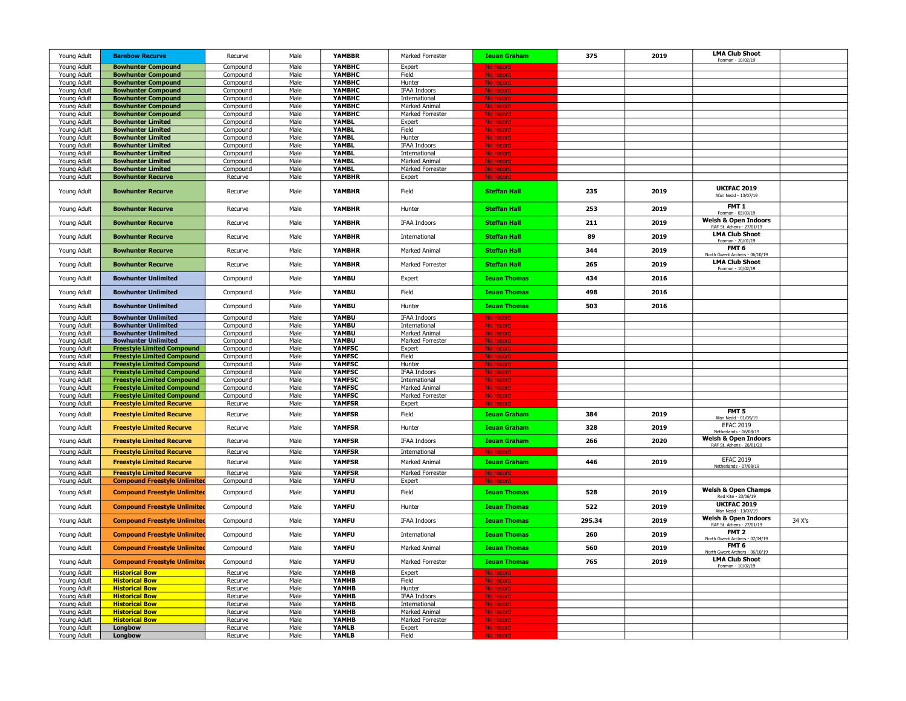| Young Adult                | <b>Barebow Recurve</b>                                                  | Recurve              | Male         | <b>YAMBBR</b>                  | Marked Forrester                            | <b>Ieuan Graham</b>    | 375    | 2019 | <b>LMA Club Shoot</b><br>Fonmon - 10/02/19                     |        |
|----------------------------|-------------------------------------------------------------------------|----------------------|--------------|--------------------------------|---------------------------------------------|------------------------|--------|------|----------------------------------------------------------------|--------|
| Young Adult                | <b>Bowhunter Compound</b>                                               | Compound             | Male         | <b>ҮАМВНС</b>                  | Expert                                      |                        |        |      |                                                                |        |
| Young Adult                | <b>Bowhunter Compound</b>                                               | Compound             | Male         | <b>ҮАМВНС</b>                  | Field                                       |                        |        |      |                                                                |        |
| Young Adult                | <b>Bowhunter Compound</b>                                               | Compound             | Male         | YAMBHC                         | Hunter                                      |                        |        |      |                                                                |        |
| Young Adult                | <b>Bowhunter Compound</b>                                               | Compound             | Male         | <b>ҮАМВНС</b>                  | <b>IFAA Indoors</b>                         |                        |        |      |                                                                |        |
| Young Adult<br>Young Adult | <b>Bowhunter Compound</b><br><b>Bowhunter Compound</b>                  | Compound<br>Compound | Male<br>Male | <b>ҮАМВНС</b><br><b>ҮАМВНС</b> | International<br>Marked Animal              | No recor<br>No record  |        |      |                                                                |        |
| Young Adult                | <b>Bowhunter Compound</b>                                               | Compound             | Male         | YAMBHC                         | Marked Forrester                            | No record              |        |      |                                                                |        |
| Young Adult                | <b>Bowhunter Limited</b>                                                | Compound             | Male         | <b>YAMBL</b>                   | Expert                                      | No record              |        |      |                                                                |        |
| Young Adult                | <b>Bowhunter Limited</b>                                                | Compound             | Male         | <b>YAMBL</b>                   | Field                                       | No record              |        |      |                                                                |        |
| Young Adult                | <b>Bowhunter Limited</b>                                                | Compound             | Male         | <b>YAMBL</b>                   | Hunter                                      | No record              |        |      |                                                                |        |
| Young Adult                | <b>Bowhunter Limited</b>                                                | Compound             | Male         | <b>YAMBL</b>                   | <b>IFAA Indoors</b>                         | No record              |        |      |                                                                |        |
| Young Adult                | <b>Bowhunter Limited</b>                                                | Compound             | Male         | <b>YAMBL</b>                   | International                               | No record              |        |      |                                                                |        |
| Young Adult<br>Young Adult | <b>Bowhunter Limited</b><br><b>Bowhunter Limited</b>                    | Compound<br>Compound | Male<br>Male | <b>YAMBL</b><br>YAMBL          | Marked Animal<br>Marked Forrester           | No record<br>No record |        |      |                                                                |        |
| Young Adult                | <b>Bowhunter Recurve</b>                                                | Recurve              | Male         | <b>YAMBHR</b>                  | Expert                                      | No record              |        |      |                                                                |        |
|                            |                                                                         |                      |              |                                |                                             |                        |        |      |                                                                |        |
| Young Adult                | <b>Bowhunter Recurve</b>                                                | Recurve              | Male         | <b>YAMBHR</b>                  | Field                                       | <b>Steffan Hall</b>    | 235    | 2019 | <b>UKIFAC 2019</b><br>Afan Nedd - 13/07/19                     |        |
| Young Adult                | <b>Bowhunter Recurve</b>                                                | Recurve              | Male         | <b>YAMBHR</b>                  | Hunter                                      | <b>Steffan Hall</b>    | 253    | 2019 | FMT <sub>1</sub><br>Fonmon - 03/03/1                           |        |
| Young Adult                | <b>Bowhunter Recurve</b>                                                | Recurve              | Male         | <b>YAMBHR</b>                  | <b>IFAA Indoors</b>                         | <b>Steffan Hall</b>    | 211    | 2019 | <b>Welsh &amp; Open Indoors</b><br>RAF St. Athens - 27/01/19   |        |
| Young Adult                | <b>Bowhunter Recurve</b>                                                | Recurve              | Male         | <b>YAMBHR</b>                  | International                               | <b>Steffan Hall</b>    | 89     | 2019 | <b>LMA Club Shoot</b><br>Fonmon - 20/01/19<br>FMT <sub>6</sub> |        |
| Young Adult                | <b>Bowhunter Recurve</b>                                                | Recurve              | Male         | <b>YAMBHR</b>                  | Marked Animal                               | <b>Steffan Hall</b>    | 344    | 2019 | lorth Gwent Archers - 06/10/19                                 |        |
| Young Adult                | <b>Bowhunter Recurve</b>                                                | Recurve              | Male         | <b>YAMBHR</b>                  | Marked Forrester                            | <b>Steffan Hall</b>    | 265    | 2019 | <b>LMA Club Shoot</b><br>Fonmon - 10/02/1                      |        |
| Young Adult                | <b>Bowhunter Unlimited</b>                                              | Compound             | Male         | YAMBU                          | Expert                                      | <b>Ieuan Thomas</b>    | 434    | 2016 |                                                                |        |
| Young Adult                | <b>Bowhunter Unlimited</b>                                              | Compound             | Male         | YAMBU                          | Field                                       | <b>Ieuan Thomas</b>    | 498    | 2016 |                                                                |        |
| Young Adult                | <b>Bowhunter Unlimited</b>                                              | Compound             | Male         | YAMBU<br>YAMBU                 | Hunter                                      | <b>Ieuan Thomas</b>    | 503    | 2016 |                                                                |        |
| Young Adult<br>Young Adult | <b>Bowhunter Unlimited</b><br><b>Bowhunter Unlimited</b>                | Compound<br>Compound | Male<br>Male | YAMBU                          | <b>IFAA Indoors</b><br>International        | No record<br>No record |        |      |                                                                |        |
| Young Adult                | <b>Bowhunter Unlimited</b>                                              | Compound             | Male         | YAMBU                          | Marked Animal                               | No record              |        |      |                                                                |        |
| Young Adult                | <b>Bowhunter Unlimited</b>                                              | Compound             | Male         | YAMBU                          | Marked Forrester                            | <u>No record</u>       |        |      |                                                                |        |
| Young Adult                | <b>Freestyle Limited Compound</b>                                       | Compound             | Male         | <b>YAMFSC</b>                  | Expert                                      | No recorc              |        |      |                                                                |        |
| Young Adult                | <b>Freestyle Limited Compound</b>                                       | Compound             | Male         | <b>YAMFSC</b>                  | Field                                       | No record              |        |      |                                                                |        |
| Young Adult                | <b>Freestyle Limited Compound</b>                                       | Compound             | Male         | <b>YAMFSC</b>                  | Hunter                                      | No record              |        |      |                                                                |        |
| Young Adult<br>Young Adult | <b>Freestyle Limited Compound</b><br><b>Freestyle Limited Compound</b>  | Compound<br>Compound | Male<br>Male | <b>YAMFSC</b><br><b>YAMFSC</b> | <b>IFAA Indoors</b><br><b>International</b> | <u>No record</u>       |        |      |                                                                |        |
| Young Adult                | <b>Freestyle Limited Compound</b>                                       | Compound             | Male         | <b>YAMFSC</b>                  | Marked Animal                               | No record<br>No record |        |      |                                                                |        |
| Young Adult                | <b>Freestyle Limited Compound</b>                                       | Compound             | Male         | <b>YAMFSC</b>                  | Marked Forrester                            | No record              |        |      |                                                                |        |
| Young Adult                | <b>Freestyle Limited Recurve</b>                                        | Recurve              | Male         | <b>YAMFSR</b>                  | Expert                                      |                        |        |      |                                                                |        |
| Young Adult                | <b>Freestyle Limited Recurve</b>                                        | Recurve              | Male         | <b>YAMFSR</b>                  | Field                                       | <b>Ieuan Graham</b>    | 384    | 2019 | FMT <sub>5</sub><br>Afan Nedd - 01/09/19                       |        |
| Young Adult                | <b>Freestyle Limited Recurve</b>                                        | Recurve              | Male         | <b>YAMFSR</b>                  | Hunter                                      | <b>Ieuan Graham</b>    | 328    | 2019 | <b>EFAC 2019</b><br>Netherlands - 06/08/19                     |        |
| Young Adult                | <b>Freestyle Limited Recurve</b>                                        | Recurve              | Male         | <b>YAMFSR</b>                  | <b>IFAA Indoors</b>                         | <b>Ieuan Graham</b>    | 266    | 2020 | <b>Welsh &amp; Open Indoors</b><br>RAF St. Athens - 26/01/20   |        |
| Young Adult                | <b>Freestyle Limited Recurve</b>                                        | Recurve              | Male         | <b>YAMFSR</b>                  | International                               | No record              |        |      |                                                                |        |
| Young Adult                | <b>Freestyle Limited Recurve</b>                                        | Recurve              | Male         | <b>YAMFSR</b>                  | Marked Animal                               | <b>Ieuan Graham</b>    | 446    | 2019 | <b>EFAC 2019</b><br>Netherlands - 07/08/19                     |        |
| Young Adult<br>Young Adult | <b>Freestyle Limited Recurve</b><br><b>Compound Freestyle Unlimited</b> | Recurve<br>Compound  | Male<br>Male | YAMFSR<br>YAMFU                | Marked Forrester<br>Expert                  | No record              |        |      |                                                                |        |
| Young Adult                | <b>Compound Freestyle Unlimited</b>                                     | Compound             | Male         | <b>YAMFU</b>                   | Field                                       | <b>Ieuan Thomas</b>    | 528    | 2019 | <b>Welsh &amp; Open Champs</b><br>Red Kite - 23/06/19          |        |
| Young Adult                | <b>Compound Freestyle Unlimited</b>                                     | Compound             | Male         | YAMFU                          | Hunter                                      | <b>Ieuan Thomas</b>    | 522    | 2019 | <b>UKIFAC 2019</b><br>Afan Nedd - 13/07/19                     |        |
| Young Adult                | <b>Compound Freestyle Unlimited</b>                                     | Compound             | Male         | YAMFU                          | <b>IFAA Indoors</b>                         | <b>Ieuan Thomas</b>    | 295.34 | 2019 | <b>Welsh &amp; Open Indoors</b><br>RAF St. Athens - 27/01/19   | 34 X's |
| Young Adult                | <b>Compound Freestyle Unlimited</b>                                     | Compound             | Male         | YAMFU                          | International                               | <b>Ieuan Thomas</b>    | 260    | 2019 | FMT <sub>2</sub><br>North Gwent Archers - 07/04/19             |        |
| Young Adult                | <b>Compound Freestyle Unlimited</b>                                     | Compound             | Male         | YAMFU                          | Marked Animal                               | <b>Ieuan Thomas</b>    | 560    | 2019 | FMT <sub>6</sub><br>North Gwent Archers - 06/10/19             |        |
| Young Adult                | <b>Compound Freestyle Unlimited</b>                                     | Compound             | Male         | YAMFU                          | Marked Forrester                            | <b>Ieuan Thomas</b>    | 765    | 2019 | <b>LMA Club Shoot</b><br>Fonmon - 10/02/                       |        |
| Young Adult                | <b>Historical Bow</b>                                                   | Recurve              | Male         | YAMHB                          | Expert                                      | No record              |        |      |                                                                |        |
| Young Adult<br>Young Adult | <b>Historical Bow</b><br><b>Historical Bow</b>                          | Recurve<br>Recurve   | Male<br>Male | YAMHB<br>YAMHB                 | Field<br>Hunter                             | No record<br>No record |        |      |                                                                |        |
| Young Adult                | <b>Historical Bow</b>                                                   | Recurve              | Male         | YAMHB                          | <b>IFAA Indoors</b>                         | No record              |        |      |                                                                |        |
| Young Adult                | <b>Historical Bow</b>                                                   | Recurve              | Male         | YAMHB                          | International                               | No record              |        |      |                                                                |        |
| Young Adult                | <b>Historical Bow</b>                                                   | Recurve              | Male         | YAMHB                          | Marked Animal                               | No record              |        |      |                                                                |        |
| Young Adult                | <b>Historical Bow</b>                                                   | Recurve              | Male         | YAMHB                          | Marked Forrester                            | No record              |        |      |                                                                |        |
| Young Adult                | Longbow                                                                 | Recurve              | Male         | YAMLB                          | Expert                                      | No record              |        |      |                                                                |        |
| Young Adult                | Longbow                                                                 | Recurve              | Male         | <b>YAMLB</b>                   | Field                                       | No record              |        |      |                                                                |        |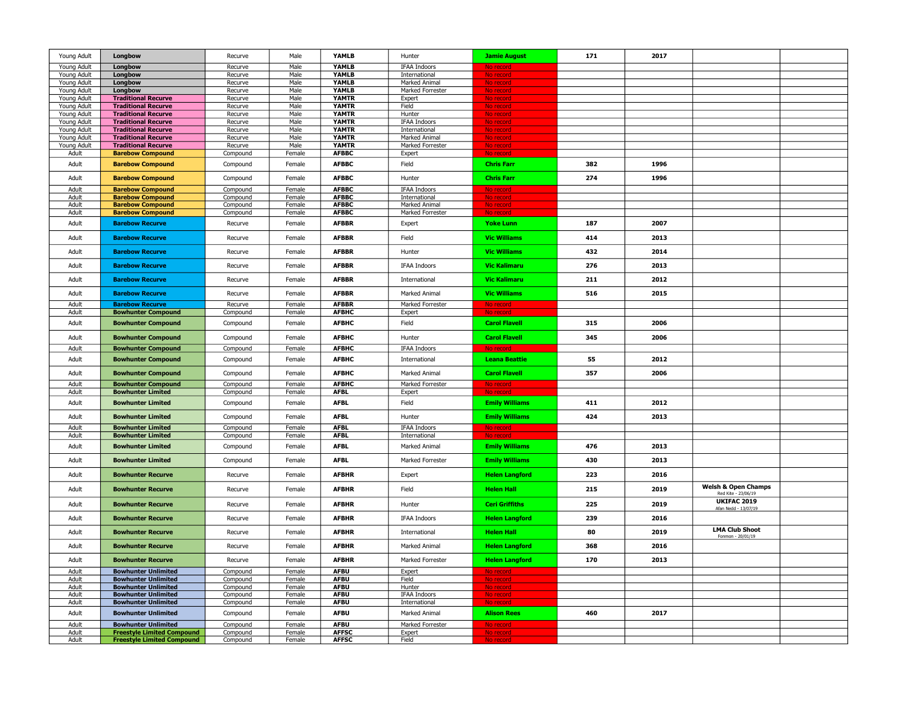| Young Adult                |                                                          | Recurve              | Male             | YAMLB                        | Hunter                               |                               | 171 | 2017 |                                                       |  |
|----------------------------|----------------------------------------------------------|----------------------|------------------|------------------------------|--------------------------------------|-------------------------------|-----|------|-------------------------------------------------------|--|
|                            | Longbow                                                  |                      |                  |                              |                                      | <b>Jamie August</b>           |     |      |                                                       |  |
| Young Adult                | Longbow                                                  | Recurve              | Male             | YAMLB                        | <b>IFAA Indoors</b>                  | No reco                       |     |      |                                                       |  |
| Young Adult<br>Young Adult | Longbow<br>Longbow                                       | Recurve<br>Recurve   | Male<br>Male     | <b>YAMLB</b><br>YAMLB        | International<br>Marked Animal       | No recor<br>No record         |     |      |                                                       |  |
| Young Adult                | Longbow                                                  | Recurve              | Male             | <b>YAMLB</b>                 | Marked Forrester                     | No record                     |     |      |                                                       |  |
| Young Adult                | <b>Traditional Recurve</b>                               | Recurve              | Male             | <b>YAMTR</b>                 | Expert                               | No record                     |     |      |                                                       |  |
| Young Adult                | <b>Traditional Recurve</b>                               | Recurve              | Male             | <b>YAMTR</b>                 | Field                                | No record                     |     |      |                                                       |  |
| Young Adult                | <b>Traditional Recurve</b>                               | Recurve              | Male             | <b>YAMTR</b>                 | Hunter                               | No record                     |     |      |                                                       |  |
| Young Adult                | <b>Traditional Recurve</b>                               | Recurve              | Male<br>Male     | <b>YAMTR</b>                 | <b>IFAA Indoors</b>                  | No record                     |     |      |                                                       |  |
| Young Adult<br>Young Adult | <b>Traditional Recurve</b><br><b>Traditional Recurve</b> | Recurve<br>Recurve   | Male             | <b>YAMTR</b><br><b>YAMTR</b> | International<br>Marked Animal       | No record<br>No record        |     |      |                                                       |  |
| Young Adult                | <b>Traditional Recurve</b>                               | Recurve              | Male             | <b>YAMTR</b>                 | Marked Forrester                     | No record                     |     |      |                                                       |  |
| Adult                      | <b>Barebow Compound</b>                                  | Compound             | Female           | <b>AFBBC</b>                 | Expert                               | No record                     |     |      |                                                       |  |
| Adult                      | <b>Barebow Compound</b>                                  | Compound             | Female           | <b>AFBBC</b>                 | Field                                | <b>Chris Farr</b>             | 382 | 1996 |                                                       |  |
| Adult                      | <b>Barebow Compound</b>                                  | Compound             | Female           | <b>AFBBC</b>                 | Hunter                               | <b>Chris Farr</b>             | 274 | 1996 |                                                       |  |
| Adult                      | <b>Barebow Compound</b>                                  | Compound             | Female           | <b>AFBBC</b>                 | <b>IFAA Indoors</b>                  | No record                     |     |      |                                                       |  |
| Adult<br>Adult             | <b>Barebow Compound</b><br><b>Barebow Compound</b>       | Compound<br>Compound | Female<br>Female | <b>AFBBC</b><br><b>AFBBC</b> | International<br>Marked Animal       | No record<br>No record        |     |      |                                                       |  |
| Adult                      | <b>Barebow Compound</b>                                  | Compound             | Female           | <b>AFBBC</b>                 | Marked Forrester                     | No record                     |     |      |                                                       |  |
| Adult                      | <b>Barebow Recurve</b>                                   | Recurve              | Female           | <b>AFBBR</b>                 | Expert                               | <b>Yoke Lunn</b>              | 187 | 2007 |                                                       |  |
| Adult                      | <b>Barebow Recurve</b>                                   | Recurve              | Female           | <b>AFBBR</b>                 | Field                                | <b>Vic Williams</b>           | 414 | 2013 |                                                       |  |
| Adult                      | <b>Barebow Recurve</b>                                   | Recurve              | Female           | <b>AFBBR</b>                 | Hunter                               | <b>Vic Williams</b>           | 432 | 2014 |                                                       |  |
| Adult                      | <b>Barebow Recurve</b>                                   | Recurve              | Female           | <b>AFBBR</b>                 | <b>IFAA Indoors</b>                  | <b>Vic Kalimaru</b>           | 276 | 2013 |                                                       |  |
| Adult                      | <b>Barebow Recurve</b>                                   | Recurve              | Female           | <b>AFBBR</b>                 | International                        | <b>Vic Kalimaru</b>           | 211 | 2012 |                                                       |  |
| Adult                      | <b>Barebow Recurve</b>                                   | Recurve              | Female           | <b>AFBBR</b>                 | Marked Animal                        | <b>Vic Williams</b>           | 516 | 2015 |                                                       |  |
| Adult<br>Adult             | <b>Barebow Recurve</b><br><b>Bowhunter Compound</b>      | Recurve<br>Compound  | Female<br>Female | <b>AFBBR</b><br><b>AFBHC</b> | Marked Forrester                     | No record<br>No record        |     |      |                                                       |  |
|                            |                                                          |                      |                  |                              | Expert                               |                               |     |      |                                                       |  |
| Adult                      | <b>Bowhunter Compound</b>                                | Compound             | Female           | <b>AFBHC</b>                 | Field                                | <b>Carol Flavell</b>          | 315 | 2006 |                                                       |  |
| Adult                      | <b>Bowhunter Compound</b>                                | Compound             | Female           | <b>AFBHC</b>                 | Hunter                               | <b>Carol Flavell</b>          | 345 | 2006 |                                                       |  |
| Adult                      | <b>Bowhunter Compound</b>                                | Compound             | Female           | <b>AFBHC</b>                 | <b>IFAA Indoors</b>                  | No record                     |     |      |                                                       |  |
| Adult                      | <b>Bowhunter Compound</b>                                | Compound             | Female           | <b>AFBHC</b>                 | International                        | <b>Leana Beattie</b>          | 55  | 2012 |                                                       |  |
| Adult                      | <b>Bowhunter Compound</b>                                | Compound             | Female           | <b>AFBHC</b>                 | Marked Animal                        | <b>Carol Flavell</b>          | 357 | 2006 |                                                       |  |
| Adult                      | <b>Bowhunter Compound</b>                                | Compound             | Female           | <b>AFBHC</b>                 | Marked Forrester                     | No record                     |     |      |                                                       |  |
| Adult                      | <b>Bowhunter Limited</b>                                 | Compound             | Female           | <b>AFBL</b>                  | Expert                               | No record                     |     |      |                                                       |  |
| Adult                      | <b>Bowhunter Limited</b>                                 | Compound             | Female           | <b>AFBL</b>                  | Field                                | <b>Emily Williams</b>         | 411 | 2012 |                                                       |  |
| Adult                      | <b>Bowhunter Limited</b>                                 | Compound             | Female           | <b>AFBL</b>                  | Hunter                               | <b>Emily Williams</b>         | 424 | 2013 |                                                       |  |
| Adult<br>Adult             | <b>Bowhunter Limited</b><br><b>Bowhunter Limited</b>     | Compound<br>Compound | Female<br>Female | <b>AFBL</b><br><b>AFBL</b>   | <b>IFAA Indoors</b><br>International | No record<br>No reco          |     |      |                                                       |  |
| Adult                      | <b>Bowhunter Limited</b>                                 | Compound             | Female           | <b>AFBL</b>                  | Marked Animal                        | <b>Emily Williams</b>         | 476 | 2013 |                                                       |  |
| Adult                      | <b>Bowhunter Limited</b>                                 | Compound             | Female           | <b>AFBL</b>                  | Marked Forrester                     | <b>Emily Williams</b>         | 430 | 2013 |                                                       |  |
| Adult                      | <b>Bowhunter Recurve</b>                                 | Recurve              | Female           | <b>AFBHR</b>                 | Expert                               | <b>Helen Langford</b>         | 223 | 2016 |                                                       |  |
| Adult                      | <b>Bowhunter Recurve</b>                                 | Recurve              | Female           | <b>AFBHR</b>                 | Field                                | <b>Helen Hall</b>             | 215 | 2019 | <b>Welsh &amp; Open Champs</b><br>Red Kite - 23/06/19 |  |
| Adult                      | <b>Bowhunter Recurve</b>                                 | Recurve              | Female           | <b>AFBHR</b>                 | Hunter                               | <b>Ceri Griffiths</b>         | 225 | 2019 | <b>UKIFAC 2019</b><br>Afan Nedd - 13/07/19            |  |
| Adult                      | <b>Bowhunter Recurve</b>                                 | Recurve              | Female           | <b>AFBHR</b>                 | <b>IFAA Indoors</b>                  | <b>Helen Langford</b>         | 239 | 2016 |                                                       |  |
| Adult                      | <b>Bowhunter Recurve</b>                                 | Recurve              | Female           | <b>AFBHR</b>                 | International                        | <b>Helen Hall</b>             | 80  | 2019 | <b>LMA Club Shoot</b><br>Fonmon - 20/01/19            |  |
| Adult                      | <b>Bowhunter Recurve</b>                                 | Recurve              | Female           | <b>AFBHR</b>                 | Marked Animal                        | <b>Helen Langford</b>         | 368 | 2016 |                                                       |  |
| Adult                      | <b>Bowhunter Recurve</b>                                 | Recurve              | Female           | <b>AFBHR</b>                 | Marked Forrester                     | <b>Helen Langford</b>         | 170 | 2013 |                                                       |  |
| Adult                      | <b>Bowhunter Unlimited</b><br><b>Bowhunter Unlimited</b> | Compound             | Female           | <b>AFBU</b><br><b>AFBU</b>   | Expert                               | No record                     |     |      |                                                       |  |
| Adult<br>Adult             | <b>Bowhunter Unlimited</b>                               | Compound<br>Compound | Female<br>Female | <b>AFBU</b>                  | Field<br>Hunter                      | <u>No record</u><br>No record |     |      |                                                       |  |
| Adult                      | <b>Bowhunter Unlimited</b>                               | Compound             | Female           | <b>AFBU</b>                  | <b>IFAA Indoors</b>                  | No record                     |     |      |                                                       |  |
| Adult                      | <b>Bowhunter Unlimited</b>                               | Compound             | Female           | <b>AFBU</b>                  | International                        |                               |     |      |                                                       |  |
| Adult                      | <b>Bowhunter Unlimited</b>                               | Compound             | Female           | <b>AFBU</b>                  | Marked Animal                        | <b>Alison Rees</b>            | 460 | 2017 |                                                       |  |
| Adult                      | <b>Bowhunter Unlimited</b>                               | Compound             | Female           | <b>AFBU</b>                  | Marked Forrester                     | No record                     |     |      |                                                       |  |
| Adult                      | <b>Freestyle Limited Compound</b>                        | Compound             | Female           | <b>AFFSC</b>                 | Expert                               | No record                     |     |      |                                                       |  |
| Adult                      | <b>Freestyle Limited Compound</b>                        | Compound             | Female           | <b>AFFSC</b>                 | Field                                | No record                     |     |      |                                                       |  |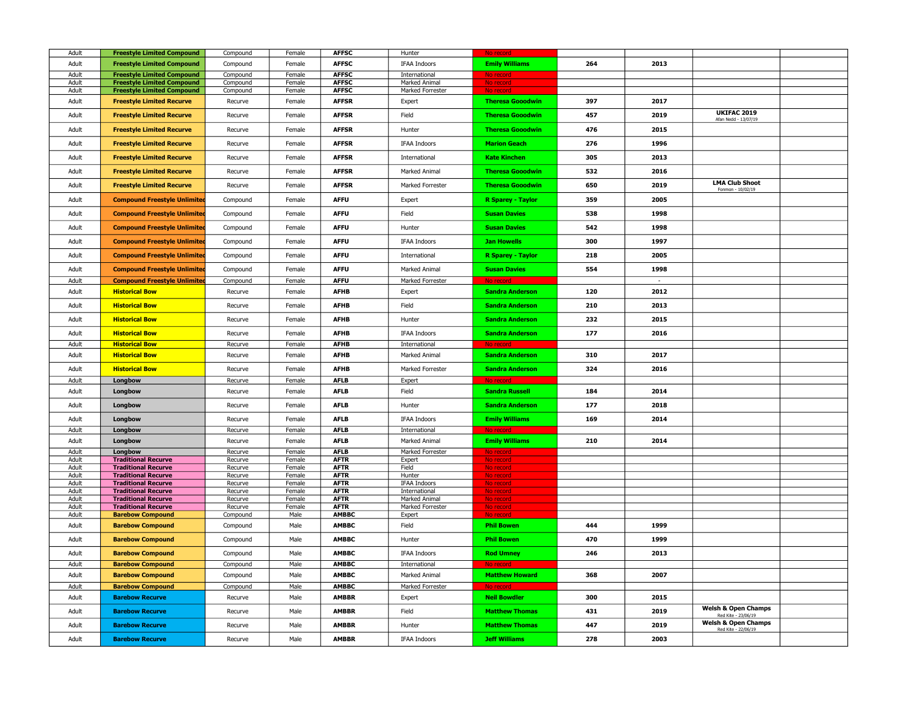| Adult          | <b>Freestyle Limited Compound</b>                        | Compound           | Female           | <b>AFFSC</b>               | Hunter                         | No record               |     |        |                                                       |  |
|----------------|----------------------------------------------------------|--------------------|------------------|----------------------------|--------------------------------|-------------------------|-----|--------|-------------------------------------------------------|--|
| Adult          | <b>Freestyle Limited Compound</b>                        | Compound           | Female           | <b>AFFSC</b>               | <b>IFAA Indoors</b>            | <b>Emily Williams</b>   | 264 | 2013   |                                                       |  |
| Adult          | <b>Freestyle Limited Compound</b>                        | Compound           | Female           | <b>AFFSC</b>               | International                  | No recori               |     |        |                                                       |  |
| Adult          | <b>Freestyle Limited Compound</b>                        | Compound           | Female           | <b>AFFSC</b>               | Marked Animal                  | No record               |     |        |                                                       |  |
| Adult          | <b>Freestyle Limited Compound</b>                        | Compound           | Female           | <b>AFFSC</b>               | Marked Forrester               |                         |     |        |                                                       |  |
| Adult          | <b>Freestyle Limited Recurve</b>                         | Recurve            | Female           | <b>AFFSR</b>               | Expert                         | <b>Theresa Gooodwin</b> | 397 | 2017   |                                                       |  |
| Adult          | <b>Freestyle Limited Recurve</b>                         | Recurve            | Female           | <b>AFFSR</b>               | Field                          | <b>Theresa Gooodwin</b> | 457 | 2019   | <b>UKIFAC 2019</b><br>Afan Nedd - 13/07/19            |  |
| Adult          | <b>Freestyle Limited Recurve</b>                         | Recurve            | Female           | <b>AFFSR</b>               | Hunter                         | <b>Theresa Gooodwin</b> | 476 | 2015   |                                                       |  |
| Adult          | <b>Freestyle Limited Recurve</b>                         | Recurve            | Female           | <b>AFFSR</b>               | <b>IFAA Indoors</b>            | <b>Marion Geach</b>     | 276 | 1996   |                                                       |  |
| Adult          | <b>Freestyle Limited Recurve</b>                         | Recurve            | Female           | <b>AFFSR</b>               | International                  | <b>Kate Kinchen</b>     | 305 | 2013   |                                                       |  |
| Adult          | <b>Freestyle Limited Recurve</b>                         | Recurve            | Female           | <b>AFFSR</b>               | Marked Animal                  | <b>Theresa Gooodwin</b> | 532 | 2016   |                                                       |  |
| Adult          | <b>Freestyle Limited Recurve</b>                         | Recurve            | Female           | <b>AFFSR</b>               | Marked Forrester               | <b>Theresa Gooodwin</b> | 650 | 2019   | <b>LMA Club Shoot</b><br>Fonmon - 10/02/19            |  |
| Adult          | <b>Compound Freestyle Unlimited</b>                      | Compound           | Female           | <b>AFFU</b>                | Expert                         | R Sparey - Taylor       | 359 | 2005   |                                                       |  |
| Adult          | <b>Compound Freestyle Unlimited</b>                      | Compound           | Female           | <b>AFFU</b>                | Field                          | <b>Susan Davies</b>     | 538 | 1998   |                                                       |  |
| Adult          | <b>Compound Freestyle Unlimited</b>                      | Compound           | Female           | <b>AFFU</b>                | Hunter                         | <b>Susan Davies</b>     | 542 | 1998   |                                                       |  |
| Adult          | <b>Compound Freestyle Unlimited</b>                      | Compound           | Female           | <b>AFFU</b>                | <b>IFAA Indoors</b>            | <b>Jan Howells</b>      | 300 | 1997   |                                                       |  |
| Adult          | <b>Compound Freestyle Unlimited</b>                      | Compound           | Female           | <b>AFFU</b>                | International                  | R Sparey - Taylor       | 218 | 2005   |                                                       |  |
| Adult          | <b>Compound Freestyle Unlimited</b>                      | Compound           | Female           | <b>AFFU</b>                | Marked Animal                  | <b>Susan Davies</b>     | 554 | 1998   |                                                       |  |
| Adult          | <b>Compound Freestyle Unlimited</b>                      | Compound           | Female           | <b>AFFU</b>                | Marked Forrester               | No record               |     | $\sim$ |                                                       |  |
| Adult          | <b>Historical Bow</b>                                    | Recurve            | Female           | <b>AFHB</b>                | Expert                         | <b>Sandra Anderson</b>  | 120 | 2012   |                                                       |  |
| Adult          | <b>Historical Bow</b>                                    | Recurve            | Female           | <b>AFHB</b>                | Field                          | <b>Sandra Anderson</b>  | 210 | 2013   |                                                       |  |
| Adult          | <b>Historical Bow</b>                                    | Recurve            | Female           | <b>AFHB</b>                | Hunter                         | <b>Sandra Anderson</b>  | 232 | 2015   |                                                       |  |
| Adult          | <b>Historical Bow</b>                                    | Recurve            | Female           | <b>AFHB</b>                | <b>IFAA Indoors</b>            | <b>Sandra Anderson</b>  | 177 | 2016   |                                                       |  |
| Adult          | <b>Historical Bow</b>                                    | Recurve            | Female           | <b>AFHB</b>                | International                  | No record               |     |        |                                                       |  |
| Adult          | <b>Historical Bow</b>                                    | Recurve            | Female           | <b>AFHB</b>                | Marked Animal                  | <b>Sandra Anderson</b>  | 310 | 2017   |                                                       |  |
| Adult          | <b>Historical Bow</b>                                    | Recurve            | Female           | <b>AFHB</b>                | Marked Forrester               | <b>Sandra Anderson</b>  | 324 | 2016   |                                                       |  |
| Adult          | Longbow                                                  | Recurve            | Female           | <b>AFLB</b>                | Expert                         | No record               |     |        |                                                       |  |
| Adult          | Longbow                                                  | Recurve            | Female           | <b>AFLB</b>                | Field                          | <b>Sandra Russell</b>   | 184 | 2014   |                                                       |  |
| Adult          | Longbow                                                  | Recurve            | Female           | <b>AFLB</b>                | Hunter                         | <b>Sandra Anderson</b>  | 177 | 2018   |                                                       |  |
| Adult          | Longbow                                                  | Recurve            | Female           | <b>AFLB</b>                | <b>IFAA Indoors</b>            | <b>Emily Williams</b>   | 169 | 2014   |                                                       |  |
| Adult          | Longbow                                                  | Recurve            | Female           | <b>AFLB</b>                | International                  | No re                   |     |        |                                                       |  |
| Adult          | Longbow                                                  | Recurve            | Female           | <b>AFLB</b>                | Marked Animal                  | <b>Emily Williams</b>   | 210 | 2014   |                                                       |  |
| Adult          | Longbow<br><b>Traditional Recurve</b>                    | Recurve            | Female           | <b>AFLB</b><br><b>AFTR</b> | Marked Forrester               | No record               |     |        |                                                       |  |
| Adult<br>Adult | <b>Traditional Recurve</b>                               | Recurve<br>Recurve | Female<br>Female | <b>AFTR</b>                | Expert<br>Field                | No record<br>No record  |     |        |                                                       |  |
| Adult          | <b>Traditional Recurve</b>                               | Recurve            | Female           | <b>AFTR</b>                | Hunter                         | No record               |     |        |                                                       |  |
| Adult          | <b>Traditional Recurve</b>                               | Recurve            | Female           | <b>AFTR</b>                | IFAA Indoors                   | No record               |     |        |                                                       |  |
| Adult<br>Adult | <b>Traditional Recurve</b><br><b>Traditional Recurve</b> | Recurve            | Female<br>Female | <b>AFTR</b><br><b>AFTR</b> | International<br>Marked Animal | No recor                |     |        |                                                       |  |
| Adult          | <b>Traditional Recurve</b>                               | Recurve<br>Recurve | Female           | <b>AFTR</b>                | Marked Forrester               | No recon<br>No record   |     |        |                                                       |  |
| Adult          | <b>Barebow Compound</b>                                  | Compound           | Male             | <b>AMBBC</b>               | Expert                         | No recor                |     |        |                                                       |  |
| Adult          | <b>Barebow Compound</b>                                  | Compound           | Male             | <b>AMBBC</b>               | Field                          | <b>Phil Bowen</b>       | 444 | 1999   |                                                       |  |
| Adult          | <b>Barebow Compound</b>                                  | Compound           | Male             | <b>AMBBC</b>               | Hunter                         | <b>Phil Bowen</b>       | 470 | 1999   |                                                       |  |
| Adult          | <b>Barebow Compound</b>                                  | Compound           | Male             | <b>AMBBC</b>               | IFAA Indoors                   | <b>Rod Umney</b>        | 246 | 2013   |                                                       |  |
| Adult          | <b>Barebow Compound</b>                                  | Compound           | Male             | <b>AMBBC</b>               | International                  | No record               |     |        |                                                       |  |
| Adult          | <b>Barebow Compound</b>                                  | Compound           | Male             | <b>AMBBC</b>               | Marked Animal                  | <b>Matthew Howard</b>   | 368 | 2007   |                                                       |  |
| Adult          | <b>Barebow Compound</b>                                  | Compound           | Male             | <b>AMBBC</b>               | Marked Forrester               | No rec                  |     |        |                                                       |  |
| Adult          | <b>Barebow Recurve</b>                                   | Recurve            | Male             | <b>AMBBR</b>               | Expert                         | <b>Neil Bowdler</b>     | 300 | 2015   |                                                       |  |
| Adult          | <b>Barebow Recurve</b>                                   | Recurve            | Male             | <b>AMBBR</b>               | Field                          | <b>Matthew Thomas</b>   | 431 | 2019   | <b>Welsh &amp; Open Champs</b><br>Red Kite - 23/06/19 |  |
| Adult          | <b>Barebow Recurve</b>                                   | Recurve            | Male             | <b>AMBBR</b>               | Hunter                         | <b>Matthew Thomas</b>   | 447 | 2019   | <b>Welsh &amp; Open Champs</b><br>Red Kite - 22/06/19 |  |
| Adult          | <b>Barebow Recurve</b>                                   | Recurve            | Male             | <b>AMBBR</b>               | <b>IFAA Indoors</b>            | <b>Jeff Williams</b>    | 278 | 2003   |                                                       |  |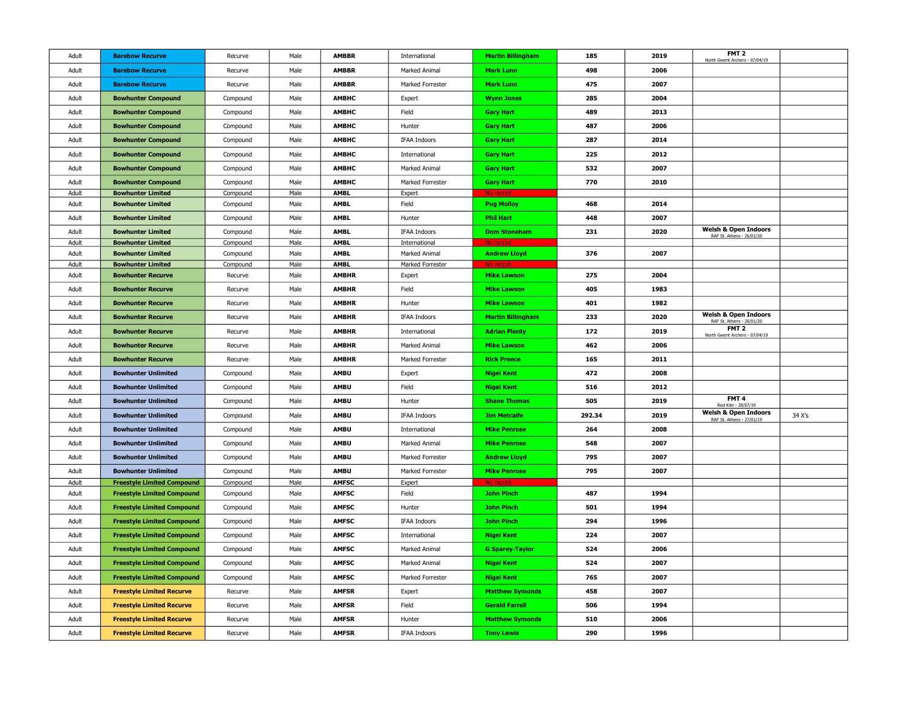| Adult          | <b>Barebow Recurve</b>                               | Recurve             | Male         | <b>AMBBR</b>                | International              | <b>Martin Billingham</b>       | 185    | 2019 | FMT <sub>2</sub><br>North Gwent Archers - 07/04/19           |        |
|----------------|------------------------------------------------------|---------------------|--------------|-----------------------------|----------------------------|--------------------------------|--------|------|--------------------------------------------------------------|--------|
| Adult          | <b>Barebow Recurve</b>                               | Recurve             | Male         | <b>AMBBR</b>                | Marked Animal              | <b>Mark Lunn</b>               | 498    | 2006 |                                                              |        |
| Adult          | <b>Barebow Recurve</b>                               | Recurve             | Male         | <b>AMBBR</b>                | Marked Forrester           | <b>Mark Lunn</b>               | 475    | 2007 |                                                              |        |
| Adult          | <b>Bowhunter Compound</b>                            | Compound            | Male         | <b>AMBHC</b>                | Expert                     | <b>Wynn Jones</b>              | 285    | 2004 |                                                              |        |
| Adult          | <b>Bowhunter Compound</b>                            | Compound            | Male         | <b>AMBHC</b>                | Field                      | <b>Gary Hart</b>               | 489    | 2013 |                                                              |        |
| Adult          | <b>Bowhunter Compound</b>                            | Compound            | Male         | <b>AMBHC</b>                | Hunter                     | <b>Gary Hart</b>               | 487    | 2006 |                                                              |        |
| Adult          | <b>Bowhunter Compound</b>                            | Compound            | Male         | <b>AMBHC</b>                | <b>IFAA Indoors</b>        | <b>Gary Hart</b>               | 287    | 2014 |                                                              |        |
| Adult          | <b>Bowhunter Compound</b>                            | Compound            | Male         | <b>AMBHC</b>                | International              | <b>Gary Hart</b>               | 225    | 2012 |                                                              |        |
| Adult          | <b>Bowhunter Compound</b>                            | Compound            | Male         | <b>AMBHC</b>                | Marked Animal              | <b>Gary Hart</b>               | 532    | 2007 |                                                              |        |
| Adult          | <b>Bowhunter Compound</b>                            | Compound            | Male         | <b>AMBHC</b>                | Marked Forrester           | <b>Gary Hart</b>               | 770    | 2010 |                                                              |        |
| Adult          | <b>Bowhunter Limited</b>                             | Compound            | Male         | <b>AMBL</b>                 | Expert                     |                                |        |      |                                                              |        |
| Adult          | <b>Bowhunter Limited</b>                             | Compound            | Male         | <b>AMBL</b>                 | Field                      | <b>Pug Molloy</b>              | 468    | 2014 |                                                              |        |
| Adult          | <b>Bowhunter Limited</b>                             | Compound            | Male         | <b>AMBL</b>                 | Hunter                     | <b>Phil Hart</b>               | 448    | 2007 |                                                              |        |
| Adult          | <b>Bowhunter Limited</b>                             | Compound            | Male         | <b>AMBL</b>                 | IFAA Indoors               | <b>Dom Stoneham</b>            | 231    | 2020 | <b>Welsh &amp; Open Indoors</b><br>RAF St. Athens - 26/01/20 |        |
| Adult          | <b>Bowhunter Limited</b>                             | Compound            | Male         | <b>AMBL</b>                 | International              | No record                      |        |      |                                                              |        |
| Adult          | <b>Bowhunter Limited</b>                             | Compound            | Male         | <b>AMBL</b>                 | Marked Animal              | <b>Andrew Lloyd</b>            | 376    | 2007 |                                                              |        |
| Adult<br>Adult | <b>Bowhunter Limited</b><br><b>Bowhunter Recurve</b> | Compound<br>Recurve | Male<br>Male | <b>AMBL</b><br><b>AMBHR</b> | Marked Forrester<br>Expert | No recor<br><b>Mike Lawson</b> | 275    | 2004 |                                                              |        |
|                |                                                      |                     |              |                             |                            |                                |        |      |                                                              |        |
| Adult          | <b>Bowhunter Recurve</b>                             | Recurve             | Male         | <b>AMBHR</b>                | Field                      | <b>Mike Lawson</b>             | 405    | 1983 |                                                              |        |
| Adult          | <b>Bowhunter Recurve</b>                             | Recurve             | Male         | <b>AMBHR</b>                | Hunter                     | <b>Mike Lawson</b>             | 401    | 1982 | <b>Welsh &amp; Open Indoors</b>                              |        |
| Adult          | <b>Bowhunter Recurve</b>                             | Recurve             | Male         | <b>AMBHR</b>                | <b>IFAA Indoors</b>        | <b>Martin Billingham</b>       | 233    | 2020 | RAF St. Athens - 26/01/20                                    |        |
| Adult          | <b>Bowhunter Recurve</b>                             | Recurve             | Male         | <b>AMBHR</b>                | International              | <b>Adrian Plenty</b>           | 172    | 2019 | FMT <sub>2</sub><br>North Gwent Archers - 07/04/19           |        |
| Adult          | <b>Bowhunter Recurve</b>                             | Recurve             | Male         | <b>AMBHR</b>                | Marked Animal              | <b>Mike Lawson</b>             | 462    | 2006 |                                                              |        |
| Adult          | <b>Bowhunter Recurve</b>                             | Recurve             | Male         | <b>AMBHR</b>                | Marked Forrester           | <b>Rick Preece</b>             | 165    | 2011 |                                                              |        |
| Adult          | <b>Bowhunter Unlimited</b>                           | Compound            | Male         | <b>AMBU</b>                 | Expert                     | <b>Nigel Kent</b>              | 472    | 2008 |                                                              |        |
| Adult          | <b>Bowhunter Unlimited</b>                           | Compound            | Male         | <b>AMBU</b>                 | Field                      | <b>Nigel Kent</b>              | 516    | 2012 |                                                              |        |
| Adult          | <b>Bowhunter Unlimited</b>                           | Compound            | Male         | <b>AMBU</b>                 | Hunter                     | <b>Shane Thomas</b>            | 505    | 2019 | FMT <sub>4</sub><br>Red Kite - 28/07/19                      |        |
| Adult          | <b>Bowhunter Unlimited</b>                           | Compound            | Male         | <b>AMBU</b>                 | <b>IFAA Indoors</b>        | <b>Jim Metcalfe</b>            | 292.34 | 2019 | <b>Welsh &amp; Open Indoors</b><br>RAF St. Athens - 27/01/19 | 34 X's |
| Adult          | <b>Bowhunter Unlimited</b>                           | Compound            | Male         | <b>AMBU</b>                 | International              | <b>Mike Penrose</b>            | 264    | 2008 |                                                              |        |
| Adult          | <b>Bowhunter Unlimited</b>                           | Compound            | Male         | <b>AMBU</b>                 | Marked Animal              | <b>Mike Penrose</b>            | 548    | 2007 |                                                              |        |
| Adult          | <b>Bowhunter Unlimited</b>                           | Compound            | Male         | <b>AMBU</b>                 | Marked Forrester           | <b>Andrew Lloyd</b>            | 795    | 2007 |                                                              |        |
| Adult          | <b>Bowhunter Unlimited</b>                           | Compound            | Male         | <b>AMBU</b>                 | Marked Forrester           | <b>Mike Penrose</b>            | 795    | 2007 |                                                              |        |
| Adult          | <b>Freestyle Limited Compound</b>                    | Compound            | Male         | <b>AMFSC</b>                | Expert                     | No record                      |        |      |                                                              |        |
| Adult          | <b>Freestyle Limited Compound</b>                    | Compound            | Male         | <b>AMFSC</b>                | Field                      | <b>John Pinch</b>              | 487    | 1994 |                                                              |        |
| Adult          | <b>Freestyle Limited Compound</b>                    | Compound            | Male         | <b>AMFSC</b>                | Hunter                     | <b>John Pinch</b>              | 501    | 1994 |                                                              |        |
| Adult          | <b>Freestyle Limited Compound</b>                    | Compound            | Male         | <b>AMFSC</b>                | <b>IFAA Indoors</b>        | <b>John Pinch</b>              | 294    | 1996 |                                                              |        |
| Adult          | <b>Freestyle Limited Compound</b>                    | Compound            | Male         | <b>AMFSC</b>                | International              | <b>Nigel Kent</b>              | 224    | 2007 |                                                              |        |
| Adult          | <b>Freestyle Limited Compound</b>                    | Compound            | Male         | <b>AMFSC</b>                | Marked Animal              | <b>G Sparey-Taylor</b>         | 524    | 2006 |                                                              |        |
| Adult          | <b>Freestyle Limited Compound</b>                    | Compound            | Male         | <b>AMFSC</b>                | Marked Animal              | <b>Nigel Kent</b>              | 524    | 2007 |                                                              |        |
| Adult          | <b>Freestyle Limited Compound</b>                    | Compound            | Male         | <b>AMFSC</b>                | Marked Forrester           | <b>Nigel Kent</b>              | 765    | 2007 |                                                              |        |
| Adult          | <b>Freestyle Limited Recurve</b>                     | Recurve             | Male         | <b>AMFSR</b>                | Expert                     | <b>Matthew Symonds</b>         | 458    | 2007 |                                                              |        |
| Adult          | <b>Freestyle Limited Recurve</b>                     | Recurve             | Male         | <b>AMFSR</b>                | Field                      | <b>Gerald Farrell</b>          | 506    | 1994 |                                                              |        |
| Adult          | <b>Freestyle Limited Recurve</b>                     | Recurve             | Male         | <b>AMFSR</b>                | Hunter                     | <b>Matthew Symonds</b>         | 510    | 2006 |                                                              |        |
| Adult          | <b>Freestyle Limited Recurve</b>                     | Recurve             | Male         | <b>AMFSR</b>                | <b>IFAA Indoors</b>        | <b>Tony Lewis</b>              | 290    | 1996 |                                                              |        |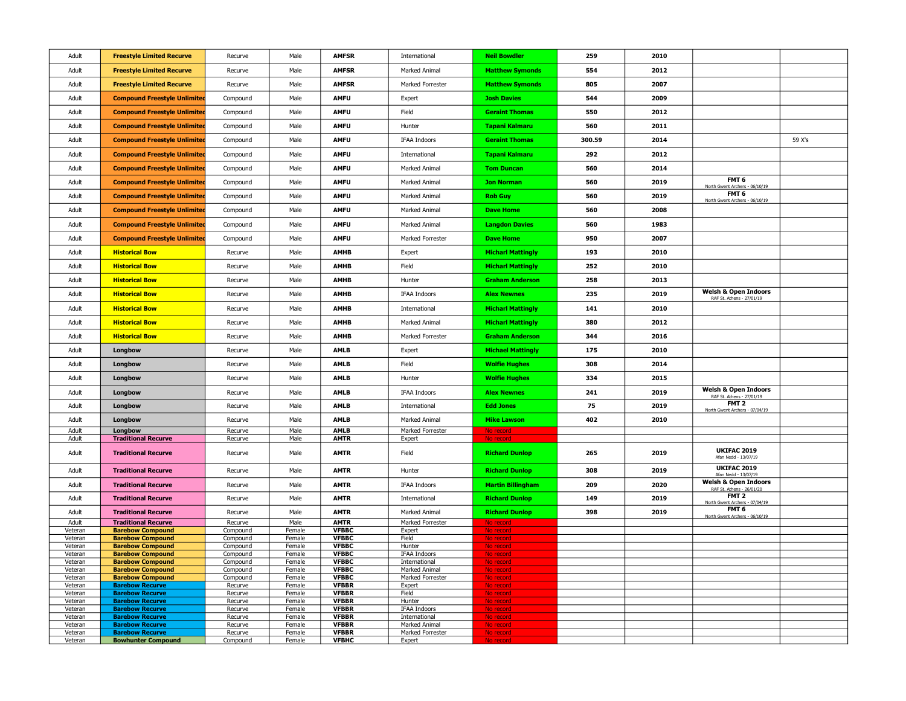| Adult              | <b>Freestyle Limited Recurve</b>                      | Recurve              | Male             | <b>AMFSR</b>                 | International                  | <b>Neil Bowdler</b>      | 259    | 2010 |                                                              |        |
|--------------------|-------------------------------------------------------|----------------------|------------------|------------------------------|--------------------------------|--------------------------|--------|------|--------------------------------------------------------------|--------|
| Adult              | <b>Freestyle Limited Recurve</b>                      | Recurve              | Male             | <b>AMFSR</b>                 | Marked Animal                  | <b>Matthew Symonds</b>   | 554    | 2012 |                                                              |        |
| Adult              | <b>Freestyle Limited Recurve</b>                      | Recurve              | Male             | <b>AMFSR</b>                 | Marked Forrester               | <b>Matthew Symonds</b>   | 805    | 2007 |                                                              |        |
| Adult              | <b>Compound Freestyle Unlimited</b>                   | Compound             | Male             | <b>AMFU</b>                  | Expert                         | <b>Josh Davies</b>       | 544    | 2009 |                                                              |        |
| Adult              | <b>Compound Freestyle Unlimited</b>                   | Compound             | Male             | <b>AMFU</b>                  | Field                          | <b>Geraint Thomas</b>    | 550    | 2012 |                                                              |        |
| Adult              | <b>Compound Freestyle Unlimited</b>                   | Compound             | Male             | <b>AMFU</b>                  | Hunter                         | <b>Tapani Kalmaru</b>    | 560    | 2011 |                                                              |        |
| Adult              | <b>Compound Freestyle Unlimited</b>                   | Compound             | Male             | <b>AMFU</b>                  | <b>IFAA Indoors</b>            | <b>Geraint Thomas</b>    | 300.59 | 2014 |                                                              | 59 X's |
| Adult              | <b>Compound Freestyle Unlimited</b>                   | Compound             | Male             | <b>AMFU</b>                  | International                  | <b>Tapani Kalmaru</b>    | 292    | 2012 |                                                              |        |
| Adult              | <b>Compound Freestyle Unlimited</b>                   | Compound             | Male             | <b>AMFU</b>                  | Marked Animal                  | <b>Tom Duncan</b>        | 560    | 2014 |                                                              |        |
| Adult              | <b>Compound Freestyle Unlimited</b>                   | Compound             | Male             | <b>AMFU</b>                  | Marked Animal                  | <b>Jon Norman</b>        | 560    | 2019 | FMT <sub>6</sub><br>North Gwent Archers - 06/10/19           |        |
| Adult              | <b>Compound Freestyle Unlimited</b>                   | Compound             | Male             | <b>AMFU</b>                  | Marked Animal                  | <b>Rob Guy</b>           | 560    | 2019 | FMT <sub>6</sub><br>North Gwent Archers - 06/10/19           |        |
| Adult              | <b>Compound Freestyle Unlimited</b>                   | Compound             | Male             | <b>AMFU</b>                  | Marked Animal                  | <b>Dave Home</b>         | 560    | 2008 |                                                              |        |
| Adult              | <b>Compound Freestyle Unlimited</b>                   | Compound             | Male             | <b>AMFU</b>                  | Marked Animal                  | <b>Langdon Davies</b>    | 560    | 1983 |                                                              |        |
| Adult              | <b>Compound Freestyle Unlimited</b>                   | Compound             | Male             | <b>AMFU</b>                  | Marked Forrester               | <b>Dave Home</b>         | 950    | 2007 |                                                              |        |
| Adult              | <b>Historical Bow</b>                                 | Recurve              | Male             | <b>AMHB</b>                  | Expert                         | <b>Micharl Mattingly</b> | 193    | 2010 |                                                              |        |
| Adult              | <b>Historical Bow</b>                                 | Recurve              | Male             | <b>AMHB</b>                  | Field                          | <b>Micharl Mattingly</b> | 252    | 2010 |                                                              |        |
| Adult              | <b>Historical Bow</b>                                 | Recurve              | Male             | <b>AMHB</b>                  | Hunter                         | <b>Graham Anderson</b>   | 258    | 2013 |                                                              |        |
| Adult              | <b>Historical Bow</b>                                 | Recurve              | Male             | <b>AMHB</b>                  | <b>IFAA Indoors</b>            | <b>Alex Newnes</b>       | 235    | 2019 | <b>Welsh &amp; Open Indoors</b><br>RAF St. Athens - 27/01/19 |        |
| Adult              | <b>Historical Bow</b>                                 | Recurve              | Male             | <b>AMHB</b>                  | International                  | <b>Micharl Mattingly</b> | 141    | 2010 |                                                              |        |
| Adult              | <b>Historical Bow</b>                                 | Recurve              | Male             | <b>AMHB</b>                  | Marked Animal                  | <b>Micharl Mattingly</b> | 380    | 2012 |                                                              |        |
| Adult              | <b>Historical Bow</b>                                 | Recurve              | Male             | <b>AMHB</b>                  | Marked Forrester               | <b>Graham Anderson</b>   | 344    | 2016 |                                                              |        |
| Adult              | Longbow                                               | Recurve              | Male             | <b>AMLB</b>                  | Expert                         | <b>Michael Mattingly</b> | 175    | 2010 |                                                              |        |
| Adult              | Longbow                                               | Recurve              | Male             | <b>AMLB</b>                  | Field                          | <b>Wolfie Hughes</b>     | 308    | 2014 |                                                              |        |
| Adult              | Longbow                                               | Recurve              | Male             | <b>AMLB</b>                  | Hunter                         | <b>Wolfie Hughes</b>     | 334    | 2015 |                                                              |        |
| Adult              | Longbow                                               | Recurve              | Male             | <b>AMLB</b>                  | <b>IFAA Indoors</b>            | <b>Alex Newnes</b>       | 241    | 2019 | <b>Welsh &amp; Open Indoors</b><br>RAF St. Athens - 27/01/19 |        |
| Adult              | Longbow                                               | Recurve              | Male             | <b>AMLB</b>                  | International                  | <b>Edd Jones</b>         | 75     | 2019 | FMT <sub>2</sub><br>North Gwent Archers - 07/04/19           |        |
| Adult              | Longbow                                               | Recurve              | Male             | <b>AMLB</b>                  | Marked Animal                  | <b>Mike Lawson</b>       | 402    | 2010 |                                                              |        |
| Adult<br>Adult     | Longbow<br><b>Traditional Recurve</b>                 | Recurve<br>Recurve   | Male<br>Male     | <b>AMLB</b><br><b>AMTR</b>   | Marked Forrester<br>Expert     | No record                |        |      |                                                              |        |
| Adult              | <b>Traditional Recurve</b>                            | Recurve              | Male             | <b>AMTR</b>                  | Field                          | <b>Richard Dunlop</b>    | 265    | 2019 | <b>UKIFAC 2019</b><br>Afan Nedd - 13/07/19                   |        |
| Adult              | <b>Traditional Recurve</b>                            | Recurve              | Male             | <b>AMTR</b>                  | Hunter                         | <b>Richard Dunlop</b>    | 308    | 2019 | <b>UKIFAC 2019</b><br>Afan Nedd - 13/07/19                   |        |
| Adult              | <b>Traditional Recurve</b>                            | Recurve              | Male             | <b>AMTR</b>                  | <b>IFAA Indoors</b>            | <b>Martin Billingham</b> | 209    | 2020 | <b>Welsh &amp; Open Indoors</b><br>RAF St. Athens - 26/01/20 |        |
| Adult              | <b>Traditional Recurve</b>                            | Recurve              | Male             | <b>AMTR</b>                  | International                  | <b>Richard Dunlop</b>    | 149    | 2019 | FMT <sub>2</sub><br>North Gwent Archers - 07/04/19           |        |
| Adult              | <b>Traditional Recurve</b>                            | Recurve              | Male             | <b>AMTR</b>                  | Marked Animal                  | <b>Richard Dunlop</b>    | 398    | 2019 | FMT 6<br>North Gwent Archers - 06/10/19                      |        |
| Adult              | <b>Traditional Recurve</b><br><b>Barebow Compound</b> | Recurve              | Male<br>Female   | <b>AMTR</b><br><b>VFBBC</b>  | Marked Forrester               | No record                |        |      |                                                              |        |
| Veteran<br>Veteran | <b>Barebow Compound</b>                               | Compound<br>Compound | Female           | <b>VFBBC</b>                 | Expert<br>Field                | No record<br>No record   |        |      |                                                              |        |
| Veteran            | <b>Barebow Compound</b>                               | Compound             | Female           | <b>VFBBC</b>                 | Hunter                         | No record                |        |      |                                                              |        |
| Veteran            | <b>Barebow Compound</b>                               | Compound             | Female           | <b>VFBBC</b><br><b>VFBBC</b> | <b>IFAA Indoors</b>            | No record                |        |      |                                                              |        |
| Veteran<br>Veteran | <b>Barebow Compound</b><br><b>Barebow Compound</b>    | Compound<br>Compound | Female<br>Female | <b>VFBBC</b>                 | International<br>Marked Animal | No record<br>No recor    |        |      |                                                              |        |
| Veteran            | <b>Barebow Compound</b>                               | Compound             | Female           | <b>VFBBC</b>                 | Marked Forrester               | No recor                 |        |      |                                                              |        |
| Veteran            | <b>Barebow Recurve</b>                                | Recurve              | Female           | <b>VFBBR</b>                 | Expert                         | No record                |        |      |                                                              |        |
| Veteran<br>Veteran | <b>Barebow Recurve</b><br><b>Barebow Recurve</b>      | Recurve<br>Recurve   | Female<br>Female | <b>VFBBR</b><br><b>VFBBR</b> | Field<br>Hunter                | No record<br>No record   |        |      |                                                              |        |
| Veteran            | <b>Barebow Recurve</b>                                | Recurve              | Female           | <b>VFBBR</b>                 | IFAA Indoors                   | No record                |        |      |                                                              |        |
| Veteran            | <b>Barebow Recurve</b>                                | Recurve              | Female           | <b>VFBBR</b>                 | International                  | No record                |        |      |                                                              |        |
| Veteran            | <b>Barebow Recurve</b><br><b>Barebow Recurve</b>      | Recurve              | Female           | <b>VFBBR</b><br><b>VFBBR</b> | Marked Animal                  | No record                |        |      |                                                              |        |
| Veteran<br>Veteran | <b>Bowhunter Compound</b>                             | Recurve<br>Compound  | Female<br>Female | <b>VFBHC</b>                 | Marked Forrester<br>Expert     | No record<br>No record   |        |      |                                                              |        |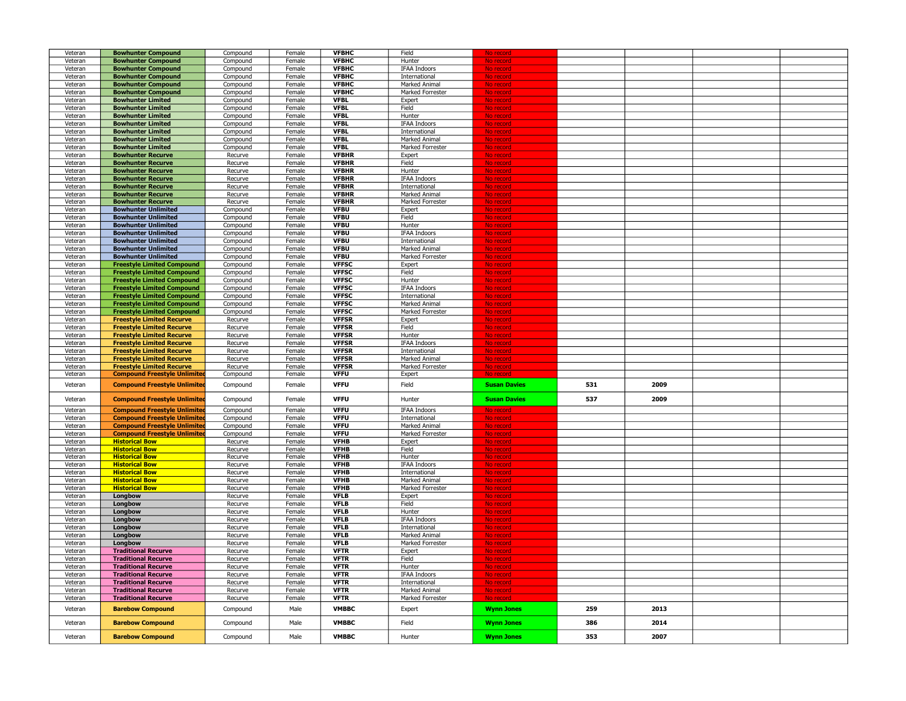| Veteran            | <b>Bowhunter Compound</b>                                | Compound           | Female           | <b>VFBHC</b>               | Field                          |                        |     |      |  |
|--------------------|----------------------------------------------------------|--------------------|------------------|----------------------------|--------------------------------|------------------------|-----|------|--|
| Veteran            | <b>Bowhunter Compound</b>                                | Compound           | Female           | <b>VFBHC</b>               | Hunter                         | No record              |     |      |  |
| Veteran            | <b>Bowhunter Compound</b>                                | Compound           | Female           | <b>VFBHC</b>               | <b>IFAA Indoors</b>            | No recor               |     |      |  |
| Veteran            | <b>Bowhunter Compound</b>                                | Compound           | Female           | <b>VFBHC</b>               | International                  | No recor               |     |      |  |
|                    |                                                          |                    |                  |                            |                                |                        |     |      |  |
| Veteran            | <b>Bowhunter Compound</b>                                | Compound           | Female           | <b>VFBHC</b>               | Marked Animal                  | No record              |     |      |  |
| Veteran            | <b>Bowhunter Compound</b>                                | Compound           | Female           | <b>VFBHC</b>               | Marked Forrester               | No record              |     |      |  |
| Veteran            | <b>Bowhunter Limited</b>                                 | Compound           | Female           | <b>VFBL</b>                | Expert                         | No record              |     |      |  |
| Veteran            | <b>Bowhunter Limited</b>                                 | Compound           | Female           | <b>VFBL</b>                | Field                          | No record              |     |      |  |
| Veteran            | <b>Bowhunter Limited</b>                                 | Compound           | Female           | <b>VFBL</b>                | Hunter                         | No record              |     |      |  |
| Veteran            | <b>Bowhunter Limited</b>                                 | Compound           | Female           | <b>VFBL</b>                | <b>IFAA Indoors</b>            | No recor               |     |      |  |
| Veteran            | <b>Bowhunter Limited</b>                                 | Compound           | Female           | <b>VFBL</b>                | International                  | No recor               |     |      |  |
| Veteran            | <b>Bowhunter Limited</b>                                 | Compound           | Female           | <b>VFBL</b>                | Marked Animal                  | No recor               |     |      |  |
| Veteran            | <b>Bowhunter Limited</b>                                 | Compound           | Female           | <b>VFBL</b>                | Marked Forrester               | No reco                |     |      |  |
| Veteran            | <b>Bowhunter Recurve</b>                                 | Recurve            | Female           | <b>VFBHR</b>               | Expert                         | No recor               |     |      |  |
| Veteran            | <b>Bowhunter Recurve</b>                                 | Recurve            | Female           | <b>VFBHR</b>               | Field                          | No record              |     |      |  |
| Veteran            | <b>Bowhunter Recurve</b>                                 | Recurve            | Female           | <b>VFBHR</b>               | Hunter                         | No record              |     |      |  |
| Veteran            | <b>Bowhunter Recurve</b>                                 | Recurve            | Female           | <b>VFBHR</b>               | <b>IFAA Indoors</b>            | <mark>No recor</mark>  |     |      |  |
| Veteran            | <b>Bowhunter Recurve</b>                                 | Recurve            | Female           | <b>VFBHR</b>               | International                  |                        |     |      |  |
| Veteran            | <b>Bowhunter Recurve</b>                                 | Recurve            | Female           | <b>VFBHR</b>               | Marked Animal                  | No recor               |     |      |  |
| Veteran            | <b>Bowhunter Recurve</b>                                 | Recurve            | Female           | <b>VFBHR</b>               | Marked Forrester               | No recor               |     |      |  |
| Veteran            | <b>Bowhunter Unlimited</b>                               | Compound           | Female           | <b>VFBU</b>                | Expert                         | No record              |     |      |  |
| Veteran            | <b>Bowhunter Unlimited</b>                               | Compound           | Female           | <b>VFBU</b>                | Field                          | No record              |     |      |  |
| Veteran            | <b>Bowhunter Unlimited</b>                               | Compound           | Female           | <b>VFBU</b>                | Hunter                         | No record              |     |      |  |
| Veteran            | <b>Bowhunter Unlimited</b>                               | Compound           | Female           | <b>VFBU</b>                | <b>IFAA Indoors</b>            | No record              |     |      |  |
| Veteran            | <b>Bowhunter Unlimited</b>                               | Compound           | Female           | <b>VFBU</b>                | International                  | No record              |     |      |  |
| Veteran            | <b>Bowhunter Unlimited</b>                               | Compound           | Female           | <b>VFBU</b>                | Marked Animal                  | No record              |     |      |  |
| Veteran            | <b>Bowhunter Unlimited</b>                               | Compound           | Female           | <b>VFBU</b>                | Marked Forrester               | No record              |     |      |  |
| Veteran            | <b>Freestyle Limited Compound</b>                        | Compound           | Female           | <b>VFFSC</b>               | Expert                         | No record              |     |      |  |
| Veteran            | <b>Freestyle Limited Compound</b>                        | Compound           | Female           | <b>VFFSC</b>               | Field                          | No record              |     |      |  |
| Veteran            | <b>Freestyle Limited Compound</b>                        | Compound           | Female           | <b>VFFSC</b>               | Hunter                         | No record              |     |      |  |
| Veteran            | <b>Freestyle Limited Compound</b>                        | Compound           | Female           | <b>VFFSC</b>               | <b>IFAA Indoors</b>            | No record              |     |      |  |
| Veteran            | <b>Freestyle Limited Compound</b>                        | Compound           | Female           | <b>VFFSC</b>               | International                  | No record              |     |      |  |
| Veteran            | <b>Freestyle Limited Compound</b>                        | Compound           | Female           | <b>VFFSC</b>               | Marked Animal                  | No record              |     |      |  |
| Veteran            | <b>Freestyle Limited Compound</b>                        | Compound           | Female           | <b>VFFSC</b>               | Marked Forrester               | No record              |     |      |  |
| Veteran            | <b>Freestyle Limited Recurve</b>                         | Recurve            | Female           | <b>VFFSR</b>               | Expert                         | No record              |     |      |  |
| Veteran            | <b>Freestyle Limited Recurve</b>                         | Recurve            | Female           | <b>VFFSR</b>               | Field                          | No record              |     |      |  |
| Veteran            | <b>Freestyle Limited Recurve</b>                         | Recurve            | Female           | <b>VFFSR</b>               | Hunter                         | No record              |     |      |  |
| Veteran            | <b>Freestyle Limited Recurve</b>                         | Recurve            | Female           | <b>VFFSR</b>               | <b>IFAA Indoors</b>            | No record              |     |      |  |
| Veteran            | <b>Freestyle Limited Recurve</b>                         | Recurve            | Female           | <b>VFFSR</b>               | International                  | No recor               |     |      |  |
| Veteran            | <b>Freestyle Limited Recurve</b>                         | Recurve            | Female           | <b>VFFSR</b>               | Marked Animal                  | No record              |     |      |  |
|                    |                                                          |                    |                  |                            |                                |                        |     |      |  |
|                    |                                                          |                    |                  | <b>VFFSR</b>               |                                | No record              |     |      |  |
| Veteran            | <b>Freestyle Limited Recurve</b>                         | Recurve            | Female           | <b>VFFU</b>                | Marked Forrester               |                        |     |      |  |
| Veteran            | <b>Compound Freestyle Unlimited</b>                      | Compound           | Female           |                            | Expert                         |                        |     |      |  |
| Veteran            | <b>Compound Freestyle Unlimited</b>                      | Compound           | Female           | <b>VFFU</b>                | Field                          | <b>Susan Davies</b>    | 531 | 2009 |  |
|                    |                                                          |                    | Female           | <b>VFFU</b>                |                                | <b>Susan Davies</b>    | 537 | 2009 |  |
| Veteran            | <b>Compound Freestyle Unlimited</b>                      | Compound           |                  |                            | Hunter                         |                        |     |      |  |
| Veteran            | <b>Compound Freestyle Unlimited</b>                      | Compound           | Female           | <b>VFFU</b>                | <b>IFAA Indoors</b>            | <u>No record</u>       |     |      |  |
| Veteran            | <b>Compound Freestyle Unlimited</b>                      | Compound           | Female           | <b>VFFU</b>                | International                  | <mark>No recor</mark>  |     |      |  |
| Veteran            | <b>Compound Freestyle Unlimited</b>                      | Compound           | Female           | <b>VFFU</b>                | Marked Animal                  | No record              |     |      |  |
| Veteran            | <b>Compound Freestyle Unlimited</b>                      | Compound           | Female           | <b>VFFU</b>                | Marked Forrester               | No recor               |     |      |  |
| Veteran            | <b>Historical Bow</b>                                    | Recurve            | Female           | <b>VFHB</b>                | Expert                         | <u>No recor</u>        |     |      |  |
| Veteran            | <b>Historical Bow</b>                                    | Recurve            | Female           | <b>VFHB</b>                | Field                          | No recor               |     |      |  |
| Veteran            | <b>Historical Bow</b>                                    | Recurve            | Female           | <b>VFHB</b>                | Hunter                         |                        |     |      |  |
| Veteran            | <b>Historical Bow</b>                                    | Recurve            | Female           | <b>VFHB</b>                | IFAA Indoors                   | No recor               |     |      |  |
| Veteran            | <b>Historical Bow</b>                                    | Recurve            | Female           | <b>VFHB</b>                | International                  | No recor               |     |      |  |
| Veteran            | <b>Historical Bow</b>                                    | Recurve            | Female           | <b>VFHB</b>                | Marked Animal                  | No record              |     |      |  |
| Veteran            | <b>Historical Bow</b>                                    | Recurve            | Female           | <b>VFHB</b>                | Marked Forrester               | No record              |     |      |  |
| Veteran            | Longbow                                                  | Recurve            | Female           | <b>VFLB</b>                | Expert                         | No record              |     |      |  |
| Veteran            | Longbow                                                  | Recurve            | Female           | <b>VFLB</b>                | Field                          | No record              |     |      |  |
| Veteran            | Longbow                                                  | Recurve            | Female           | <b>VFLB</b>                | Hunter                         | No record              |     |      |  |
| Veteran            | Longbow                                                  | Recurve            | Female           | <b>VFLB</b>                | <b>IFAA Indoors</b>            | No record              |     |      |  |
| Veteran            | Longbow                                                  | Recurve            | Female           | <b>VFLB</b>                | International                  | No record              |     |      |  |
| Veteran            | Longbow                                                  | Recurve            | Female           | <b>VFLB</b>                | Marked Animal                  | No record              |     |      |  |
| Veteran            | Longbow                                                  | Recurve            | Female           | <b>VFLB</b>                | Marked Forrester               | No record              |     |      |  |
| Veteran            | <b>Traditional Recurve</b>                               | Recurve            | Female           | <b>VFTR</b>                | Expert                         | No record              |     |      |  |
| Veteran            | <b>Traditional Recurve</b>                               | Recurve            | Female           | <b>VFTR</b>                | Field                          | No record              |     |      |  |
| Veteran            | <b>Traditional Recurve</b>                               | Recurve            | Female           | <b>VFTR</b>                | Hunter                         | No record              |     |      |  |
| Veteran            | <b>Traditional Recurve</b>                               | Recurve            | Female           | <b>VFTR</b><br><b>VFTR</b> | <b>IFAA Indoors</b>            | No record              |     |      |  |
| Veteran            | <b>Traditional Recurve</b><br><b>Traditional Recurve</b> | Recurve            | Female           | <b>VFTR</b>                | International<br>Marked Animal | No record              |     |      |  |
| Veteran<br>Veteran | <b>Traditional Recurve</b>                               | Recurve<br>Recurve | Female<br>Female | <b>VFTR</b>                | Marked Forrester               | No record<br>No record |     |      |  |
|                    |                                                          |                    |                  |                            |                                |                        |     |      |  |
| Veteran            | <b>Barebow Compound</b>                                  | Compound           | Male             | <b>VMBBC</b>               | Expert                         | <b>Wynn Jones</b>      | 259 | 2013 |  |
| Veteran            | <b>Barebow Compound</b>                                  | Compound           | Male             | <b>VMBBC</b>               | Field                          | <b>Wynn Jones</b>      | 386 | 2014 |  |
| Veteran            | <b>Barebow Compound</b>                                  | Compound           | Male             | <b>VMBBC</b>               | Hunter                         | <b>Wynn Jones</b>      | 353 | 2007 |  |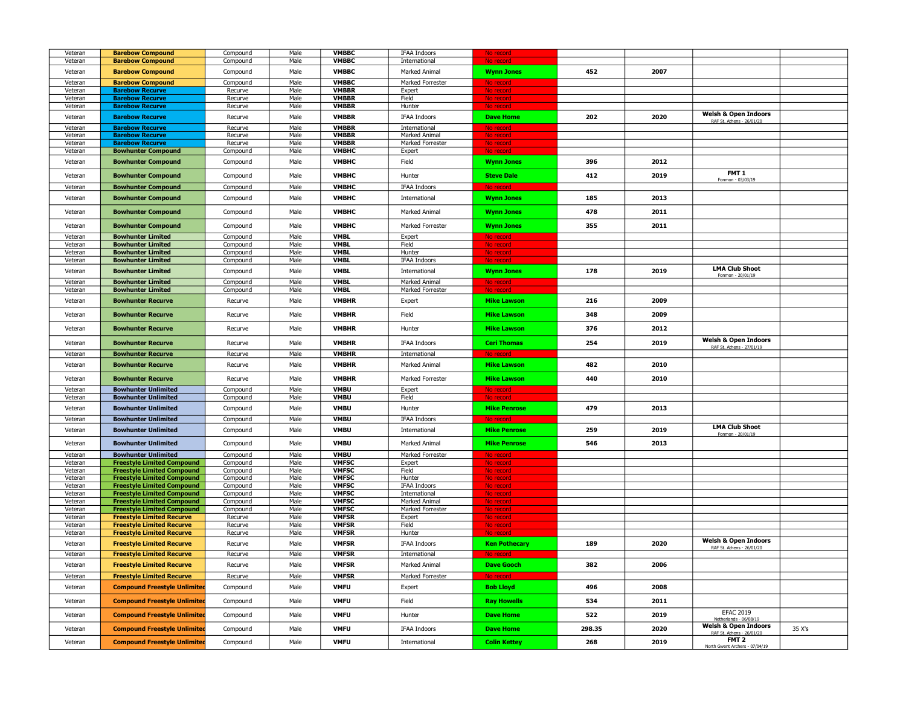| Veteran            | <b>Barebow Compound</b>             | Compound           | Male         | <b>VMBBC</b>                 | <b>IFAA Indoors</b>               | No record              |        |      |                                                              |        |
|--------------------|-------------------------------------|--------------------|--------------|------------------------------|-----------------------------------|------------------------|--------|------|--------------------------------------------------------------|--------|
| Veteran            | <b>Barebow Compound</b>             | Compound           | Male         | <b>VMBBC</b>                 | International                     | No record              |        |      |                                                              |        |
|                    |                                     |                    |              |                              |                                   |                        |        |      |                                                              |        |
| Veteran            | <b>Barebow Compound</b>             | Compound           | Male         | <b>VMBBC</b>                 | Marked Animal                     | <b>Wynn Jones</b>      | 452    | 2007 |                                                              |        |
| Veteran            | <b>Barebow Compound</b>             | Compound           | Male         | <b>VMBBC</b>                 | Marked Forrester                  | No record              |        |      |                                                              |        |
| Veteran            | <b>Barebow Recurve</b>              | Recurve            | Male         | <b>VMBBR</b>                 | Expert                            | No record              |        |      |                                                              |        |
| Veteran            | <b>Barebow Recurve</b>              | Recurve            | Male         | <b>VMBBR</b>                 | Field                             | No record              |        |      |                                                              |        |
| Veteran            | <b>Barebow Recurve</b>              | Recurve            | Male         | <b>VMBBR</b>                 | Hunter                            | No record              |        |      |                                                              |        |
| Veteran            | <b>Barebow Recurve</b>              | Recurve            | Male         | <b>VMBBR</b>                 | <b>IFAA Indoors</b>               | <b>Dave Home</b>       | 202    | 2020 | <b>Welsh &amp; Open Indoors</b>                              |        |
|                    | <b>Barebow Recurve</b>              |                    |              |                              |                                   |                        |        |      | RAF St. Athens - 26/01/20                                    |        |
| Veteran            | <b>Barebow Recurve</b>              | Recurve            | Male<br>Male | <b>VMBBR</b><br><b>VMBBR</b> | International                     | No record              |        |      |                                                              |        |
| Veteran<br>Veteran | <b>Barebow Recurve</b>              | Recurve<br>Recurve | Male         | <b>VMBBR</b>                 | Marked Animal<br>Marked Forrester | No record<br>No record |        |      |                                                              |        |
| Veteran            | <b>Bowhunter Compound</b>           | Compound           | Male         | <b>VMBHC</b>                 | Expert                            | No record              |        |      |                                                              |        |
|                    |                                     |                    |              |                              |                                   |                        |        |      |                                                              |        |
| Veteran            | <b>Bowhunter Compound</b>           | Compound           | Male         | <b>VMBHC</b>                 | Field                             | <b>Wynn Jones</b>      | 396    | 2012 |                                                              |        |
|                    |                                     |                    |              |                              |                                   |                        |        |      | FMT 1                                                        |        |
| Veteran            | <b>Bowhunter Compound</b>           | Compound           | Male         | <b>VMBHC</b>                 | Hunter                            | <b>Steve Dale</b>      | 412    | 2019 | Fonmon - 03/03/19                                            |        |
| Veteran            | <b>Bowhunter Compound</b>           | Compound           | Male         | <b>VMBHC</b>                 | <b>IFAA Indoors</b>               | No record              |        |      |                                                              |        |
| Veteran            | <b>Bowhunter Compound</b>           | Compound           | Male         | <b>VMBHC</b>                 | International                     | <b>Wynn Jones</b>      | 185    | 2013 |                                                              |        |
|                    |                                     |                    |              |                              |                                   |                        |        |      |                                                              |        |
| Veteran            | <b>Bowhunter Compound</b>           | Compound           | Male         | <b>VMBHC</b>                 | Marked Animal                     | <b>Wynn Jones</b>      | 478    | 2011 |                                                              |        |
|                    |                                     |                    |              |                              |                                   |                        |        |      |                                                              |        |
| Veteran            | <b>Bowhunter Compound</b>           | Compound           | Male         | <b>VMBHC</b>                 | Marked Forrester                  | <b>Wynn Jones</b>      | 355    | 2011 |                                                              |        |
| Veteran            | <b>Bowhunter Limited</b>            | Compound           | Male         | <b>VMBL</b>                  | Expert                            | No record              |        |      |                                                              |        |
| Veteran            | <b>Bowhunter Limited</b>            | Compound           | Male         | <b>VMBL</b>                  | Field                             | No record              |        |      |                                                              |        |
| Veteran            | <b>Bowhunter Limited</b>            | Compound           | Male         | <b>VMBL</b>                  | Hunter                            | No record              |        |      |                                                              |        |
| Veteran            | <b>Bowhunter Limited</b>            | Compound           | Male         | <b>VMBL</b>                  | IFAA Indoors                      | No record              |        |      |                                                              |        |
| Veteran            | <b>Bowhunter Limited</b>            | Compound           | Male         | <b>VMBL</b>                  | International                     | <b>Wynn Jones</b>      | 178    | 2019 | <b>LMA Club Shoot</b>                                        |        |
|                    |                                     |                    |              |                              |                                   |                        |        |      | Fonmon - 20/01/19                                            |        |
| Veteran            | <b>Bowhunter Limited</b>            | Compound           | Male         | <b>VMBL</b>                  | Marked Animal                     | No record              |        |      |                                                              |        |
| Veteran            | <b>Bowhunter Limited</b>            | Compound           | Male         | <b>VMBL</b>                  | Marked Forrester                  | No record              |        |      |                                                              |        |
| Veteran            | <b>Bowhunter Recurve</b>            | Recurve            | Male         | <b>VMBHR</b>                 | Expert                            | <b>Mike Lawson</b>     | 216    | 2009 |                                                              |        |
|                    |                                     |                    |              |                              |                                   |                        |        |      |                                                              |        |
| Veteran            | <b>Bowhunter Recurve</b>            | Recurve            | Male         | <b>VMBHR</b>                 | Field                             | <b>Mike Lawson</b>     | 348    | 2009 |                                                              |        |
|                    |                                     |                    |              |                              |                                   |                        |        |      |                                                              |        |
| Veteran            | <b>Bowhunter Recurve</b>            | Recurve            | Male         | <b>VMBHR</b>                 | Hunter                            | <b>Mike Lawson</b>     | 376    | 2012 |                                                              |        |
| Veteran            | <b>Bowhunter Recurve</b>            | Recurve            | Male         | <b>VMBHR</b>                 | <b>IFAA Indoors</b>               | <b>Ceri Thomas</b>     | 254    | 2019 | <b>Welsh &amp; Open Indoors</b>                              |        |
|                    |                                     |                    |              |                              |                                   |                        |        |      | RAF St. Athens - 27/01/19                                    |        |
| Veteran            | <b>Bowhunter Recurve</b>            | Recurve            | Male         | <b>VMBHR</b>                 | International                     | No record              |        |      |                                                              |        |
| Veteran            | <b>Bowhunter Recurve</b>            | Recurve            | Male         | <b>VMBHR</b>                 | Marked Animal                     | <b>Mike Lawson</b>     | 482    | 2010 |                                                              |        |
|                    |                                     |                    |              |                              |                                   |                        |        |      |                                                              |        |
| Veteran            | <b>Bowhunter Recurve</b>            | Recurve            | Male         | <b>VMBHR</b>                 | Marked Forrester                  | <b>Mike Lawson</b>     | 440    | 2010 |                                                              |        |
| Veteran            | <b>Bowhunter Unlimited</b>          | Compound           | Male         | <b>VMBU</b>                  | Expert                            | No record              |        |      |                                                              |        |
| Veteran            | <b>Bowhunter Unlimited</b>          | Compound           | Male         | <b>VMBU</b>                  | Field                             | No record              |        |      |                                                              |        |
| Veteran            | <b>Bowhunter Unlimited</b>          | Compound           | Male         | <b>VMBU</b>                  | Hunter                            | <b>Mike Penrose</b>    | 479    | 2013 |                                                              |        |
|                    |                                     |                    |              |                              |                                   |                        |        |      |                                                              |        |
| Veteran            | <b>Bowhunter Unlimited</b>          | Compound           | Male         | <b>VMBU</b>                  | <b>IFAA Indoors</b>               | No record              |        |      |                                                              |        |
| Veteran            | <b>Bowhunter Unlimited</b>          | Compound           | Male         | <b>VMBU</b>                  | International                     | <b>Mike Penrose</b>    | 259    | 2019 | <b>LMA Club Shoot</b>                                        |        |
|                    |                                     |                    |              |                              |                                   |                        |        |      | Fonmon - 20/01/19                                            |        |
| Veteran            | <b>Bowhunter Unlimited</b>          | Compound           | Male         | <b>VMBU</b>                  | Marked Animal                     | <b>Mike Penrose</b>    | 546    | 2013 |                                                              |        |
| Veteran            | <b>Bowhunter Unlimited</b>          | Compound           | Male         | <b>VMBU</b>                  | Marked Forrester                  | No record              |        |      |                                                              |        |
| Veteran            | <b>Freestyle Limited Compound</b>   | Compound           | Male         | <b>VMFSC</b>                 | Expert                            | No record              |        |      |                                                              |        |
| Veteran            | <b>Freestyle Limited Compound</b>   | Compound           | Male         | <b>VMFSC</b>                 | Field                             | No record              |        |      |                                                              |        |
| Veteran            | <b>Freestyle Limited Compound</b>   | Compound           | Male         | <b>VMFSC</b>                 | Hunter                            | No record              |        |      |                                                              |        |
| Veteran            | <b>Freestyle Limited Compound</b>   | Compound           | Male         | <b>VMFSC</b>                 | <b>IFAA Indoors</b>               | No record              |        |      |                                                              |        |
| Veteran            | <b>Freestyle Limited Compound</b>   | Compound           | Male         | <b>VMFSC</b>                 | International                     | No record              |        |      |                                                              |        |
| Veteran            | <b>Freestyle Limited Compound</b>   | Compound           | Male         | <b>VMFSC</b>                 | Marked Animal                     | No record              |        |      |                                                              |        |
| Veteran            | <b>Freestyle Limited Compound</b>   | Compound           | Male         | <b>VMFSC</b>                 | Marked Forrester                  | No record              |        |      |                                                              |        |
| Veteran            | <b>Freestyle Limited Recurve</b>    | Recurve            | Male         | <b>VMFSR</b>                 | Expert                            | No record              |        |      |                                                              |        |
| Veteran            | <b>Freestyle Limited Recurve</b>    | Recurve            | Male         | <b>VMFSR</b>                 | Field                             | No record              |        |      |                                                              |        |
| Veteran            | <b>Freestyle Limited Recurve</b>    | Recurve            | Male         | <b>VMFSR</b>                 | Hunter                            | No recor               |        |      |                                                              |        |
| Veteran            | <b>Freestyle Limited Recurve</b>    | Recurve            | Male         | <b>VMFSR</b>                 | <b>IFAA Indoors</b>               | <b>Ken Pothecary</b>   | 189    | 2020 | <b>Welsh &amp; Open Indoors</b><br>RAF St. Athens - 26/01/20 |        |
| Veteran            | <b>Freestyle Limited Recurve</b>    | Recurve            | Male         | <b>VMFSR</b>                 | International                     | No record              |        |      |                                                              |        |
|                    |                                     |                    |              |                              |                                   |                        |        |      |                                                              |        |
| Veteran            | <b>Freestyle Limited Recurve</b>    | Recurve            | Male         | <b>VMFSR</b>                 | Marked Animal                     | <b>Dave Gooch</b>      | 382    | 2006 |                                                              |        |
| Veteran            | <b>Freestyle Limited Recurve</b>    | Recurve            | Male         | <b>VMFSR</b>                 | Marked Forrester                  | No record              |        |      |                                                              |        |
| Veteran            | <b>Compound Freestyle Unlimited</b> | Compound           | Male         | <b>VMFU</b>                  | Expert                            | <b>Bob Lloyd</b>       | 496    | 2008 |                                                              |        |
|                    |                                     |                    |              |                              |                                   |                        |        |      |                                                              |        |
| Veteran            | <b>Compound Freestyle Unlimited</b> | Compound           | Male         | <b>VMFU</b>                  | Field                             | <b>Ray Howells</b>     | 534    | 2011 |                                                              |        |
|                    |                                     |                    |              |                              |                                   |                        |        |      | <b>EFAC 2019</b>                                             |        |
| Veteran            | <b>Compound Freestyle Unlimited</b> | Compound           | Male         | <b>VMFU</b>                  | Hunter                            | <b>Dave Home</b>       | 522    | 2019 | Netherlands - 06/08/19                                       |        |
|                    |                                     |                    |              |                              |                                   |                        |        |      | <b>Welsh &amp; Open Indoors</b>                              |        |
| Veteran            | <b>Compound Freestyle Unlimited</b> | Compound           | Male         | <b>VMFU</b>                  | IFAA Indoors                      | <b>Dave Home</b>       | 298.35 | 2020 | RAF St. Athens - 26/01/20                                    | 35 X's |
| Veteran            | <b>Compound Freestyle Unlimited</b> | Compound           | Male         | <b>VMFU</b>                  | International                     | <b>Colin Kettey</b>    | 268    | 2019 | FMT <sub>2</sub>                                             |        |
|                    |                                     |                    |              |                              |                                   |                        |        |      | North Gwent Archers - 07/04/19                               |        |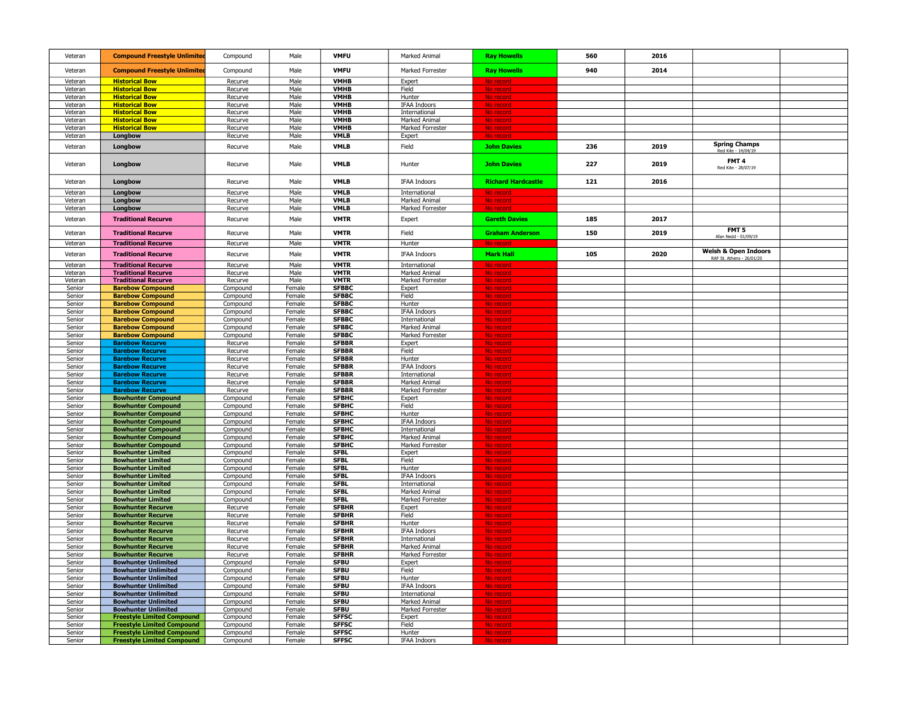| Veteran          | <b>Compound Freestyle Unlimited</b>                      | Compound             | Male             | <b>VMFU</b>                  | Marked Animal                 | <b>Ray Howells</b>        | 560 | 2016 |                                                              |  |
|------------------|----------------------------------------------------------|----------------------|------------------|------------------------------|-------------------------------|---------------------------|-----|------|--------------------------------------------------------------|--|
| Veteran          | <b>Compound Freestyle Unlimite</b>                       | Compound             | Male             | <b>VMFU</b>                  | <b>Marked Forrester</b>       | <b>Ray Howells</b>        | 940 | 2014 |                                                              |  |
| Veteran          | <b>Historical Bow</b>                                    | Recurve              | Male             | <b>VMHB</b>                  | Expert                        | No record                 |     |      |                                                              |  |
| Veteran          | <b>Historical Bow</b>                                    | Recurve              | Male             | VMHB                         | Field                         | No record                 |     |      |                                                              |  |
| Veteran          | <b>Historical Bow</b>                                    | Recurve              | Male             | VMHB                         | Hunter                        | No record                 |     |      |                                                              |  |
| Veteran          | <b>Historical Bow</b>                                    | Recurve              | Male             | VMHB                         | <b>IFAA Indoors</b>           | No record                 |     |      |                                                              |  |
| Veteran          | <b>Historical Bow</b>                                    | Recurve              | Male             | VMHB                         | International                 | No record                 |     |      |                                                              |  |
| Veteran          | <b>Historical Bow</b>                                    | Recurve              | Male             | VMHB                         | Marked Animal                 | No record                 |     |      |                                                              |  |
| Veteran          | <b>Historical Bow</b>                                    | Recurve              | Male             | VMHB                         | Marked Forrester              | No record                 |     |      |                                                              |  |
| Veteran          | Longbow                                                  | Recurve              | Male             | VMLB                         | Expert                        | No record                 |     |      |                                                              |  |
| Veteran          | Longbow                                                  | Recurve              | Male             | <b>VMLB</b>                  | Field                         | <b>John Davies</b>        | 236 | 2019 | <b>Spring Champs</b>                                         |  |
| Veteran          | Longbow                                                  | Recurve              | Male             | <b>VMLB</b>                  | Hunter                        | <b>John Davies</b>        | 227 | 2019 | FMT <sub>4</sub><br>Red Kite - 28/07/19                      |  |
| Veteran          | Longbow                                                  | Recurve              | Male             | <b>VMLB</b>                  | <b>IFAA Indoors</b>           | <b>Richard Hardcastle</b> | 121 | 2016 |                                                              |  |
| Veteran          | Longbow                                                  | Recurve              | Male             | <b>VMLB</b>                  | International                 | No record                 |     |      |                                                              |  |
| Veteran          | Longbow                                                  | Recurve              | Male             | VMLB                         | Marked Animal                 | No record                 |     |      |                                                              |  |
| Veteran          | Longbow                                                  | Recurve              | Male             | VMLB                         | Marked Forrester              | No record                 |     |      |                                                              |  |
| Veteran          | <b>Traditional Recurve</b>                               | Recurve              | Male             | <b>VMTR</b>                  | Expert                        | <b>Gareth Davies</b>      | 185 | 2017 |                                                              |  |
| Veteran          | <b>Traditional Recurve</b>                               | Recurve              | Male             | <b>VMTR</b>                  | Field                         | <b>Graham Anderson</b>    | 150 | 2019 | FMT <sub>5</sub><br>Afan Nedd - 01/09/19                     |  |
| Veteran          | <b>Traditional Recurve</b>                               | Recurve              | Male             | <b>VMTR</b>                  | Hunter                        | No record                 |     |      |                                                              |  |
| Veteran          | <b>Traditional Recurve</b>                               | Recurve              | Male             | <b>VMTR</b>                  | <b>IFAA Indoors</b>           | <b>Mark Hall</b>          | 105 | 2020 | <b>Welsh &amp; Open Indoors</b><br>RAF St. Athens - 26/01/20 |  |
| Veteran          | <b>Traditional Recurve</b>                               | Recurve              | Male             | <b>VMTR</b>                  | International                 | No record                 |     |      |                                                              |  |
| Veteran          | <b>Traditional Recurve</b>                               | Recurve              | Male             | <b>VMTR</b>                  | Marked Animal                 | No record                 |     |      |                                                              |  |
| Veteran          | <b>Traditional Recurve</b>                               | Recurve              | Male             | <b>VMTR</b>                  | Marked Forrester              | No record                 |     |      |                                                              |  |
| Senior           | <b>Barebow Compound</b>                                  | Compound             | Female           | <b>SFBBC</b>                 | Expert                        | No record                 |     |      |                                                              |  |
| Senior           | <b>Barebow Compound</b>                                  | Compound             | Female           | <b>SFBBC</b>                 | Field                         | No record                 |     |      |                                                              |  |
| Senior           | <b>Barebow Compound</b><br><b>Barebow Compound</b>       | Compound             | Female<br>Female | <b>SFBBC</b><br><b>SFBBC</b> | Hunter<br><b>IFAA Indoors</b> | No record                 |     |      |                                                              |  |
| Senior<br>Senior | <b>Barebow Compound</b>                                  | Compound<br>Compound | Female           | <b>SFBBC</b>                 | International                 | No record<br>No record    |     |      |                                                              |  |
| Senior           | <b>Barebow Compound</b>                                  | Compound             | Female           | <b>SFBBC</b>                 | Marked Animal                 | No record                 |     |      |                                                              |  |
| Senior           | <b>Barebow Compound</b>                                  | Compound             | Female           | <b>SFBBC</b>                 | Marked Forrester              | No record                 |     |      |                                                              |  |
| Senior           | <b>Barebow Recurve</b>                                   | Recurve              | Female           | <b>SFBBR</b>                 | Expert                        | No record                 |     |      |                                                              |  |
| Senior           | <b>Barebow Recurve</b>                                   | Recurve              | Female           | <b>SFBBR</b>                 | Field                         | No record                 |     |      |                                                              |  |
| Senior           | <b>Barebow Recurve</b>                                   | Recurve              | Female           | <b>SFBBR</b>                 | Hunter                        | <u>No record</u>          |     |      |                                                              |  |
| Senior           | <b>Barebow Recurve</b>                                   | Recurve              | Female           | <b>SFBBR</b>                 | <b>IFAA Indoors</b>           | No record                 |     |      |                                                              |  |
| Senior           | <b>Barebow Recurve</b>                                   | Recurve              | Female           | <b>SFBBR</b>                 | International                 | <u>No record</u>          |     |      |                                                              |  |
| Senior           | <b>Barebow Recurve</b>                                   | Recurve              | Female           | <b>SFBBR</b>                 | Marked Animal                 | No recor                  |     |      |                                                              |  |
| Senior           | <b>Barebow Recurve</b>                                   | Recurve              | Female           | <b>SFBBR</b>                 | Marked Forrester              | No recor                  |     |      |                                                              |  |
| Senior           | <b>Bowhunter Compound</b>                                | Compound             | Female           | <b>SFBHC</b>                 | Expert                        | No recor                  |     |      |                                                              |  |
| Senior           | <b>Bowhunter Compound</b>                                | Compound             | Female           | <b>SFBHC</b>                 | Field                         | No recor                  |     |      |                                                              |  |
| Senior           | <b>Bowhunter Compound</b>                                | Compound             | Female           | <b>SFBHC</b>                 | Hunter                        | No recon                  |     |      |                                                              |  |
| Senior           | <b>Bowhunter Compound</b>                                | Compound             | Female           | <b>SFBHC</b>                 | <b>IFAA Indoors</b>           | No record                 |     |      |                                                              |  |
| Senior           | <b>Bowhunter Compound</b>                                | Compound             | Female           | <b>SFBHC</b>                 | International                 | No record                 |     |      |                                                              |  |
| Senior           | <b>Bowhunter Compound</b>                                | Compound             | Female           | <b>SFBHC</b>                 | Marked Animal                 | No record                 |     |      |                                                              |  |
| Senior<br>Senior | <b>Bowhunter Compound</b><br><b>Bowhunter Limited</b>    | Compound<br>Compound | Female<br>Female | <b>SFBHC</b><br><b>SFBL</b>  | Marked Forrester              | No record<br>No record    |     |      |                                                              |  |
| Senior           | <b>Bowhunter Limited</b>                                 | Compound             | Female           | <b>SFBL</b>                  | Expert<br>Field               | No record                 |     |      |                                                              |  |
| Senior           | <b>Bowhunter Limited</b>                                 | Compound             | Female           | <b>SFBL</b>                  | Hunter                        | No record                 |     |      |                                                              |  |
| Senior           | <b>Bowhunter Limited</b>                                 | Compound             | Female           | <b>SFBL</b>                  | <b>IFAA Indoors</b>           | No record                 |     |      |                                                              |  |
| Senior           | <b>Bowhunter Limited</b>                                 | Compound             | Female           | <b>SFBL</b>                  | International                 | No record                 |     |      |                                                              |  |
| Senior           | <b>Bowhunter Limited</b>                                 | Compound             | Female           | <b>SFBL</b>                  | Marked Animal                 | No recor                  |     |      |                                                              |  |
| Senior           | <b>Bowhunter Limited</b>                                 | Compound             | Female           | <b>SFBL</b>                  | Marked Forrester              | No record                 |     |      |                                                              |  |
| Senior           | <b>Bowhunter Recurve</b>                                 | Recurve              | Female           | <b>SFBHR</b>                 | Expert                        | No record                 |     |      |                                                              |  |
| Senior           | <b>Bowhunter Recurve</b>                                 | Recurve              | Female           | <b>SFBHR</b>                 | Field                         | No record                 |     |      |                                                              |  |
| Senior           | <b>Bowhunter Recurve</b>                                 | Recurve              | Female           | <b>SFBHR</b>                 | Hunter                        | No record                 |     |      |                                                              |  |
| Senior           | <b>Bowhunter Recurve</b>                                 | Recurve              | Female           | <b>SFBHR</b>                 | <b>IFAA Indoors</b>           | No record                 |     |      |                                                              |  |
| Senior           | <b>Bowhunter Recurve</b>                                 | Recurve              | Female           | <b>SFBHR</b>                 | International                 | No record                 |     |      |                                                              |  |
| Senior           | <b>Bowhunter Recurve</b>                                 | Recurve              | Female           | <b>SFBHR</b>                 | Marked Animal                 | No record                 |     |      |                                                              |  |
| Senior           | <b>Bowhunter Recurve</b>                                 | Recurve              | Female           | <b>SFBHR</b>                 | Marked Forrester              | No recor                  |     |      |                                                              |  |
| Senior           | <b>Bowhunter Unlimited</b><br><b>Bowhunter Unlimited</b> | Compound             | Female           | <b>SFBU</b><br><b>SFBU</b>   | Expert                        | No record                 |     |      |                                                              |  |
| Senior<br>Senior | <b>Bowhunter Unlimited</b>                               | Compound<br>Compound | Female<br>Female | <b>SFBU</b>                  | Field<br>Hunter               | No recor                  |     |      |                                                              |  |
| Senior           | <b>Bowhunter Unlimited</b>                               | Compound             | Female           | <b>SFBU</b>                  | <b>IFAA Indoors</b>           | No recor<br>No recor      |     |      |                                                              |  |
| Senior           | <b>Bowhunter Unlimited</b>                               | Compound             | Female           | <b>SFBU</b>                  | International                 | No recor                  |     |      |                                                              |  |
| Senior           | <b>Bowhunter Unlimited</b>                               | Compound             | Female           | <b>SFBU</b>                  | Marked Animal                 | <u>No recor</u>           |     |      |                                                              |  |
| Senior           | <b>Bowhunter Unlimited</b>                               | Compound             | Female           | <b>SFBU</b>                  | Marked Forrester              | No recor                  |     |      |                                                              |  |
| Senior           | <b>Freestyle Limited Compound</b>                        | Compound             | Female           | <b>SFFSC</b>                 | Expert                        | No recor                  |     |      |                                                              |  |
| Senior           | <b>Freestyle Limited Compound</b>                        | Compound             | Female           | <b>SFFSC</b>                 | Field                         | No record                 |     |      |                                                              |  |
| Senior           | <b>Freestyle Limited Compound</b>                        | Compound             | Female           | <b>SFFSC</b>                 | Hunter                        | No record                 |     |      |                                                              |  |
| Senior           | <b>Freestyle Limited Compound</b>                        | Compound             | Female           | <b>SFFSC</b>                 | IFAA Indoors                  | No record                 |     |      |                                                              |  |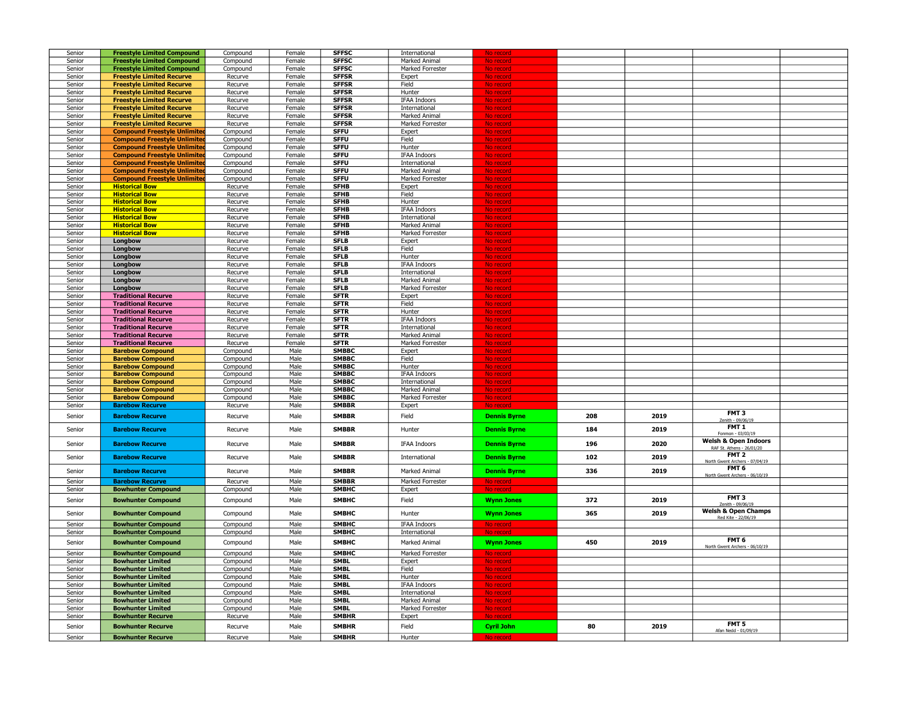| Senior |                                     |          |        |              |                     |                     |     |      |                                       |  |
|--------|-------------------------------------|----------|--------|--------------|---------------------|---------------------|-----|------|---------------------------------------|--|
|        | <b>Freestyle Limited Compound</b>   | Compound | Female | <b>SFFSC</b> | International       |                     |     |      |                                       |  |
| Senior | <b>Freestyle Limited Compound</b>   | Compound | Female | <b>SFFSC</b> | Marked Animal       | No recor            |     |      |                                       |  |
|        |                                     |          |        |              |                     |                     |     |      |                                       |  |
| Senior | <b>Freestyle Limited Compound</b>   | Compound | Female | <b>SFFSC</b> | Marked Forrester    | No recon            |     |      |                                       |  |
| Senior | <b>Freestyle Limited Recurve</b>    | Recurve  | Female | <b>SFFSR</b> | Expert              | No recor            |     |      |                                       |  |
| Senior | <b>Freestyle Limited Recurve</b>    | Recurve  | Female | <b>SFFSR</b> | Field               | No record           |     |      |                                       |  |
|        |                                     |          |        |              |                     |                     |     |      |                                       |  |
| Senior | <b>Freestyle Limited Recurve</b>    | Recurve  | Female | <b>SFFSR</b> | Hunter              | No record           |     |      |                                       |  |
| Senior | <b>Freestyle Limited Recurve</b>    | Recurve  | Female | <b>SFFSR</b> | <b>IFAA Indoors</b> | No record           |     |      |                                       |  |
|        |                                     |          |        |              |                     |                     |     |      |                                       |  |
| Senior | <b>Freestyle Limited Recurve</b>    | Recurve  | Female | <b>SFFSR</b> | International       | No record           |     |      |                                       |  |
| Senior | <b>Freestyle Limited Recurve</b>    | Recurve  | Female | <b>SFFSR</b> | Marked Animal       | No record           |     |      |                                       |  |
|        |                                     |          |        |              |                     |                     |     |      |                                       |  |
| Senior | <b>Freestyle Limited Recurve</b>    | Recurve  | Female | <b>SFFSR</b> | Marked Forrester    | No record           |     |      |                                       |  |
| Senior | <b>Compound Freestyle Unlimited</b> | Compound | Female | <b>SFFU</b>  | Expert              | No record           |     |      |                                       |  |
| Senior | <b>Compound Freestyle Unlimited</b> | Compound | Female | <b>SFFU</b>  | Field               | No record           |     |      |                                       |  |
|        |                                     |          |        |              |                     |                     |     |      |                                       |  |
| Senior | <b>Compound Freestyle Unlimited</b> | Compound | Female | <b>SFFU</b>  | Hunter              | No record           |     |      |                                       |  |
| Senior | <b>Compound Freestyle Unlimited</b> | Compound | Female | <b>SFFU</b>  | <b>IFAA Indoors</b> | No record           |     |      |                                       |  |
|        |                                     |          |        | <b>SFFU</b>  |                     |                     |     |      |                                       |  |
| Senior | <b>Compound Freestyle Unlimited</b> | Compound | Female |              | International       | No record           |     |      |                                       |  |
| Senior | <b>Compound Freestyle Unlimited</b> | Compound | Female | <b>SFFU</b>  | Marked Animal       | No record           |     |      |                                       |  |
| Senior | <b>Compound Freestyle Unlimited</b> | Compound | Female | <b>SFFU</b>  | Marked Forrester    | No record           |     |      |                                       |  |
|        |                                     |          |        |              |                     |                     |     |      |                                       |  |
| Senior | <b>Historical Bow</b>               | Recurve  | Female | <b>SFHB</b>  | Expert              | No recor            |     |      |                                       |  |
| Senior | <b>Historical Bow</b>               | Recurve  | Female | <b>SFHB</b>  | Field               | No recor            |     |      |                                       |  |
|        | <b>Historical Bow</b>               |          | Female | <b>SFHB</b>  |                     |                     |     |      |                                       |  |
| Senior |                                     | Recurve  |        |              | Hunter              | No recor            |     |      |                                       |  |
| Senior | <b>Historical Bow</b>               | Recurve  | Female | <b>SFHB</b>  | <b>IFAA Indoors</b> | No recor            |     |      |                                       |  |
| Senior | <b>Historical Bow</b>               | Recurve  | Female | <b>SFHB</b>  | International       | No recor            |     |      |                                       |  |
|        | <b>Historical Bow</b>               |          | Female | <b>SFHB</b>  | Marked Animal       |                     |     |      |                                       |  |
| Senior |                                     | Recurve  |        |              |                     | No record           |     |      |                                       |  |
| Senior | <b>Historical Bow</b>               | Recurve  | Female | <b>SFHB</b>  | Marked Forrester    | No record           |     |      |                                       |  |
| Senior | Longbow                             | Recurve  | Female | <b>SFLB</b>  | Expert              | No recor            |     |      |                                       |  |
|        |                                     |          |        |              |                     |                     |     |      |                                       |  |
| Senior | Longbow                             | Recurve  | Female | <b>SFLB</b>  | Field               | No recor            |     |      |                                       |  |
| Senior | Longbow                             | Recurve  | Female | <b>SFLB</b>  | Hunter              | No recor            |     |      |                                       |  |
| Senior | Longbow                             | Recurve  | Female | <b>SFLB</b>  | <b>IFAA Indoors</b> |                     |     |      |                                       |  |
|        |                                     |          |        |              |                     | No recor            |     |      |                                       |  |
| Senior | Longbow                             | Recurve  | Female | <b>SFLB</b>  | International       | No recor            |     |      |                                       |  |
| Senior | Longbow                             | Recurve  | Female | <b>SFLB</b>  | Marked Animal       | No record           |     |      |                                       |  |
|        |                                     |          |        | <b>SFLB</b>  |                     |                     |     |      |                                       |  |
| Senior | Longbow                             | Recurve  | Female |              | Marked Forrester    | No record           |     |      |                                       |  |
| Senior | <b>Traditional Recurve</b>          | Recurve  | Female | <b>SFTR</b>  | Expert              | No record           |     |      |                                       |  |
| Senior | <b>Traditional Recurve</b>          | Recurve  | Female | <b>SFTR</b>  | Field               | No record           |     |      |                                       |  |
|        |                                     |          |        |              |                     |                     |     |      |                                       |  |
| Senior | <b>Traditional Recurve</b>          | Recurve  | Female | <b>SFTR</b>  | Hunter              | No record           |     |      |                                       |  |
| Senior | <b>Traditional Recurve</b>          | Recurve  | Female | <b>SFTR</b>  | <b>IFAA Indoors</b> | No record           |     |      |                                       |  |
|        |                                     |          |        |              |                     |                     |     |      |                                       |  |
| Senior | <b>Traditional Recurve</b>          | Recurve  | Female | <b>SFTR</b>  | International       | No record           |     |      |                                       |  |
| Senior | <b>Traditional Recurve</b>          | Recurve  | Female | <b>SFTR</b>  | Marked Animal       | No record           |     |      |                                       |  |
| Senior | <b>Traditional Recurve</b>          | Recurve  | Female | <b>SFTR</b>  | Marked Forrester    | No record           |     |      |                                       |  |
| Senior |                                     |          |        | <b>SMBBC</b> |                     |                     |     |      |                                       |  |
|        | <b>Barebow Compound</b>             | Compound | Male   |              | Expert              | No record           |     |      |                                       |  |
| Senior | <b>Barebow Compound</b>             | Compound | Male   | <b>SMBBC</b> | Field               | No record           |     |      |                                       |  |
| Senior |                                     |          |        |              |                     |                     |     |      |                                       |  |
|        |                                     |          |        |              |                     |                     |     |      |                                       |  |
|        | <b>Barebow Compound</b>             | Compound | Male   | <b>SMBBC</b> | Hunter              | No record           |     |      |                                       |  |
| Senior | <b>Barebow Compound</b>             |          | Male   | <b>SMBBC</b> | <b>IFAA Indoors</b> | No record           |     |      |                                       |  |
|        |                                     | Compound |        |              |                     |                     |     |      |                                       |  |
| Senior | <b>Barebow Compound</b>             | Compound | Male   | SMBBC        | International       | No record           |     |      |                                       |  |
| Senior | <b>Barebow Compound</b>             | Compound | Male   | <b>SMBBC</b> | Marked Animal       | No record           |     |      |                                       |  |
|        |                                     |          |        |              |                     |                     |     |      |                                       |  |
| Senior | <b>Barebow Compound</b>             | Compound | Male   | SMBBC        | Marked Forrester    | No record           |     |      |                                       |  |
| Senior | <b>Barebow Recurve</b>              | Recurve  | Male   | <b>SMBBR</b> | Expert              | No recor            |     |      |                                       |  |
|        |                                     |          |        |              |                     |                     |     |      | FMT <sub>3</sub>                      |  |
| Senior | <b>Barebow Recurve</b>              | Recurve  | Male   | <b>SMBBR</b> | Field               | <b>Dennis Byrne</b> | 208 | 2019 | enith - 09/06/1                       |  |
|        |                                     |          |        |              |                     |                     |     |      |                                       |  |
| Senior | <b>Barebow Recurve</b>              | Recurve  | Male   | <b>SMBBR</b> | Hunter              | <b>Dennis Byrne</b> | 184 | 2019 | FMT <sub>1</sub><br>Fonmon - 03/03/19 |  |
|        |                                     |          |        |              |                     |                     |     |      |                                       |  |
| Senior | <b>Barebow Recurve</b>              | Recurve  | Male   | <b>SMBBR</b> | <b>IFAA Indoors</b> | <b>Dennis Byrne</b> | 196 | 2020 | <b>Welsh &amp; Open Indoors</b>       |  |
|        |                                     |          |        |              |                     |                     |     |      | RAF St. Athens - 26/01/20             |  |
|        |                                     |          |        |              |                     |                     |     |      | FMT <sub>2</sub>                      |  |
| Senior | <b>Barebow Recurve</b>              | Recurve  | Male   | <b>SMBBR</b> | International       | <b>Dennis Byrne</b> | 102 | 2019 | North Gwent Archers - 07/04/19        |  |
|        |                                     |          |        |              |                     |                     |     |      |                                       |  |
| Senior | <b>Barebow Recurve</b>              | Recurve  | Male   | <b>SMBBR</b> | Marked Animal       | <b>Dennis Byrne</b> | 336 | 2019 | FMT <sub>6</sub>                      |  |
|        |                                     |          |        |              |                     |                     |     |      | North Gwent Archers - 06/10/19        |  |
| Senior | <b>Barebow Recurve</b>              | Recurve  | Male   | <b>SMBBR</b> | Marked Forrester    | No recor            |     |      |                                       |  |
| Senior | <b>Bowhunter Compound</b>           | Compound | Male   | <b>SMBHC</b> | Expert              | No rea              |     |      |                                       |  |
|        |                                     |          |        |              |                     |                     |     |      | FMT <sub>3</sub>                      |  |
| Senior | <b>Bowhunter Compound</b>           | Compound | Male   | <b>SMBHC</b> | Field               | <b>Wynn Jones</b>   | 372 | 2019 |                                       |  |
|        |                                     |          |        |              |                     |                     |     |      | Zenith - 09/06/19                     |  |
| Senior |                                     |          | Male   | <b>SMBHC</b> | Hunter              |                     | 365 | 2019 | <b>Welsh &amp; Open Champs</b>        |  |
|        | <b>Bowhunter Compound</b>           | Compound |        |              |                     | <b>Wynn Jones</b>   |     |      | Red Kite - 22/06/19                   |  |
| Senior | <b>Bowhunter Compound</b>           | Compound | Male   | <b>SMBHC</b> | <b>IFAA Indoors</b> | No record           |     |      |                                       |  |
|        |                                     |          |        |              |                     |                     |     |      |                                       |  |
| Senior | <b>Bowhunter Compound</b>           | Compound | Male   | <b>SMBHC</b> | International       | No record           |     |      |                                       |  |
| Senior |                                     |          | Male   | <b>SMBHC</b> | Marked Animal       |                     | 450 | 2019 | FMT <sub>6</sub>                      |  |
|        | <b>Bowhunter Compound</b>           | Compound |        |              |                     | <b>Wynn Jones</b>   |     |      | North Gwent Archers - 06/10/19        |  |
| Senior | <b>Bowhunter Compound</b>           | Compound | Male   |              | Marked Forrester    | No record           |     |      |                                       |  |
|        |                                     |          |        | <b>SMBHC</b> |                     |                     |     |      |                                       |  |
| Senior | <b>Bowhunter Limited</b>            | Compound | Male   | <b>SMBL</b>  | Expert              | No record           |     |      |                                       |  |
| Senior | <b>Bowhunter Limited</b>            | Compound | Male   | <b>SMBL</b>  | Field               | No recon            |     |      |                                       |  |
| Senior | <b>Bowhunter Limited</b>            | Compound | Male   | <b>SMBL</b>  | Hunter              | No record           |     |      |                                       |  |
|        |                                     |          |        |              |                     |                     |     |      |                                       |  |
| Senior | <b>Bowhunter Limited</b>            | Compound | Male   | <b>SMBL</b>  | IFAA Indoors        | No record           |     |      |                                       |  |
| Senior | <b>Bowhunter Limited</b>            | Compound | Male   | <b>SMBL</b>  | International       | No record           |     |      |                                       |  |
| Senior | <b>Bowhunter Limited</b>            |          | Male   | <b>SMBL</b>  | Marked Animal       | No record           |     |      |                                       |  |
|        |                                     | Compound |        |              |                     |                     |     |      |                                       |  |
| Senior | <b>Bowhunter Limited</b>            | Compound | Male   | <b>SMBL</b>  | Marked Forrester    | No recor            |     |      |                                       |  |
| Senior | <b>Bowhunter Recurve</b>            | Recurve  | Male   | <b>SMBHR</b> | Expert              | No reco             |     |      |                                       |  |
|        |                                     |          |        |              |                     |                     |     |      |                                       |  |
| Senior | <b>Bowhunter Recurve</b>            | Recurve  | Male   | <b>SMBHR</b> | Field               | <b>Cyril John</b>   | 80  | 2019 | FMT <sub>5</sub>                      |  |
| Senior | <b>Bowhunter Recurve</b>            | Recurve  | Male   | <b>SMBHR</b> | Hunter              |                     |     |      | Afan Nedd - 01/09/19                  |  |